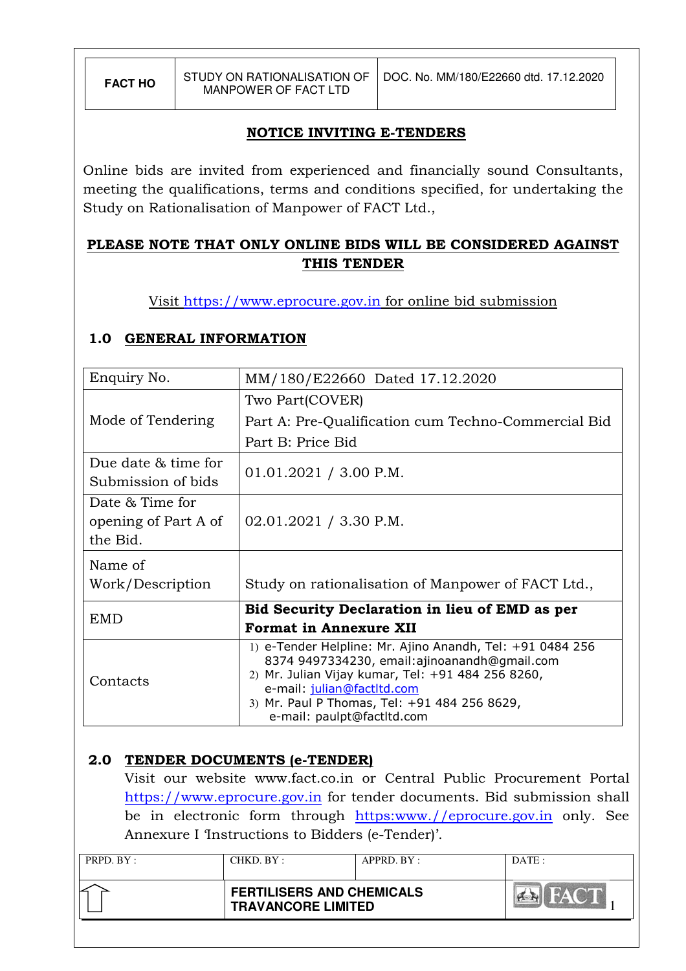# NOTICE INVITING E-TENDERS

Online bids are invited from experienced and financially sound Consultants, meeting the qualifications, terms and conditions specified, for undertaking the Study on Rationalisation of Manpower of FACT Ltd.,

# PLEASE NOTE THAT ONLY ONLINE BIDS WILL BE CONSIDERED AGAINST THIS TENDER

Visit https://www.eprocure.gov.in for online bid submission

# 1.0 GENERAL INFORMATION

| Enquiry No.            | MM/180/E22660 Dated 17.12.2020                                                                    |  |  |  |
|------------------------|---------------------------------------------------------------------------------------------------|--|--|--|
|                        | Two Part(COVER)                                                                                   |  |  |  |
| Mode of Tendering      | Part A: Pre-Qualification cum Techno-Commercial Bid                                               |  |  |  |
|                        | Part B: Price Bid                                                                                 |  |  |  |
| Due date $\&$ time for | $01.01.2021 / 3.00$ P.M.                                                                          |  |  |  |
| Submission of bids     |                                                                                                   |  |  |  |
| Date & Time for        |                                                                                                   |  |  |  |
| opening of Part A of   | $02.01.2021 / 3.30$ P.M.                                                                          |  |  |  |
| the Bid.               |                                                                                                   |  |  |  |
| Name of                |                                                                                                   |  |  |  |
| Work/Description       | Study on rationalisation of Manpower of FACT Ltd.,                                                |  |  |  |
| EMD                    | Bid Security Declaration in lieu of EMD as per                                                    |  |  |  |
|                        | <b>Format in Annexure XII</b>                                                                     |  |  |  |
|                        | 1) e-Tender Helpline: Mr. Ajino Anandh, Tel: +91 0484 256                                         |  |  |  |
|                        | 8374 9497334230, email:ajinoanandh@gmail.com<br>2) Mr. Julian Vijay kumar, Tel: +91 484 256 8260, |  |  |  |
| Contacts               | e-mail: julian@factltd.com                                                                        |  |  |  |
|                        | 3) Mr. Paul P Thomas, Tel: +91 484 256 8629,                                                      |  |  |  |
|                        | e-mail: paulpt@factltd.com                                                                        |  |  |  |

# 2.0 TENDER DOCUMENTS (e-TENDER)

Visit our website www.fact.co.in or Central Public Procurement Portal https://www.eprocure.gov.in for tender documents. Bid submission shall be in electronic form through https:www.//eprocure.gov.in only. See Annexure I 'Instructions to Bidders (e-Tender)'.

| PRPD. BY: | CHKD. BY :                                                    | APPRD. BY: | DATE: |
|-----------|---------------------------------------------------------------|------------|-------|
|           | <b>FERTILISERS AND CHEMICALS</b><br><b>TRAVANCORE LIMITED</b> |            | $M_A$ |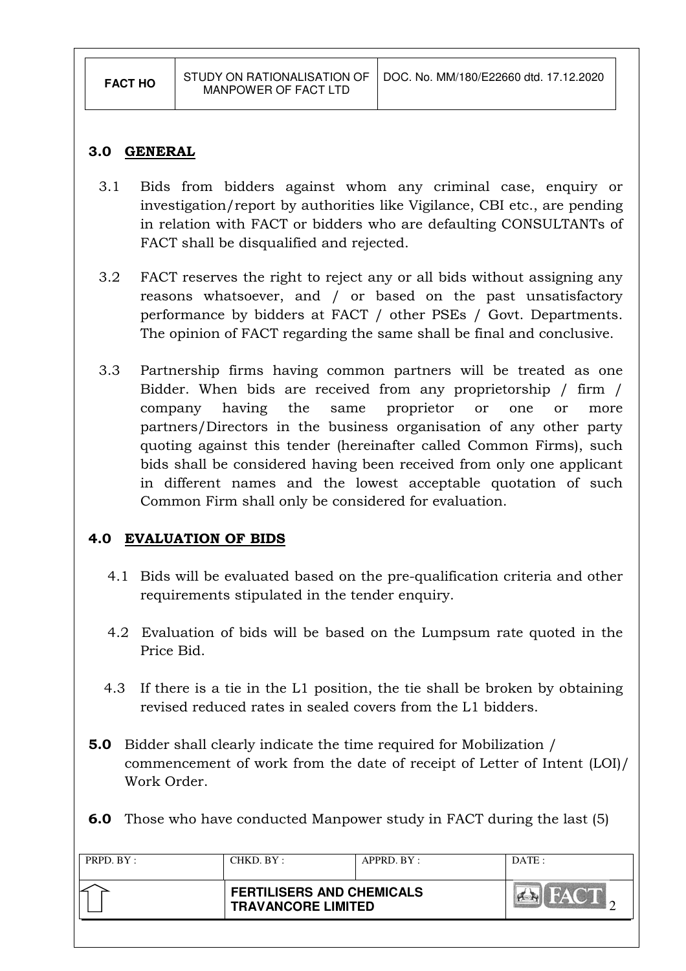#### 3.0 GENERAL

- 3.1 Bids from bidders against whom any criminal case, enquiry or investigation/report by authorities like Vigilance, CBI etc., are pending in relation with FACT or bidders who are defaulting CONSULTANTs of FACT shall be disqualified and rejected.
- 3.2 FACT reserves the right to reject any or all bids without assigning any reasons whatsoever, and / or based on the past unsatisfactory performance by bidders at FACT / other PSEs / Govt. Departments. The opinion of FACT regarding the same shall be final and conclusive.
- 3.3 Partnership firms having common partners will be treated as one Bidder. When bids are received from any proprietorship / firm / company having the same proprietor or one or more partners/Directors in the business organisation of any other party quoting against this tender (hereinafter called Common Firms), such bids shall be considered having been received from only one applicant in different names and the lowest acceptable quotation of such Common Firm shall only be considered for evaluation.

# 4.0 EVALUATION OF BIDS

- 4.1 Bids will be evaluated based on the pre-qualification criteria and other requirements stipulated in the tender enquiry.
- 4.2 Evaluation of bids will be based on the Lumpsum rate quoted in the Price Bid.
- 4.3 If there is a tie in the L1 position, the tie shall be broken by obtaining revised reduced rates in sealed covers from the L1 bidders.
- 5.0 Bidder shall clearly indicate the time required for Mobilization / commencement of work from the date of receipt of Letter of Intent (LOI)/ Work Order.
- 6.0 Those who have conducted Manpower study in FACT during the last (5)

| PRPD. BY : | CHKD. BY :                                                    | APPRD. BY: | DATA |
|------------|---------------------------------------------------------------|------------|------|
|            | <b>FERTILISERS AND CHEMICALS</b><br><b>TRAVANCORE LIMITED</b> |            |      |
|            |                                                               |            |      |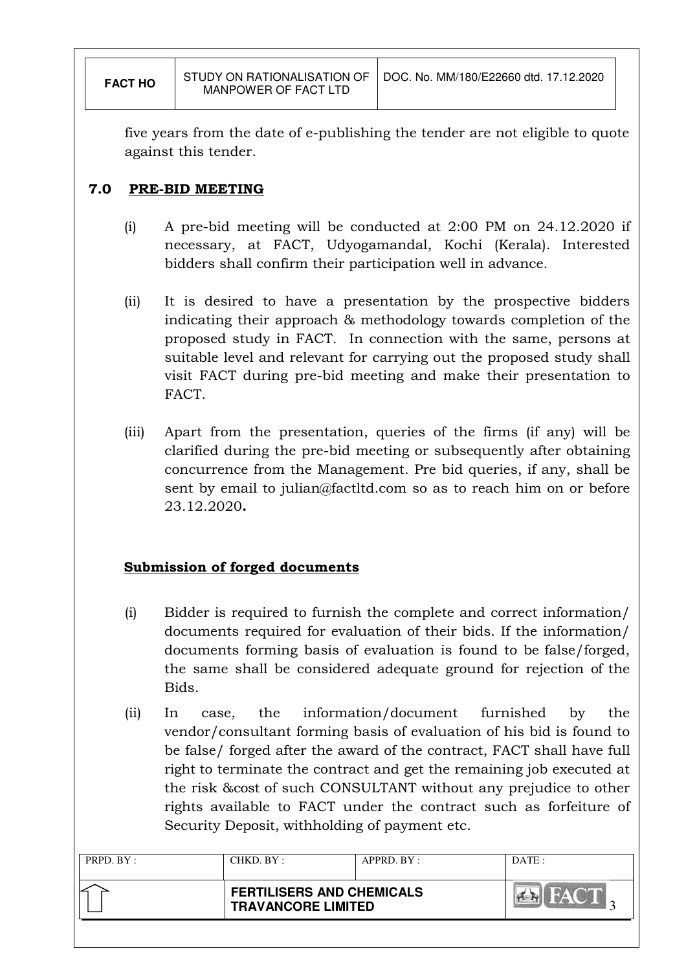five years from the date of e-publishing the tender are not eligible to quote against this tender.

# 7.0 PRE-BID MEETING

- (i) A pre-bid meeting will be conducted at 2:00 PM on 24.12.2020 if necessary, at FACT, Udyogamandal, Kochi (Kerala). Interested bidders shall confirm their participation well in advance.
- (ii) It is desired to have a presentation by the prospective bidders indicating their approach & methodology towards completion of the proposed study in FACT. In connection with the same, persons at suitable level and relevant for carrying out the proposed study shall visit FACT during pre-bid meeting and make their presentation to FACT.
- (iii) Apart from the presentation, queries of the firms (if any) will be clarified during the pre-bid meeting or subsequently after obtaining concurrence from the Management. Pre bid queries, if any, shall be sent by email to julian@factltd.com so as to reach him on or before 23.12.2020.

# Submission of forged documents

- (i) Bidder is required to furnish the complete and correct information/ documents required for evaluation of their bids. If the information/ documents forming basis of evaluation is found to be false/forged, the same shall be considered adequate ground for rejection of the Bids.
- (ii) In case, the information/document furnished by the vendor/consultant forming basis of evaluation of his bid is found to be false/ forged after the award of the contract, FACT shall have full right to terminate the contract and get the remaining job executed at the risk &cost of such CONSULTANT without any prejudice to other rights available to FACT under the contract such as forfeiture of Security Deposit, withholding of payment etc.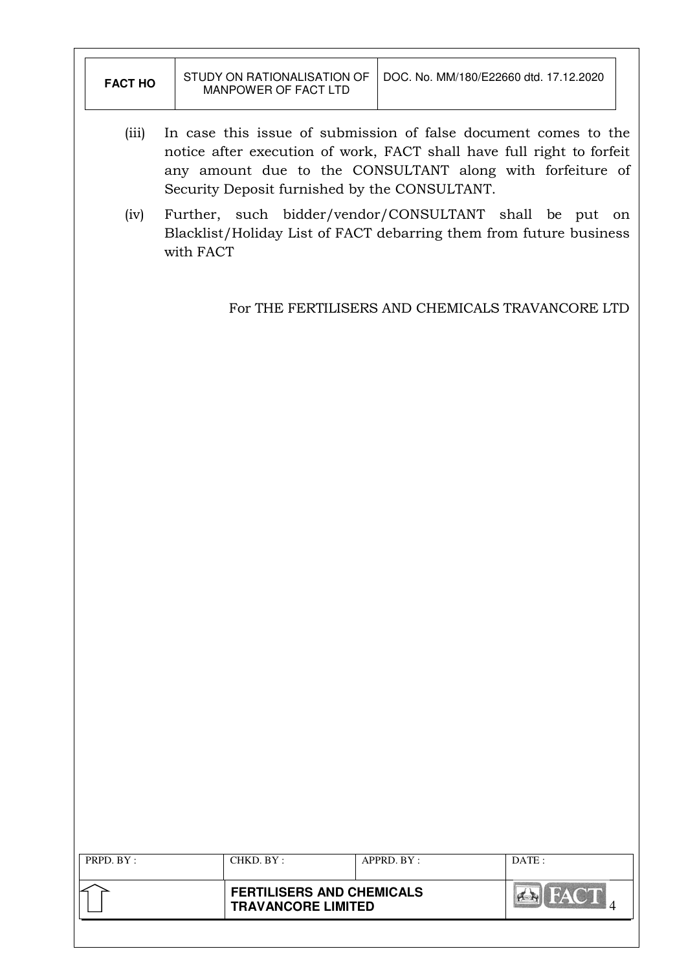|                | <b>FERTILISERS AND CHEMICALS</b><br><b>TRAVANCORE LIMITED</b>                                                                            |                                                                                                                              | <b>AR FACT</b> |  |
|----------------|------------------------------------------------------------------------------------------------------------------------------------------|------------------------------------------------------------------------------------------------------------------------------|----------------|--|
| PRPD. BY:      | CHKD. BY:                                                                                                                                | APPRD. BY:                                                                                                                   | DATE:          |  |
|                |                                                                                                                                          |                                                                                                                              |                |  |
|                |                                                                                                                                          |                                                                                                                              |                |  |
|                |                                                                                                                                          |                                                                                                                              |                |  |
|                |                                                                                                                                          |                                                                                                                              |                |  |
|                |                                                                                                                                          |                                                                                                                              |                |  |
|                |                                                                                                                                          |                                                                                                                              |                |  |
|                |                                                                                                                                          |                                                                                                                              |                |  |
|                |                                                                                                                                          |                                                                                                                              |                |  |
|                |                                                                                                                                          |                                                                                                                              |                |  |
|                |                                                                                                                                          |                                                                                                                              |                |  |
|                |                                                                                                                                          |                                                                                                                              |                |  |
|                |                                                                                                                                          |                                                                                                                              |                |  |
|                |                                                                                                                                          |                                                                                                                              |                |  |
|                |                                                                                                                                          |                                                                                                                              |                |  |
|                |                                                                                                                                          | For THE FERTILISERS AND CHEMICALS TRAVANCORE LTD                                                                             |                |  |
|                | with FACT                                                                                                                                |                                                                                                                              |                |  |
| (iv)           |                                                                                                                                          | Further, such bidder/vendor/CONSULTANT shall be put on<br>Blacklist/Holiday List of FACT debarring them from future business |                |  |
|                | any amount due to the CONSULTANT along with forfeiture of<br>Security Deposit furnished by the CONSULTANT.                               |                                                                                                                              |                |  |
| (iii)          | In case this issue of submission of false document comes to the<br>notice after execution of work, FACT shall have full right to forfeit |                                                                                                                              |                |  |
| <b>FACT HO</b> | MANPOWER OF FACT LTD                                                                                                                     | DOC. No. MM/180/E22660 dtd. 17.12.2020                                                                                       |                |  |
|                | STUDY ON RATIONALISATION OF                                                                                                              |                                                                                                                              |                |  |

 $\overline{\mathbf{1}}$ 

 $\Gamma$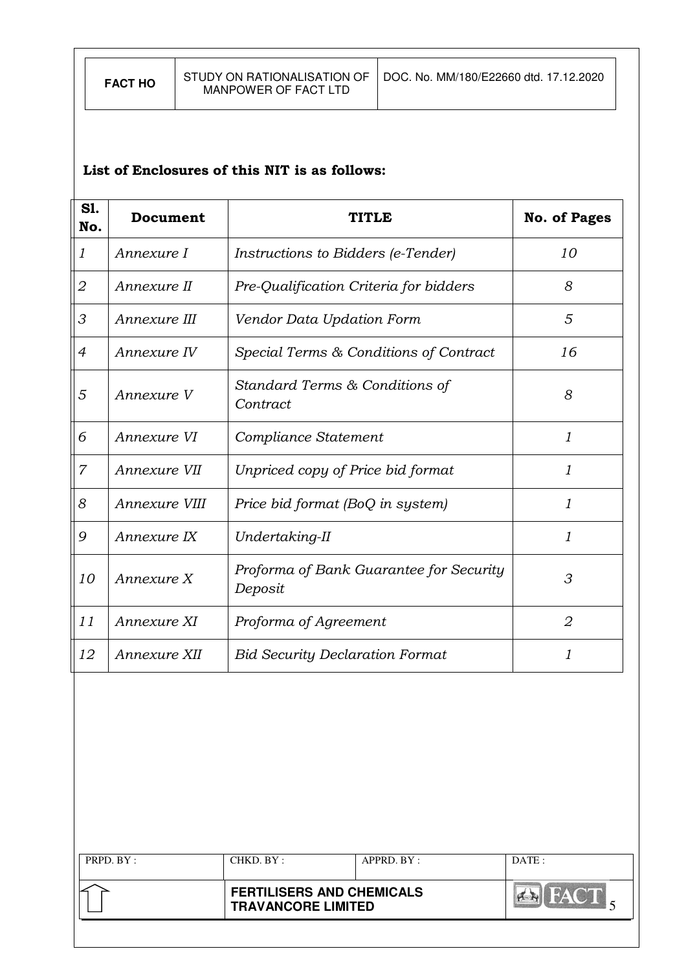# List of Enclosures of this NIT is as follows:

| S1.<br>No.     | Document      | TITLE                                              | <b>No. of Pages</b> |
|----------------|---------------|----------------------------------------------------|---------------------|
| 1              | Annexure I    | <i>Instructions to Bidders (e-Tender)</i>          | 10                  |
| 2              | Annexure II   | Pre-Qualification Criteria for bidders             | 8                   |
| 3              | Annexure III  | Vendor Data Updation Form                          | 5                   |
| $\overline{4}$ | Annexure IV   | Special Terms & Conditions of Contract             | 16                  |
| 5              | Annexure V    | Standard Terms & Conditions of<br>Contract         | 8                   |
| 6              | Annexure VI   | Compliance Statement                               | 1                   |
| $\overline{7}$ | Annexure VII  | Unpriced copy of Price bid format                  | 1                   |
| 8              | Annexure VIII | Price bid format (BoQ in system)                   | 1                   |
| 9              | Annexure IX   | Undertaking-II                                     | 1                   |
| 10             | Annexure X    | Proforma of Bank Guarantee for Security<br>Deposit | 3                   |
| 11             | Annexure XI   | Proforma of Agreement                              | $\overline{2}$      |
| 12             | Annexure XII  | <b>Bid Security Declaration Format</b>             | 1                   |

| PRPD. BY: | CHKD. BY:                                                     | $APPRD$ . $BY$ : | DATE: |
|-----------|---------------------------------------------------------------|------------------|-------|
|           | <b>FERTILISERS AND CHEMICALS</b><br><b>TRAVANCORE LIMITED</b> |                  | $M^A$ |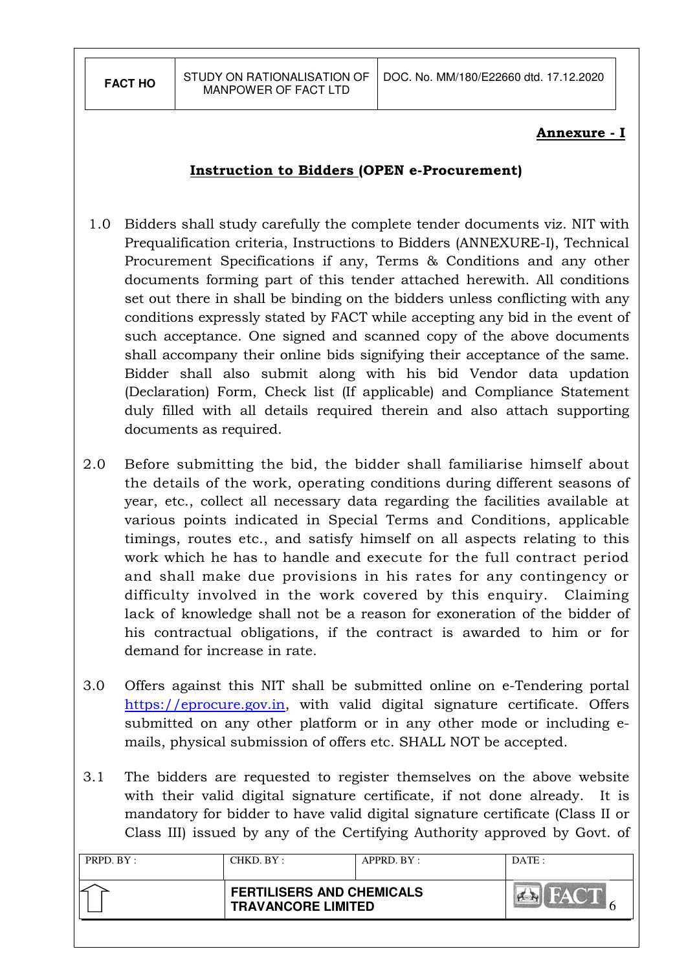# Annexure - I

# Instruction to Bidders (OPEN e-Procurement)

- 1.0 Bidders shall study carefully the complete tender documents viz. NIT with Prequalification criteria, Instructions to Bidders (ANNEXURE-I), Technical Procurement Specifications if any, Terms & Conditions and any other documents forming part of this tender attached herewith. All conditions set out there in shall be binding on the bidders unless conflicting with any conditions expressly stated by FACT while accepting any bid in the event of such acceptance. One signed and scanned copy of the above documents shall accompany their online bids signifying their acceptance of the same. Bidder shall also submit along with his bid Vendor data updation (Declaration) Form, Check list (If applicable) and Compliance Statement duly filled with all details required therein and also attach supporting documents as required.
- 2.0 Before submitting the bid, the bidder shall familiarise himself about the details of the work, operating conditions during different seasons of year, etc., collect all necessary data regarding the facilities available at various points indicated in Special Terms and Conditions, applicable timings, routes etc., and satisfy himself on all aspects relating to this work which he has to handle and execute for the full contract period and shall make due provisions in his rates for any contingency or difficulty involved in the work covered by this enquiry. Claiming lack of knowledge shall not be a reason for exoneration of the bidder of his contractual obligations, if the contract is awarded to him or for demand for increase in rate.
- 3.0 Offers against this NIT shall be submitted online on e-Tendering portal https://eprocure.gov.in, with valid digital signature certificate. Offers submitted on any other platform or in any other mode or including emails, physical submission of offers etc. SHALL NOT be accepted.
- 3.1 The bidders are requested to register themselves on the above website with their valid digital signature certificate, if not done already. It is mandatory for bidder to have valid digital signature certificate (Class II or Class III) issued by any of the Certifying Authority approved by Govt. of

| CHKD. BY :                                                    | APPRD. BY: | DATE: |
|---------------------------------------------------------------|------------|-------|
| <b>FERTILISERS AND CHEMICALS</b><br><b>TRAVANCORE LIMITED</b> |            |       |
|                                                               |            |       |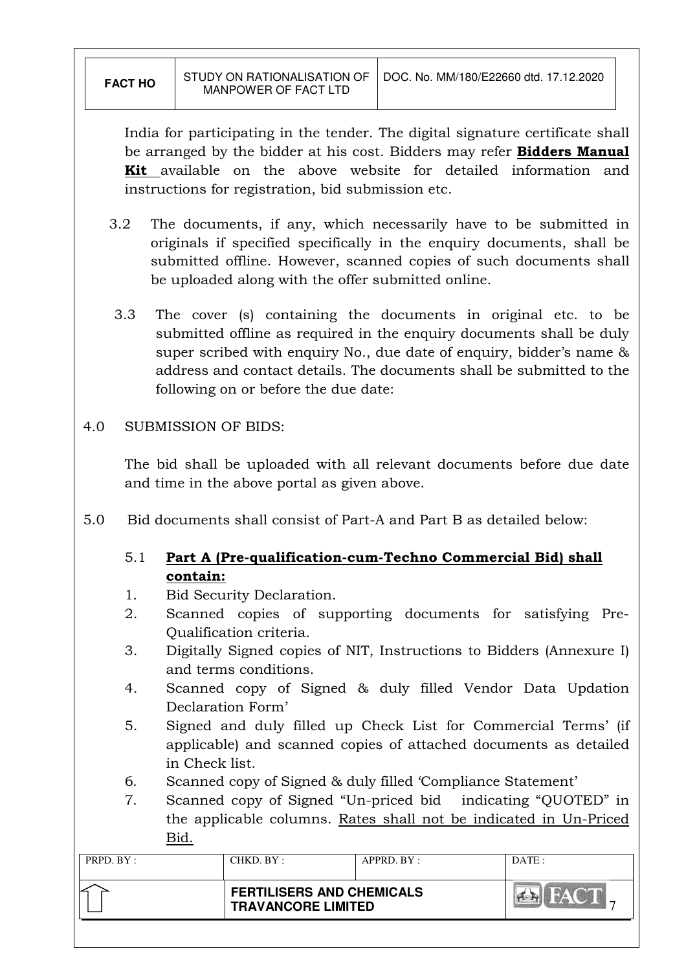India for participating in the tender. The digital signature certificate shall be arranged by the bidder at his cost. Bidders may refer **Bidders Manual** Kit available on the above website for detailed information and instructions for registration, bid submission etc.

- 3.2 The documents, if any, which necessarily have to be submitted in originals if specified specifically in the enquiry documents, shall be submitted offline. However, scanned copies of such documents shall be uploaded along with the offer submitted online.
- 3.3 The cover (s) containing the documents in original etc. to be submitted offline as required in the enquiry documents shall be duly super scribed with enquiry No., due date of enquiry, bidder's name & address and contact details. The documents shall be submitted to the following on or before the due date:

#### 4.0 SUBMISSION OF BIDS:

The bid shall be uploaded with all relevant documents before due date and time in the above portal as given above.

5.0 Bid documents shall consist of Part-A and Part B as detailed below:

# 5.1 Part A (Pre-qualification-cum-Techno Commercial Bid) shall contain:

- 1. Bid Security Declaration.
- 2. Scanned copies of supporting documents for satisfying Pre-Qualification criteria.
- 3. Digitally Signed copies of NIT, Instructions to Bidders (Annexure I) and terms conditions.
- 4. Scanned copy of Signed & duly filled Vendor Data Updation Declaration Form'
- 5. Signed and duly filled up Check List for Commercial Terms' (if applicable) and scanned copies of attached documents as detailed in Check list.
- 6. Scanned copy of Signed & duly filled 'Compliance Statement'
- 7. Scanned copy of Signed "Un-priced bid indicating "QUOTED" in the applicable columns. Rates shall not be indicated in Un-Priced Bid.

| PRPD. BY: | CHKD. BY :                                                    | APPRD. BY: | DATE: |
|-----------|---------------------------------------------------------------|------------|-------|
|           | <b>FERTILISERS AND CHEMICALS</b><br><b>TRAVANCORE LIMITED</b> |            |       |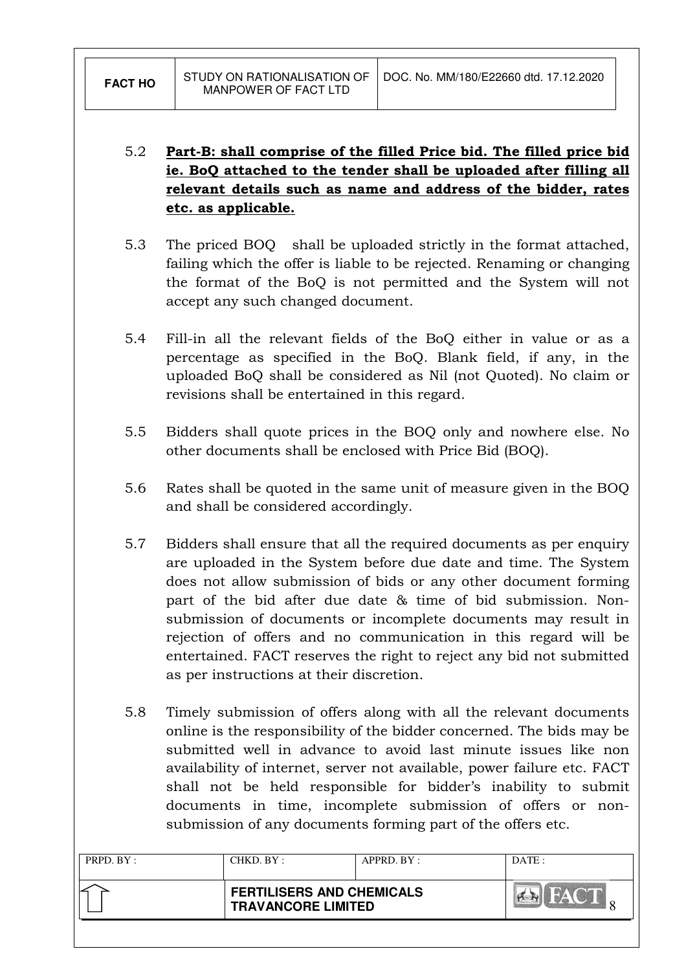# 5.2 Part-B: shall comprise of the filled Price bid. The filled price bid ie. BoQ attached to the tender shall be uploaded after filling all relevant details such as name and address of the bidder, rates etc. as applicable.

- 5.3 The priced BOQ shall be uploaded strictly in the format attached, failing which the offer is liable to be rejected. Renaming or changing the format of the BoQ is not permitted and the System will not accept any such changed document.
- 5.4 Fill-in all the relevant fields of the BoQ either in value or as a percentage as specified in the BoQ. Blank field, if any, in the uploaded BoQ shall be considered as Nil (not Quoted). No claim or revisions shall be entertained in this regard.
- 5.5 Bidders shall quote prices in the BOQ only and nowhere else. No other documents shall be enclosed with Price Bid (BOQ).
- 5.6 Rates shall be quoted in the same unit of measure given in the BOQ and shall be considered accordingly.
- 5.7 Bidders shall ensure that all the required documents as per enquiry are uploaded in the System before due date and time. The System does not allow submission of bids or any other document forming part of the bid after due date & time of bid submission. Nonsubmission of documents or incomplete documents may result in rejection of offers and no communication in this regard will be entertained. FACT reserves the right to reject any bid not submitted as per instructions at their discretion.
- 5.8 Timely submission of offers along with all the relevant documents online is the responsibility of the bidder concerned. The bids may be submitted well in advance to avoid last minute issues like non availability of internet, server not available, power failure etc. FACT shall not be held responsible for bidder's inability to submit documents in time, incomplete submission of offers or nonsubmission of any documents forming part of the offers etc.

| PRPD. BY : | CHKD. BY :                                                    | APPRD. BY: | DATE:                   |
|------------|---------------------------------------------------------------|------------|-------------------------|
|            | <b>FERTILISERS AND CHEMICALS</b><br><b>TRAVANCORE LIMITED</b> |            | $\mathbb{Z} \mathbb{Z}$ |
|            |                                                               |            |                         |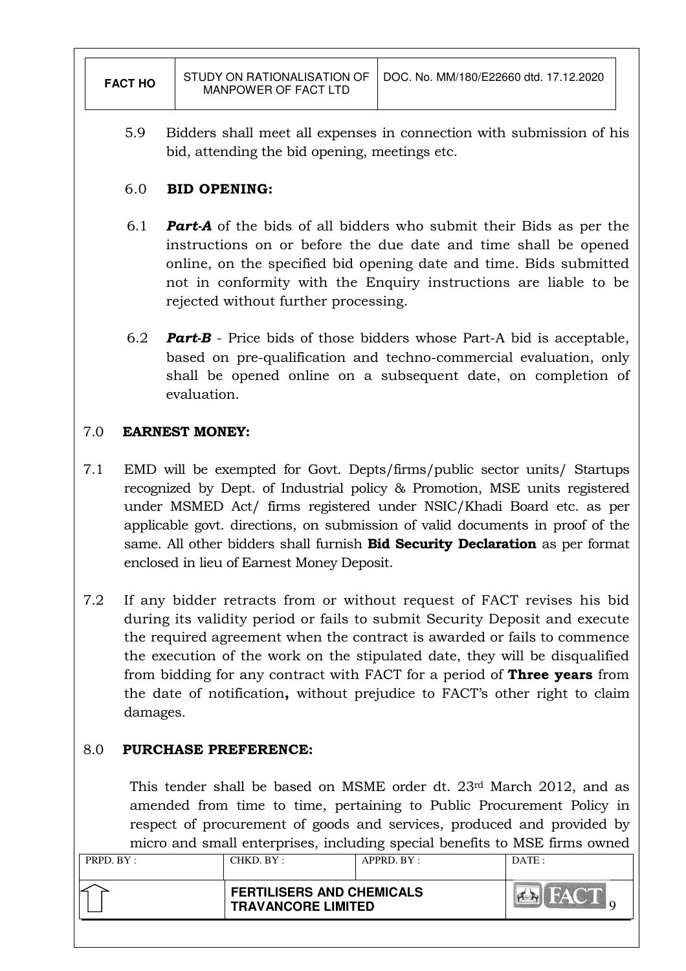| <b>FACT HO</b> | STUDY ON RATIONALISATION OF<br>MANPOWER OF FACT LTD | DOC, No. MM/180/E22660 dtd. 17.12.2020 |
|----------------|-----------------------------------------------------|----------------------------------------|
|                |                                                     |                                        |

5.9 Bidders shall meet all expenses in connection with submission of his bid, attending the bid opening, meetings etc.

# 6.0 BID OPENING:

- 6.1 **Part-A** of the bids of all bidders who submit their Bids as per the instructions on or before the due date and time shall be opened online, on the specified bid opening date and time. Bids submitted not in conformity with the Enquiry instructions are liable to be rejected without further processing.
- 6.2 **Part-B** Price bids of those bidders whose Part-A bid is acceptable, based on pre-qualification and techno-commercial evaluation, only shall be opened online on a subsequent date, on completion of evaluation.

# 7.0 EARNEST MONEY:

- 7.1 EMD will be exempted for Govt. Depts/firms/public sector units/ Startups recognized by Dept. of Industrial policy & Promotion, MSE units registered under MSMED Act/ firms registered under NSIC/Khadi Board etc. as per applicable govt. directions, on submission of valid documents in proof of the same. All other bidders shall furnish **Bid Security Declaration** as per format enclosed in lieu of Earnest Money Deposit.
- 7.2 If any bidder retracts from or without request of FACT revises his bid during its validity period or fails to submit Security Deposit and execute the required agreement when the contract is awarded or fails to commence the execution of the work on the stipulated date, they will be disqualified from bidding for any contract with FACT for a period of **Three years** from the date of notification, without prejudice to FACT's other right to claim damages.

# 8.0 PURCHASE PREFERENCE:

This tender shall be based on MSME order dt. 23rd March 2012, and as amended from time to time, pertaining to Public Procurement Policy in respect of procurement of goods and services, produced and provided by micro and small enterprises, including special benefits to MSE firms owned

| PRPD. BY : | CHKD. BY:                                                     | $APPRD$ . $BY$ : | DATA |
|------------|---------------------------------------------------------------|------------------|------|
|            | <b>FERTILISERS AND CHEMICALS</b><br><b>TRAVANCORE LIMITED</b> |                  |      |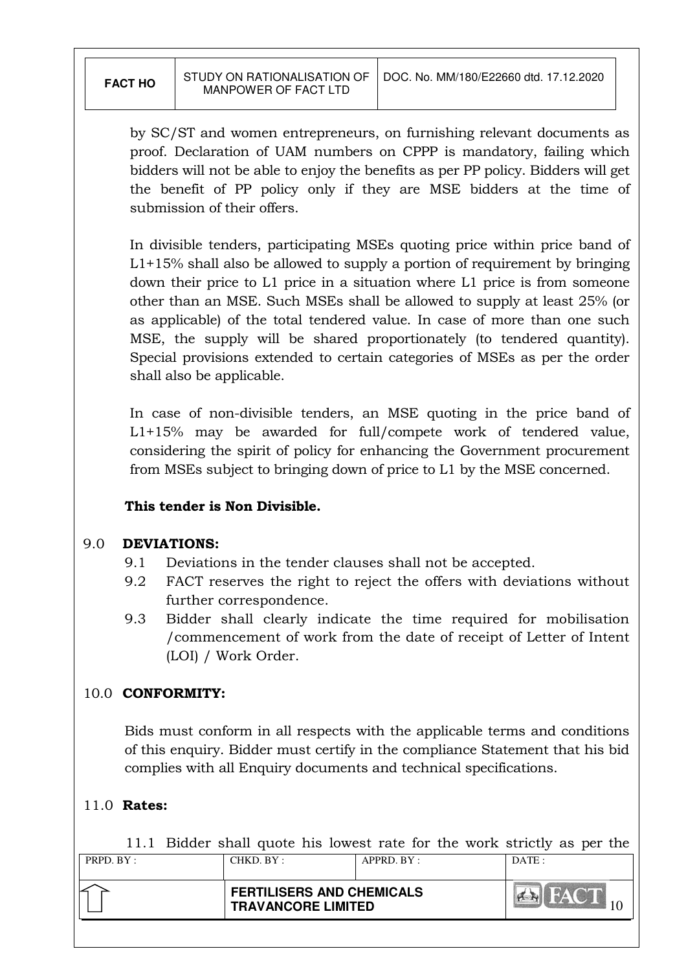by SC/ST and women entrepreneurs, on furnishing relevant documents as proof. Declaration of UAM numbers on CPPP is mandatory, failing which bidders will not be able to enjoy the benefits as per PP policy. Bidders will get the benefit of PP policy only if they are MSE bidders at the time of submission of their offers.

In divisible tenders, participating MSEs quoting price within price band of  $L1+15%$  shall also be allowed to supply a portion of requirement by bringing down their price to L1 price in a situation where L1 price is from someone other than an MSE. Such MSEs shall be allowed to supply at least 25% (or as applicable) of the total tendered value. In case of more than one such MSE, the supply will be shared proportionately (to tendered quantity). Special provisions extended to certain categories of MSEs as per the order shall also be applicable.

In case of non-divisible tenders, an MSE quoting in the price band of L1+15% may be awarded for full/compete work of tendered value, considering the spirit of policy for enhancing the Government procurement from MSEs subject to bringing down of price to L1 by the MSE concerned.

#### This tender is Non Divisible.

#### 9.0 DEVIATIONS:

- 9.1 Deviations in the tender clauses shall not be accepted.
- 9.2 FACT reserves the right to reject the offers with deviations without further correspondence.
- 9.3 Bidder shall clearly indicate the time required for mobilisation /commencement of work from the date of receipt of Letter of Intent (LOI) / Work Order.

# 10.0 CONFORMITY:

Bids must conform in all respects with the applicable terms and conditions of this enquiry. Bidder must certify in the compliance Statement that his bid complies with all Enquiry documents and technical specifications.

# 11.0 Rates:

11.1 Bidder shall quote his lowest rate for the work strictly as per the

| PRPD. BY : | CHKD. BY :                                                    | APPRD. BY: | DATE: |
|------------|---------------------------------------------------------------|------------|-------|
|            | <b>FERTILISERS AND CHEMICALS</b><br><b>TRAVANCORE LIMITED</b> |            |       |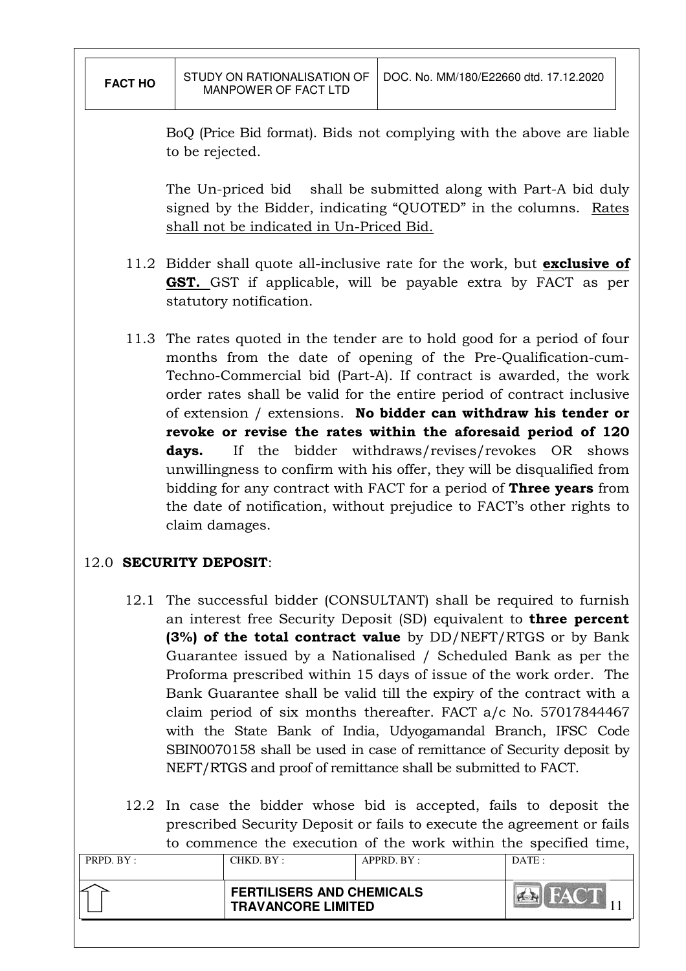| <b>FACT HO</b> | STUDY ON RATIONALISATION OF<br>MANPOWER OF FACT LTD | DOC. No. MM/180/E22660 dtd. 17.12.2020 |
|----------------|-----------------------------------------------------|----------------------------------------|
|                |                                                     |                                        |

BoQ (Price Bid format). Bids not complying with the above are liable to be rejected.

The Un-priced bid shall be submitted along with Part-A bid duly signed by the Bidder, indicating "QUOTED" in the columns. Rates shall not be indicated in Un-Priced Bid.

- 11.2 Bidder shall quote all-inclusive rate for the work, but **exclusive of** GST. GST if applicable, will be payable extra by FACT as per statutory notification.
- 11.3 The rates quoted in the tender are to hold good for a period of four months from the date of opening of the Pre-Qualification-cum-Techno-Commercial bid (Part-A). If contract is awarded, the work order rates shall be valid for the entire period of contract inclusive of extension / extensions. No bidder can withdraw his tender or revoke or revise the rates within the aforesaid period of 120 days. If the bidder withdraws/revises/revokes OR shows unwillingness to confirm with his offer, they will be disqualified from bidding for any contract with FACT for a period of **Three years** from the date of notification, without prejudice to FACT's other rights to claim damages.

# 12.0 SECURITY DEPOSIT:

- 12.1 The successful bidder (CONSULTANT) shall be required to furnish an interest free Security Deposit (SD) equivalent to three percent (3%) of the total contract value by DD/NEFT/RTGS or by Bank Guarantee issued by a Nationalised / Scheduled Bank as per the Proforma prescribed within 15 days of issue of the work order. The Bank Guarantee shall be valid till the expiry of the contract with a claim period of six months thereafter. FACT a/c No. 57017844467 with the State Bank of India, Udyogamandal Branch, IFSC Code SBIN0070158 shall be used in case of remittance of Security deposit by NEFT/RTGS and proof of remittance shall be submitted to FACT.
- 12.2 In case the bidder whose bid is accepted, fails to deposit the prescribed Security Deposit or fails to execute the agreement or fails to commence the execution of the work within the specified time,

| PRPD. BY : | CHKD. BY : | APPRD. BY:                                                    | DATE: |
|------------|------------|---------------------------------------------------------------|-------|
|            |            | <b>FERTILISERS AND CHEMICALS</b><br><b>TRAVANCORE LIMITED</b> |       |
|            |            |                                                               |       |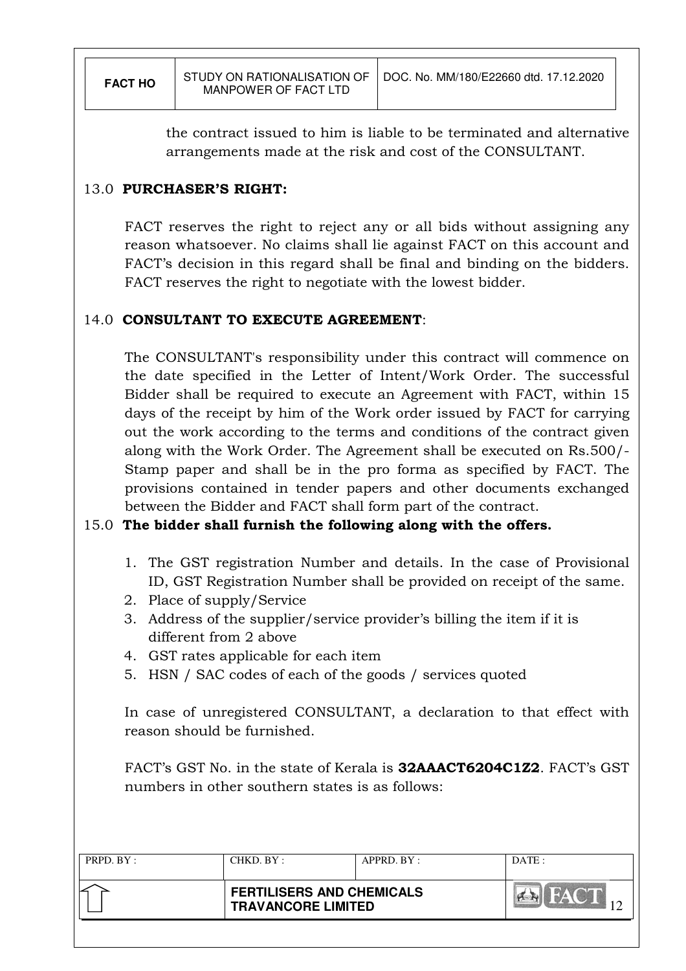the contract issued to him is liable to be terminated and alternative arrangements made at the risk and cost of the CONSULTANT.

# 13.0 PURCHASER'S RIGHT:

 FACT reserves the right to reject any or all bids without assigning any reason whatsoever. No claims shall lie against FACT on this account and FACT's decision in this regard shall be final and binding on the bidders. FACT reserves the right to negotiate with the lowest bidder.

# 14.0 CONSULTANT TO EXECUTE AGREEMENT:

 The CONSULTANT's responsibility under this contract will commence on the date specified in the Letter of Intent/Work Order. The successful Bidder shall be required to execute an Agreement with FACT, within 15 days of the receipt by him of the Work order issued by FACT for carrying out the work according to the terms and conditions of the contract given along with the Work Order. The Agreement shall be executed on Rs.500/- Stamp paper and shall be in the pro forma as specified by FACT. The provisions contained in tender papers and other documents exchanged between the Bidder and FACT shall form part of the contract.

# 15.0 The bidder shall furnish the following along with the offers.

- 1. The GST registration Number and details. In the case of Provisional ID, GST Registration Number shall be provided on receipt of the same.
- 2. Place of supply/Service
- 3. Address of the supplier/service provider's billing the item if it is different from 2 above
- 4. GST rates applicable for each item
- 5. HSN / SAC codes of each of the goods / services quoted

In case of unregistered CONSULTANT, a declaration to that effect with reason should be furnished.

FACT's GST No. in the state of Kerala is 32AAACT6204C1Z2. FACT's GST numbers in other southern states is as follows:

| PRPD. BY: | CHKD. BY :                                                    | APPRD. BY: | DATA |
|-----------|---------------------------------------------------------------|------------|------|
|           | <b>FERTILISERS AND CHEMICALS</b><br><b>TRAVANCORE LIMITED</b> |            |      |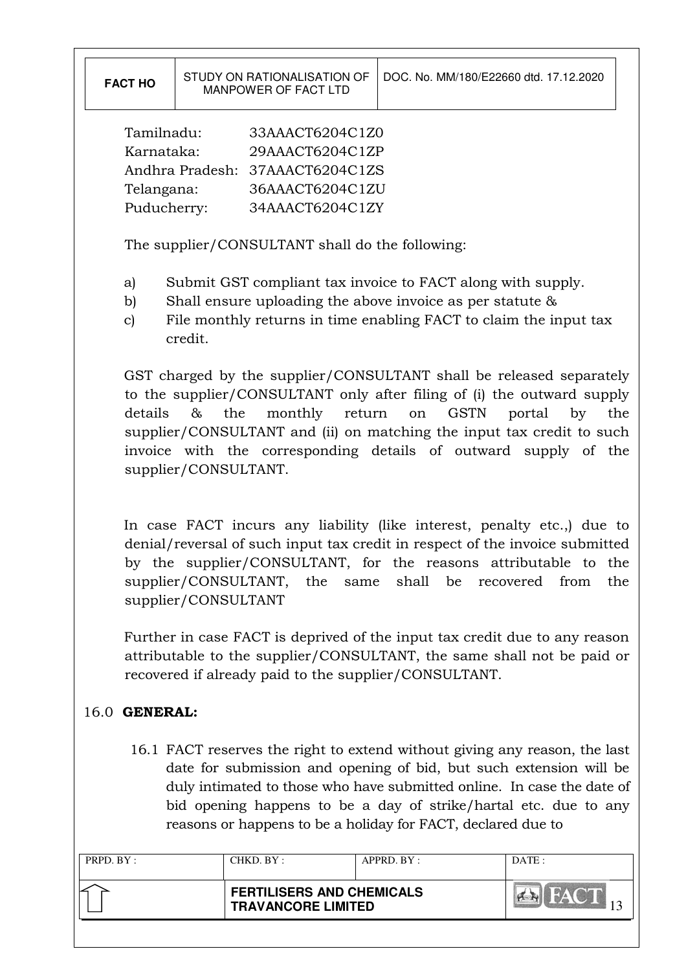Tamilnadu: 33AAACT6204C1Z0 Karnataka: 29AAACT6204C1ZP Andhra Pradesh: 37AAACT6204C1ZS Telangana: 36AAACT6204C1ZU Puducherry: 34AAACT6204C1ZY

The supplier/CONSULTANT shall do the following:

- a) Submit GST compliant tax invoice to FACT along with supply.
- b) Shall ensure uploading the above invoice as per statute &
- c) File monthly returns in time enabling FACT to claim the input tax credit.

GST charged by the supplier/CONSULTANT shall be released separately to the supplier/CONSULTANT only after filing of (i) the outward supply details & the monthly return on GSTN portal by the supplier/CONSULTANT and (ii) on matching the input tax credit to such invoice with the corresponding details of outward supply of the supplier/CONSULTANT.

In case FACT incurs any liability (like interest, penalty etc.,) due to denial/reversal of such input tax credit in respect of the invoice submitted by the supplier/CONSULTANT, for the reasons attributable to the supplier/CONSULTANT, the same shall be recovered from the supplier/CONSULTANT

Further in case FACT is deprived of the input tax credit due to any reason attributable to the supplier/CONSULTANT, the same shall not be paid or recovered if already paid to the supplier/CONSULTANT.

# 16.0 GENERAL:

16.1 FACT reserves the right to extend without giving any reason, the last date for submission and opening of bid, but such extension will be duly intimated to those who have submitted online. In case the date of bid opening happens to be a day of strike/hartal etc. due to any reasons or happens to be a holiday for FACT, declared due to

| <b>FERTILISERS AND CHEMICALS</b><br><b>TRAVANCORE LIMITED</b> |  |
|---------------------------------------------------------------|--|
|                                                               |  |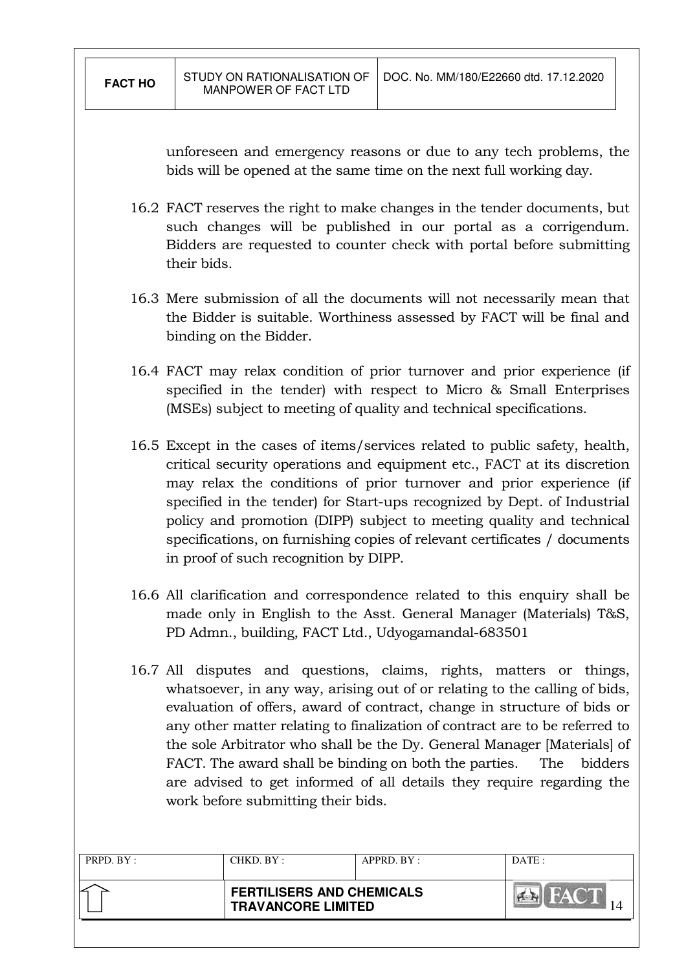unforeseen and emergency reasons or due to any tech problems, the bids will be opened at the same time on the next full working day.

- 16.2 FACT reserves the right to make changes in the tender documents, but such changes will be published in our portal as a corrigendum. Bidders are requested to counter check with portal before submitting their bids.
- 16.3 Mere submission of all the documents will not necessarily mean that the Bidder is suitable. Worthiness assessed by FACT will be final and binding on the Bidder.
- 16.4 FACT may relax condition of prior turnover and prior experience (if specified in the tender) with respect to Micro & Small Enterprises (MSEs) subject to meeting of quality and technical specifications.
- 16.5 Except in the cases of items/services related to public safety, health, critical security operations and equipment etc., FACT at its discretion may relax the conditions of prior turnover and prior experience (if specified in the tender) for Start-ups recognized by Dept. of Industrial policy and promotion (DIPP) subject to meeting quality and technical specifications, on furnishing copies of relevant certificates / documents in proof of such recognition by DIPP.
- 16.6 All clarification and correspondence related to this enquiry shall be made only in English to the Asst. General Manager (Materials) T&S, PD Admn., building, FACT Ltd., Udyogamandal-683501
- 16.7 All disputes and questions, claims, rights, matters or things, whatsoever, in any way, arising out of or relating to the calling of bids, evaluation of offers, award of contract, change in structure of bids or any other matter relating to finalization of contract are to be referred to the sole Arbitrator who shall be the Dy. General Manager [Materials] of FACT. The award shall be binding on both the parties. The bidders are advised to get informed of all details they require regarding the work before submitting their bids.

| PRPD. BY : | CHKD. BY : | APPRD. BY :                                                   | DATA |
|------------|------------|---------------------------------------------------------------|------|
|            |            | <b>FERTILISERS AND CHEMICALS</b><br><b>TRAVANCORE LIMITED</b> |      |
|            |            |                                                               |      |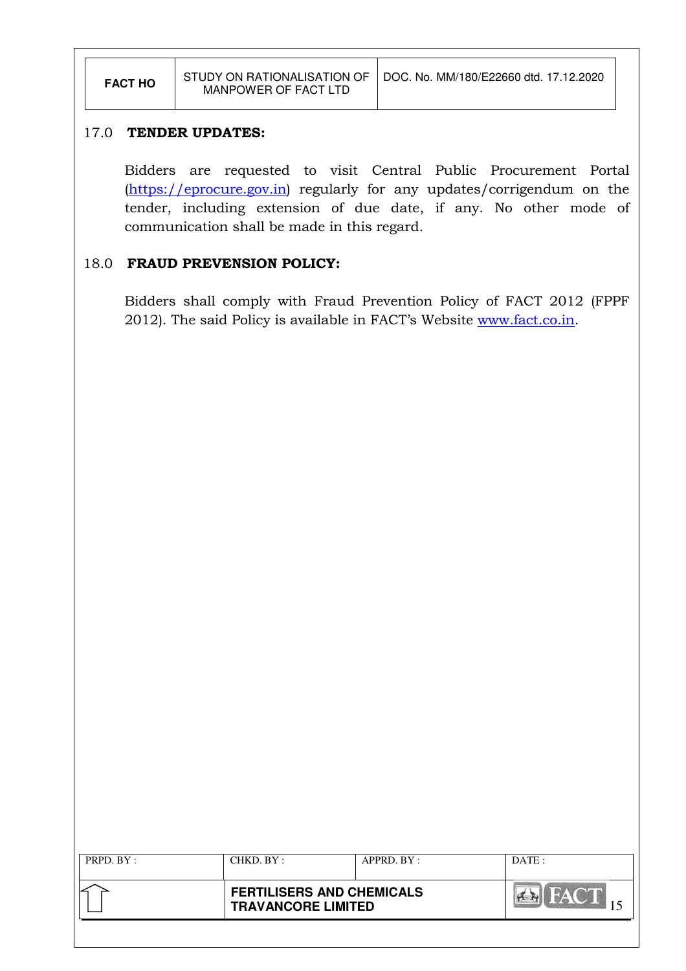#### 17.0 TENDER UPDATES:

Bidders are requested to visit Central Public Procurement Portal (https://eprocure.gov.in) regularly for any updates/corrigendum on the tender, including extension of due date, if any. No other mode of communication shall be made in this regard.

#### 18.0 FRAUD PREVENSION POLICY:

Bidders shall comply with Fraud Prevention Policy of FACT 2012 (FPPF 2012). The said Policy is available in FACT's Website www.fact.co.in.

| PRPD. BY: | CHKD. BY:                                                     | APPRD. BY: | DATE: |
|-----------|---------------------------------------------------------------|------------|-------|
|           | <b>FERTILISERS AND CHEMICALS</b><br><b>TRAVANCORE LIMITED</b> |            |       |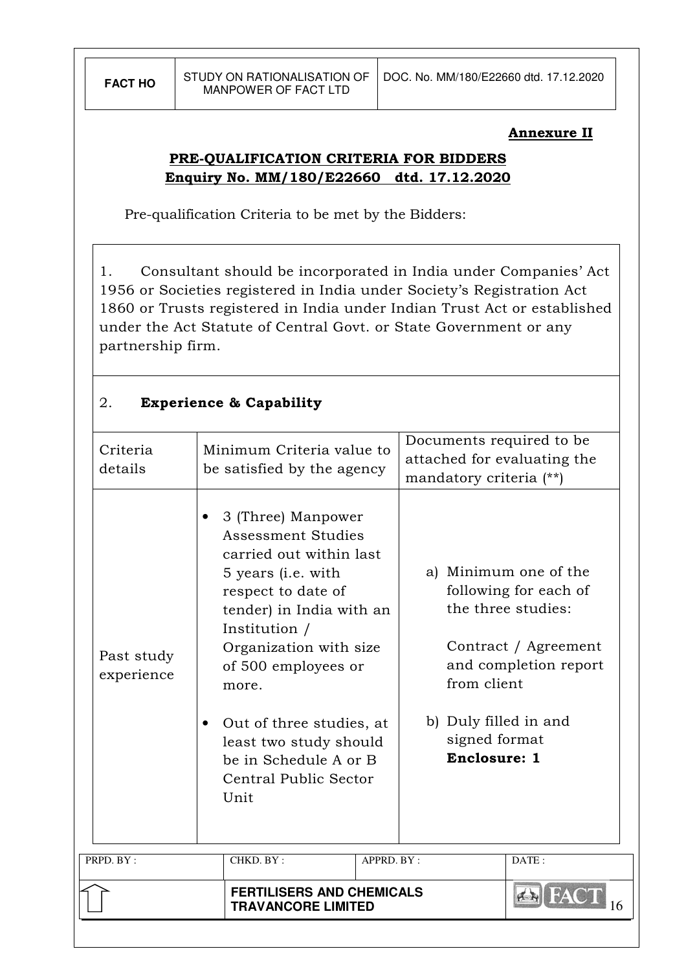#### Annexure II

# PRE-QUALIFICATION CRITERIA FOR BIDDERS Enquiry No. MM/180/E22660 dtd. 17.12.2020

Pre-qualification Criteria to be met by the Bidders:

1. Consultant should be incorporated in India under Companies' Act 1956 or Societies registered in India under Society's Registration Act 1860 or Trusts registered in India under Indian Trust Act or established under the Act Statute of Central Govt. or State Government or any partnership firm.

#### 2. Experience & Capability

|                          | <b>FERTILISERS AND CHEMICALS</b><br><b>TRAVANCORE LIMITED</b>                                                                                                                                                                                                                                                                                         |            |                                                                                    |                                                                                                                                                                                                |
|--------------------------|-------------------------------------------------------------------------------------------------------------------------------------------------------------------------------------------------------------------------------------------------------------------------------------------------------------------------------------------------------|------------|------------------------------------------------------------------------------------|------------------------------------------------------------------------------------------------------------------------------------------------------------------------------------------------|
| PRPD. BY:                | CHKD. BY:                                                                                                                                                                                                                                                                                                                                             | APPRD. BY: |                                                                                    | DATE:                                                                                                                                                                                          |
| Past study<br>experience | 3 (Three) Manpower<br><b>Assessment Studies</b><br>carried out within last<br>5 years ( <i>i.e.</i> with<br>respect to date of<br>tender) in India with an<br>Institution /<br>Organization with size<br>of 500 employees or<br>more.<br>Out of three studies, at<br>least two study should<br>be in Schedule A or B<br>Central Public Sector<br>Unit |            |                                                                                    | a) Minimum one of the<br>following for each of<br>the three studies:<br>Contract / Agreement<br>and completion report<br>from client<br>b) Duly filled in and<br>signed format<br>Enclosure: 1 |
| Criteria<br>details      | Minimum Criteria value to<br>be satisfied by the agency                                                                                                                                                                                                                                                                                               |            | Documents required to be<br>attached for evaluating the<br>mandatory criteria (**) |                                                                                                                                                                                                |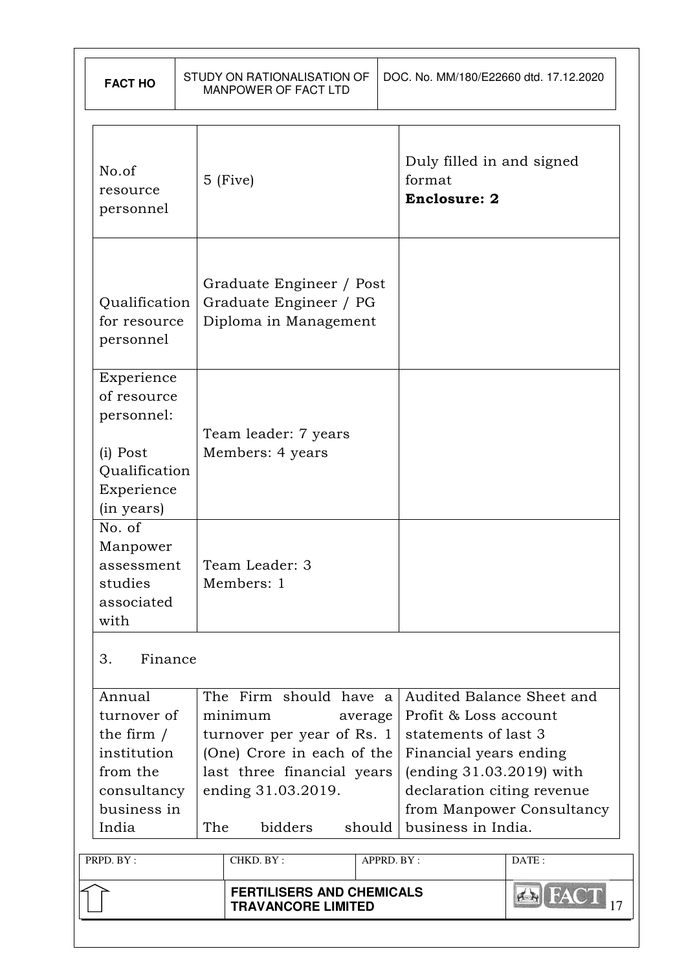| <b>FACT HO</b>                                                                                          |     | STUDY ON RATIONALISATION OF<br>MANPOWER OF FACT LTD                                                                                                          |                   | DOC. No. MM/180/E22660 dtd. 17.12.2020                                                                                                                                               |                           |
|---------------------------------------------------------------------------------------------------------|-----|--------------------------------------------------------------------------------------------------------------------------------------------------------------|-------------------|--------------------------------------------------------------------------------------------------------------------------------------------------------------------------------------|---------------------------|
| No.of<br>resource<br>personnel                                                                          |     | $5$ (Five)                                                                                                                                                   |                   | Duly filled in and signed<br>format<br><b>Enclosure: 2</b>                                                                                                                           |                           |
| Qualification<br>for resource<br>personnel                                                              |     | Graduate Engineer / Post<br>Graduate Engineer / PG<br>Diploma in Management                                                                                  |                   |                                                                                                                                                                                      |                           |
| Experience<br>of resource<br>personnel:<br>(i) Post<br>Qualification<br>Experience<br>(in years)        |     | Team leader: 7 years<br>Members: 4 years                                                                                                                     |                   |                                                                                                                                                                                      |                           |
| No. of<br>Manpower<br>assessment<br>studies<br>associated<br>with                                       |     | Team Leader: 3<br>Members: 1                                                                                                                                 |                   |                                                                                                                                                                                      |                           |
| Finance<br>3.                                                                                           |     |                                                                                                                                                              |                   |                                                                                                                                                                                      |                           |
| Annual<br>turnover of<br>the firm $/$<br>institution<br>from the<br>consultancy<br>business in<br>India | The | The Firm should have a<br>minimum<br>turnover per year of Rs. 1<br>(One) Crore in each of the<br>last three financial years<br>ending 31.03.2019.<br>bidders | average<br>should | Audited Balance Sheet and<br>Profit & Loss account<br>statements of last 3<br>Financial years ending<br>(ending 31.03.2019) with<br>declaration citing revenue<br>business in India. | from Manpower Consultancy |
| PRPD. BY:                                                                                               |     | CHKD. BY:                                                                                                                                                    |                   | APPRD. BY:                                                                                                                                                                           | DATE:                     |
|                                                                                                         |     | <b>FERTILISERS AND CHEMICALS</b><br><b>TRAVANCORE LIMITED</b>                                                                                                |                   |                                                                                                                                                                                      | <b>AN FAC</b>             |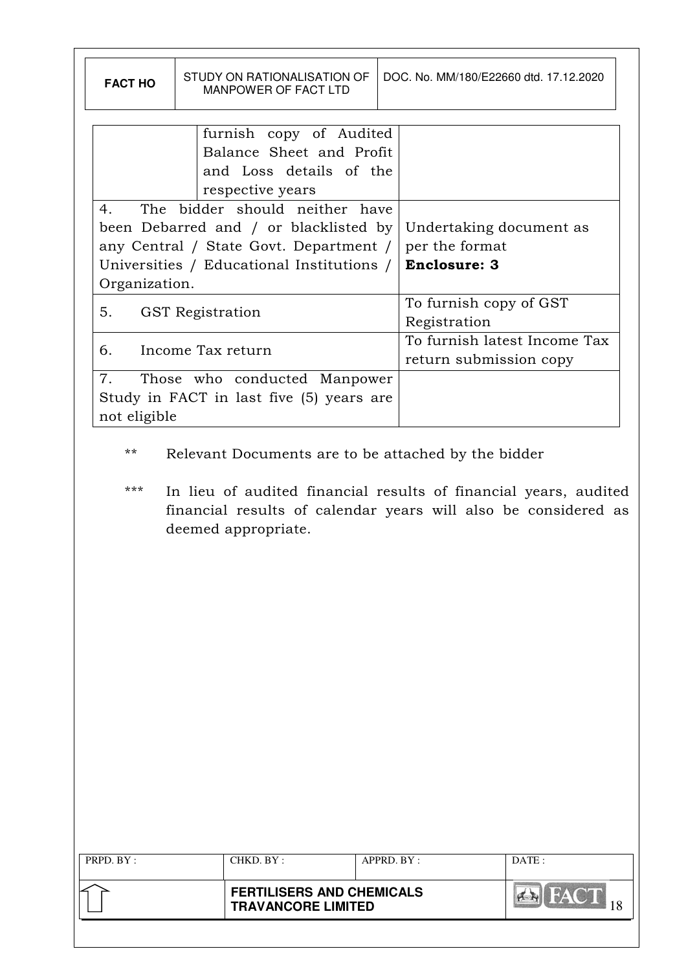| <b>FACT HO</b>                | STUDY ON RATIONALISATION OF<br><b>MANPOWER OF FACT LTD</b>                                                                                                       | DOC. No. MM/180/E22660 dtd. 17.12.2020                           |
|-------------------------------|------------------------------------------------------------------------------------------------------------------------------------------------------------------|------------------------------------------------------------------|
|                               | furnish copy of Audited<br>Balance Sheet and Profit<br>and Loss details of the<br>respective years                                                               |                                                                  |
| 4.<br>Organization.           | The bidder should neither have<br>been Debarred and / or blacklisted by<br>any Central / State Govt. Department /  <br>Universities / Educational Institutions / | Undertaking document as<br>per the format<br><b>Enclosure: 3</b> |
| 5.<br><b>GST</b> Registration |                                                                                                                                                                  | To furnish copy of GST<br>Registration                           |
| Income Tax return<br>6.       |                                                                                                                                                                  | To furnish latest Income Tax<br>return submission copy           |
| 7.<br>not eligible            | Those who conducted Manpower<br>Study in FACT in last five (5) years are                                                                                         |                                                                  |

- \*\* Relevant Documents are to be attached by the bidder
- \*\*\* In lieu of audited financial results of financial years, audited financial results of calendar years will also be considered as deemed appropriate.

| PRPD. BY : | CHKD. BY:                                                     | $APPRD$ . $BY$ : | DATE: |
|------------|---------------------------------------------------------------|------------------|-------|
|            | <b>FERTILISERS AND CHEMICALS</b><br><b>TRAVANCORE LIMITED</b> |                  |       |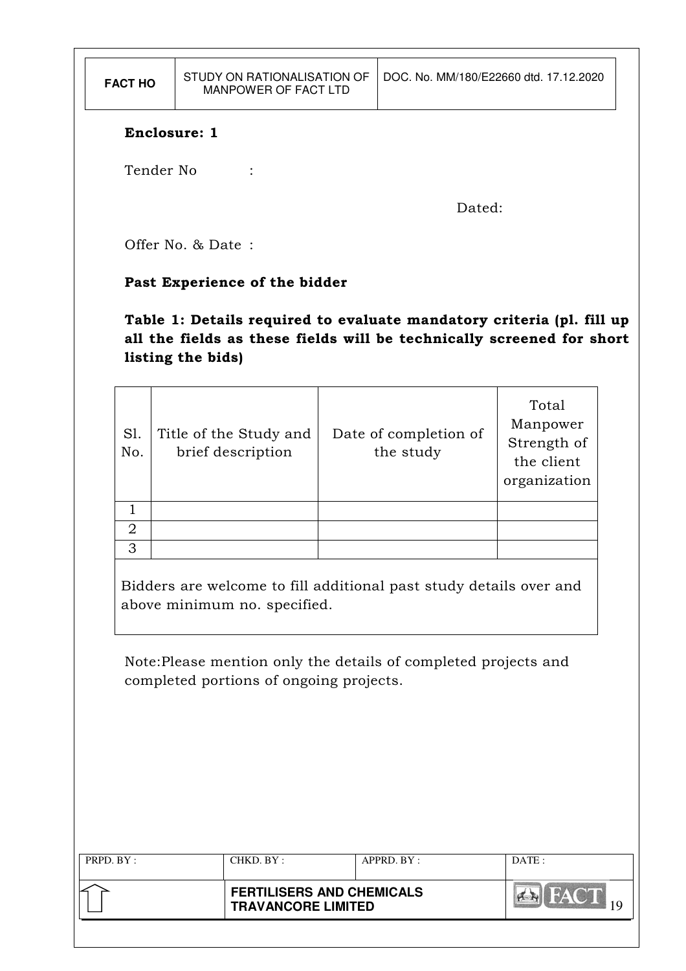| <b>FACT HO</b>                      |                                                                                                            | STUDY ON RATIONALISATION OF<br>MANPOWER OF FACT LTD |  |                                                                                                                                                | DOC. No. MM/180/E22660 dtd. 17.12.2020                         |  |  |  |
|-------------------------------------|------------------------------------------------------------------------------------------------------------|-----------------------------------------------------|--|------------------------------------------------------------------------------------------------------------------------------------------------|----------------------------------------------------------------|--|--|--|
|                                     | Enclosure: 1                                                                                               |                                                     |  |                                                                                                                                                |                                                                |  |  |  |
| Tender No                           |                                                                                                            |                                                     |  |                                                                                                                                                |                                                                |  |  |  |
|                                     |                                                                                                            |                                                     |  | Dated:                                                                                                                                         |                                                                |  |  |  |
|                                     | Offer No. & Date:                                                                                          |                                                     |  |                                                                                                                                                |                                                                |  |  |  |
|                                     |                                                                                                            | Past Experience of the bidder                       |  |                                                                                                                                                |                                                                |  |  |  |
|                                     | listing the bids)                                                                                          |                                                     |  | Table 1: Details required to evaluate mandatory criteria (pl. fill up<br>all the fields as these fields will be technically screened for short |                                                                |  |  |  |
| SI.<br>No.                          |                                                                                                            | Title of the Study and<br>brief description         |  | Date of completion of<br>the study                                                                                                             | Total<br>Manpower<br>Strength of<br>the client<br>organization |  |  |  |
| $\mathbf{1}$<br>$\overline{2}$<br>3 |                                                                                                            |                                                     |  |                                                                                                                                                |                                                                |  |  |  |
|                                     |                                                                                                            | above minimum no. specified.                        |  | Bidders are welcome to fill additional past study details over and                                                                             |                                                                |  |  |  |
|                                     | Note: Please mention only the details of completed projects and<br>completed portions of ongoing projects. |                                                     |  |                                                                                                                                                |                                                                |  |  |  |
|                                     |                                                                                                            |                                                     |  |                                                                                                                                                |                                                                |  |  |  |
|                                     |                                                                                                            |                                                     |  |                                                                                                                                                |                                                                |  |  |  |
|                                     |                                                                                                            |                                                     |  |                                                                                                                                                |                                                                |  |  |  |
| PRPD. BY:                           |                                                                                                            | CHKD. BY:                                           |  | APPRD. BY:                                                                                                                                     | DATE:                                                          |  |  |  |
|                                     | <b>FERTILISERS AND CHEMICALS</b><br><b>BALLACT</b><br><b>TRAVANCORE LIMITED</b>                            |                                                     |  |                                                                                                                                                |                                                                |  |  |  |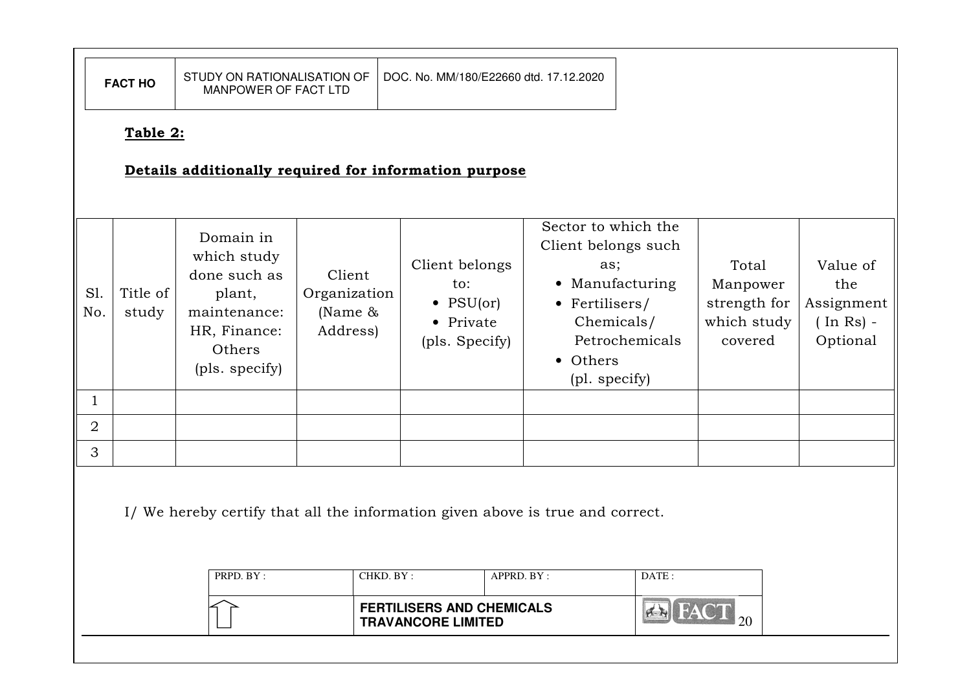|                                                                                                                      | <b>FACT HO</b>                                                                 | STUDY ON RATIONALISATION OF<br>MANPOWER OF FACT LTD                                                            |                                                  |                                                                           | DOC. No. MM/180/E22660 dtd. 17.12.2020                                                                                            |                |                                                             |                                                              |  |
|----------------------------------------------------------------------------------------------------------------------|--------------------------------------------------------------------------------|----------------------------------------------------------------------------------------------------------------|--------------------------------------------------|---------------------------------------------------------------------------|-----------------------------------------------------------------------------------------------------------------------------------|----------------|-------------------------------------------------------------|--------------------------------------------------------------|--|
|                                                                                                                      | Table 2:<br>Details additionally required for information purpose              |                                                                                                                |                                                  |                                                                           |                                                                                                                                   |                |                                                             |                                                              |  |
| Sl.<br>No.                                                                                                           | Title of<br>study                                                              | Domain in<br>which study<br>done such as<br>plant,<br>maintenance:<br>HR, Finance:<br>Others<br>(pls. specify) | Client<br>Organization<br>(Name $\&$<br>Address) | Client belongs<br>to:<br>$\bullet$ PSU(or)<br>• Private<br>(pls. Specify) | Sector to which the<br>Client belongs such<br>as;<br>• Manufacturing<br>• Fertilisers/<br>Chemicals/<br>• Others<br>(pl. specify) | Petrochemicals | Total<br>Manpower<br>strength for<br>which study<br>covered | Value of<br>the<br>Assignment<br>$($ In Rs $)$ -<br>Optional |  |
| $\mathbf{1}$                                                                                                         |                                                                                |                                                                                                                |                                                  |                                                                           |                                                                                                                                   |                |                                                             |                                                              |  |
| $\overline{2}$                                                                                                       |                                                                                |                                                                                                                |                                                  |                                                                           |                                                                                                                                   |                |                                                             |                                                              |  |
| 3                                                                                                                    |                                                                                |                                                                                                                |                                                  |                                                                           |                                                                                                                                   |                |                                                             |                                                              |  |
|                                                                                                                      | I/ We hereby certify that all the information given above is true and correct. |                                                                                                                |                                                  |                                                                           |                                                                                                                                   |                |                                                             |                                                              |  |
| PRPD. BY:<br>CHKD. BY:<br>APPRD. BY:<br>DATE:<br><b>FERTILISERS AND CHEMICALS</b><br>20<br><b>TRAVANCORE LIMITED</b> |                                                                                |                                                                                                                |                                                  |                                                                           |                                                                                                                                   |                |                                                             |                                                              |  |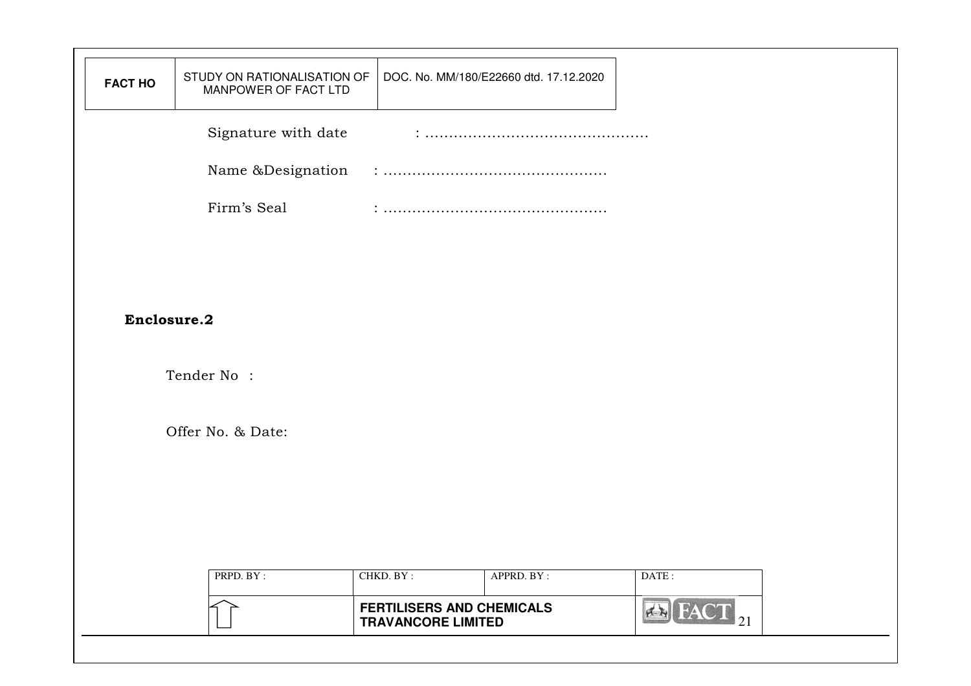| <b>FACT HO</b> | STUDY ON RATIONALISATION OF<br>MANPOWER OF FACT LTD | DOC. No. MM/180/E22660 dtd. 17.12.2020                        |                          |  |
|----------------|-----------------------------------------------------|---------------------------------------------------------------|--------------------------|--|
|                | Signature with date                                 |                                                               |                          |  |
|                | Name &Designation                                   |                                                               |                          |  |
|                | Firm's Seal                                         |                                                               |                          |  |
|                |                                                     |                                                               |                          |  |
|                |                                                     |                                                               |                          |  |
| Enclosure.2    |                                                     |                                                               |                          |  |
|                | Tender No:                                          |                                                               |                          |  |
|                |                                                     |                                                               |                          |  |
|                | Offer No. & Date:                                   |                                                               |                          |  |
|                |                                                     |                                                               |                          |  |
|                |                                                     |                                                               |                          |  |
|                |                                                     |                                                               |                          |  |
|                | PRPD. BY:                                           | CHKD. BY:<br>APPRD. BY:                                       | DATE:                    |  |
|                |                                                     | <b>FERTILISERS AND CHEMICALS</b><br><b>TRAVANCORE LIMITED</b> | $\bigoplus$ FACT $_{21}$ |  |
|                |                                                     |                                                               |                          |  |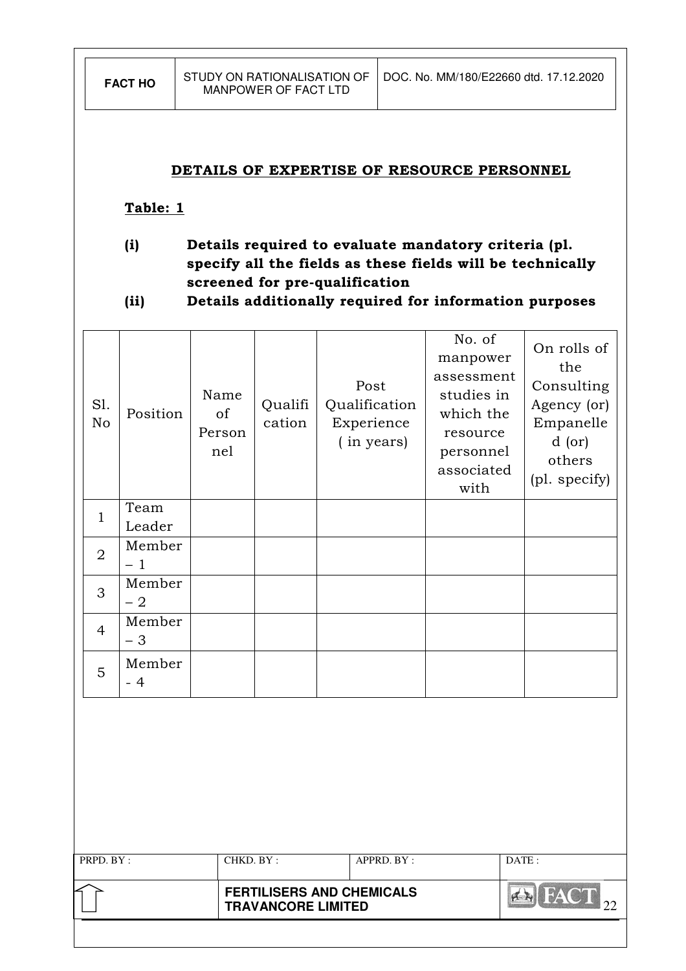#### DETAILS OF EXPERTISE OF RESOURCE PERSONNEL

#### Table: 1

- (i) Details required to evaluate mandatory criteria (pl. specify all the fields as these fields will be technically screened for pre-qualification
- (ii) Details additionally required for information purposes

| Sl.<br>No      | Position       | Name<br>of<br>Person<br>nel | Qualifi<br>cation |  | Post<br>Qualification<br>Experience<br>(in years) | No. of<br>manpower<br>assessment<br>studies in<br>which the<br>resource<br>personnel<br>associated<br>with |       | On rolls of<br>the<br>Consulting<br>Agency (or)<br>Empanelle<br>$d$ (or)<br>others<br>(pl. specify) |
|----------------|----------------|-----------------------------|-------------------|--|---------------------------------------------------|------------------------------------------------------------------------------------------------------------|-------|-----------------------------------------------------------------------------------------------------|
| $\mathbf{1}$   | Team<br>Leader |                             |                   |  |                                                   |                                                                                                            |       |                                                                                                     |
| $\overline{2}$ | Member<br>$-1$ |                             |                   |  |                                                   |                                                                                                            |       |                                                                                                     |
| 3              | Member<br>$-2$ |                             |                   |  |                                                   |                                                                                                            |       |                                                                                                     |
| $\overline{4}$ | Member<br>$-3$ |                             |                   |  |                                                   |                                                                                                            |       |                                                                                                     |
| 5              | Member<br>$-4$ |                             |                   |  |                                                   |                                                                                                            |       |                                                                                                     |
|                |                |                             |                   |  |                                                   |                                                                                                            |       |                                                                                                     |
| PRPD. BY:      |                |                             | CHKD. BY:         |  | APPRD. BY:                                        |                                                                                                            | DATE: |                                                                                                     |

| <b>FERTILISERS AND CHEMICALS</b><br><b>TRAVANCORE LIMITED</b> |  |
|---------------------------------------------------------------|--|
|                                                               |  |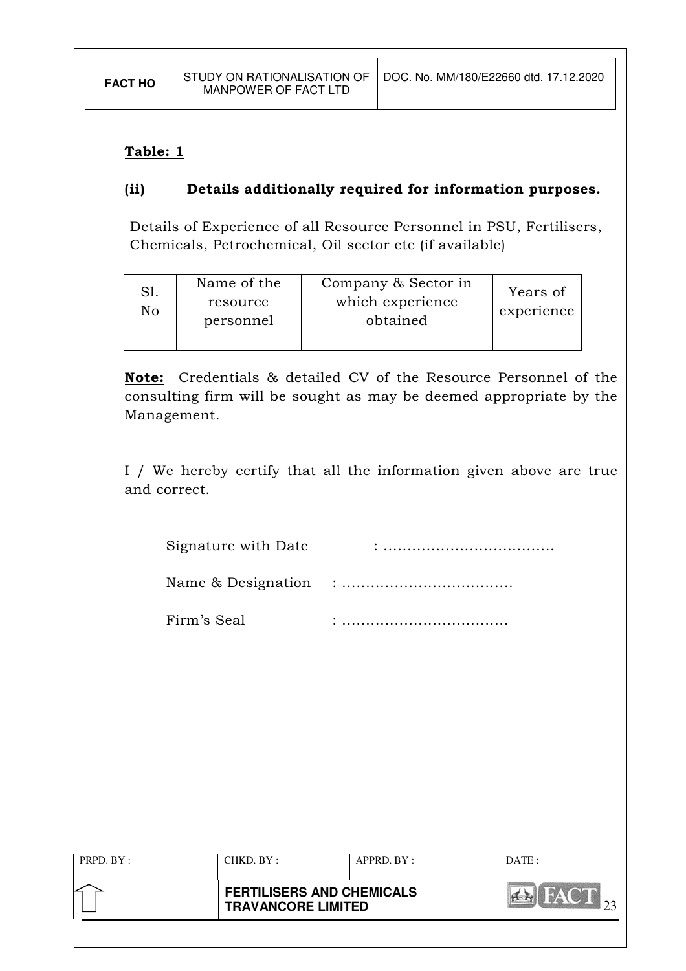# Table: 1

# (ii) Details additionally required for information purposes.

Details of Experience of all Resource Personnel in PSU, Fertilisers, Chemicals, Petrochemical, Oil sector etc (if available)

| Sl.<br>No | Name of the<br>resource<br>personnel | Company & Sector in<br>which experience<br>obtained | Years of<br>experience |
|-----------|--------------------------------------|-----------------------------------------------------|------------------------|
|           |                                      |                                                     |                        |

Note: Credentials & detailed CV of the Resource Personnel of the consulting firm will be sought as may be deemed appropriate by the Management.

I / We hereby certify that all the information given above are true and correct.

| Signature with Date |  |
|---------------------|--|
|---------------------|--|

| Name & Designation |  |
|--------------------|--|
|--------------------|--|

Firm's Seal : ...................................

|           |            | <b>FERTILISERS AND CHEMICALS</b><br><b>TRAVANCORE LIMITED</b> |       |
|-----------|------------|---------------------------------------------------------------|-------|
| PRPD. BY: | CHKD. BY : | APPRD. BY:                                                    | DATE: |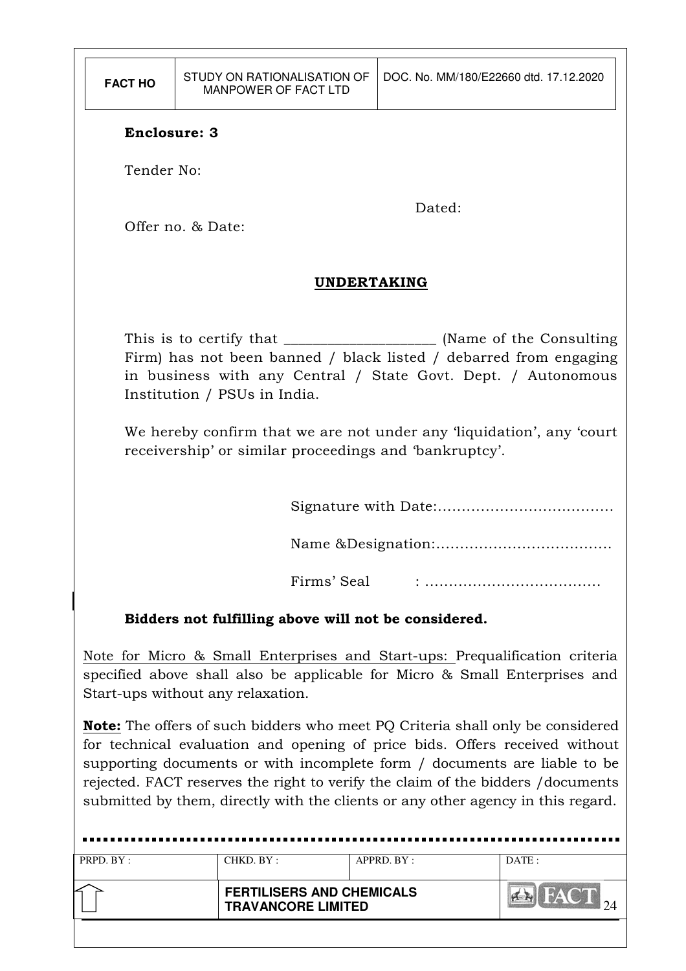| <b>FACT HO</b>      | STUDY ON RATIONALISATION OF<br>MANPOWER OF FACT LTD                                                                             | DOC. No. MM/180/E22660 dtd. 17.12.2020                                                                                             |  |  |  |  |  |
|---------------------|---------------------------------------------------------------------------------------------------------------------------------|------------------------------------------------------------------------------------------------------------------------------------|--|--|--|--|--|
| <b>Enclosure: 3</b> |                                                                                                                                 |                                                                                                                                    |  |  |  |  |  |
| Tender No:          |                                                                                                                                 |                                                                                                                                    |  |  |  |  |  |
|                     | Offer no. & Date:                                                                                                               | Dated:                                                                                                                             |  |  |  |  |  |
|                     | <b>UNDERTAKING</b>                                                                                                              |                                                                                                                                    |  |  |  |  |  |
|                     | Institution / PSUs in India.                                                                                                    | Firm) has not been banned / black listed / debarred from engaging<br>in business with any Central / State Govt. Dept. / Autonomous |  |  |  |  |  |
|                     | We hereby confirm that we are not under any 'liquidation', any 'court<br>receivership' or similar proceedings and 'bankruptcy'. |                                                                                                                                    |  |  |  |  |  |
|                     |                                                                                                                                 |                                                                                                                                    |  |  |  |  |  |
|                     |                                                                                                                                 |                                                                                                                                    |  |  |  |  |  |
|                     | Firms' Seal                                                                                                                     |                                                                                                                                    |  |  |  |  |  |
|                     | Bidders not fulfilling above will not be considered.                                                                            |                                                                                                                                    |  |  |  |  |  |
|                     |                                                                                                                                 | Note for Micro & Small Enterprises and Start-uns: Prequalification criteria                                                        |  |  |  |  |  |

Note for Micro & Small Enterprises and Start-ups: Prequalification criteria specified above shall also be applicable for Micro & Small Enterprises and Start-ups without any relaxation.

Note: The offers of such bidders who meet PQ Criteria shall only be considered for technical evaluation and opening of price bids. Offers received without supporting documents or with incomplete form / documents are liable to be rejected. FACT reserves the right to verify the claim of the bidders /documents submitted by them, directly with the clients or any other agency in this regard.

| PRPD. BY: | CHKD. BY:                                                     | APPRD. BY: | DATA: |
|-----------|---------------------------------------------------------------|------------|-------|
|           | <b>FERTILISERS AND CHEMICALS</b><br><b>TRAVANCORE LIMITED</b> |            |       |
|           |                                                               |            |       |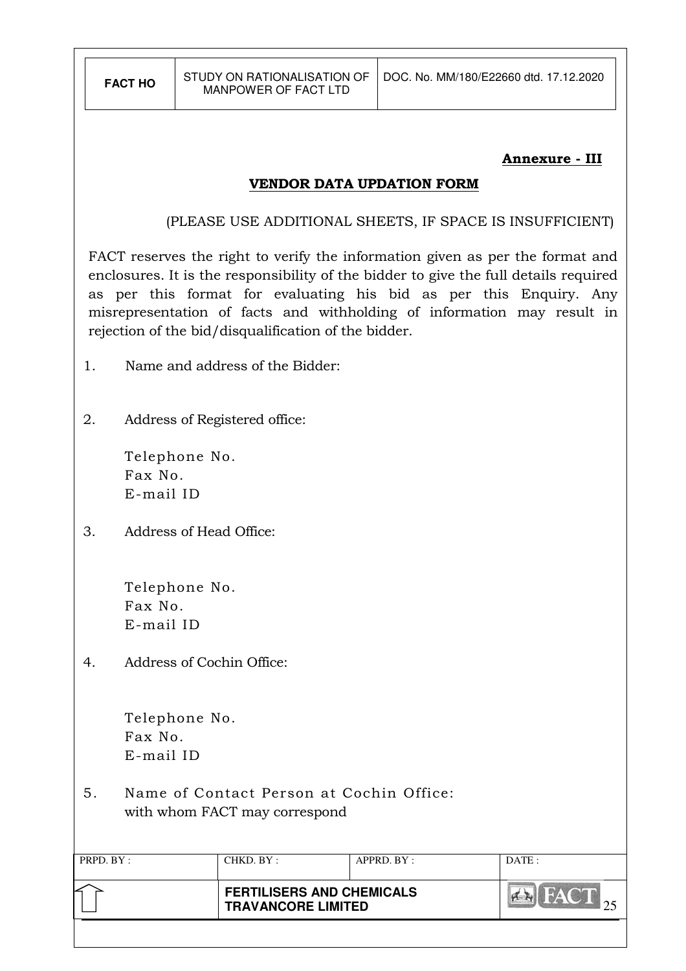#### Annexure - III

#### VENDOR DATA UPDATION FORM

(PLEASE USE ADDITIONAL SHEETS, IF SPACE IS INSUFFICIENT)

FACT reserves the right to verify the information given as per the format and enclosures. It is the responsibility of the bidder to give the full details required as per this format for evaluating his bid as per this Enquiry. Any misrepresentation of facts and withholding of information may result in rejection of the bid/disqualification of the bidder.

- 1. Name and address of the Bidder:
- 2. Address of Registered office:

 Telephone No. Fax No. E-mail ID

3. Address of Head Office:

Telephone No. Fax No. E-mail ID

4. Address of Cochin Office:

Telephone No. Fax No. E-mail ID

5. Name of Contact Person at Cochin Office: with whom FACT may correspond

| PRPD. BY: | CHKD. BY :                                                    | APPRD. BY: | DATA: |
|-----------|---------------------------------------------------------------|------------|-------|
|           | <b>FERTILISERS AND CHEMICALS</b><br><b>TRAVANCORE LIMITED</b> |            |       |
|           |                                                               |            |       |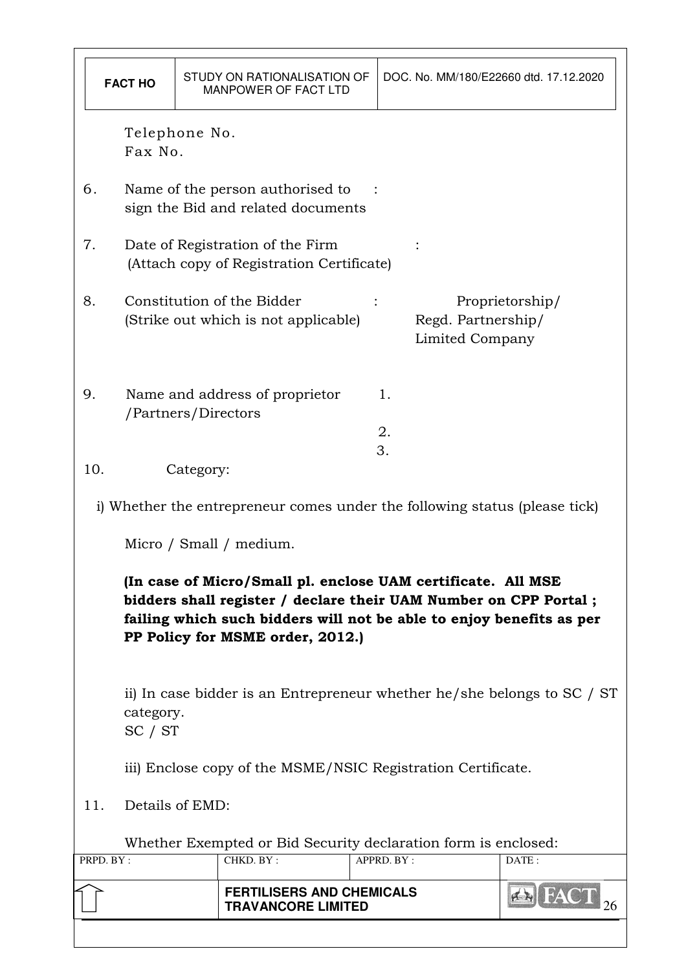| <b>FACT HO</b> |                                                                                                                |                                                                                                                                                                                                                                              | STUDY ON RATIONALISATION OF<br>MANPOWER OF FACT LTD |                                                                               |  |                | DOC. No. MM/180/E22660 dtd. 17.12.2020 |                 |
|----------------|----------------------------------------------------------------------------------------------------------------|----------------------------------------------------------------------------------------------------------------------------------------------------------------------------------------------------------------------------------------------|-----------------------------------------------------|-------------------------------------------------------------------------------|--|----------------|----------------------------------------|-----------------|
|                |                                                                                                                | Telephone No.<br>Fax No.                                                                                                                                                                                                                     |                                                     |                                                                               |  |                |                                        |                 |
|                | 6.                                                                                                             | Name of the person authorised to<br>sign the Bid and related documents                                                                                                                                                                       |                                                     |                                                                               |  |                |                                        |                 |
|                | 7.                                                                                                             |                                                                                                                                                                                                                                              |                                                     | Date of Registration of the Firm<br>(Attach copy of Registration Certificate) |  |                |                                        |                 |
|                | 8.                                                                                                             |                                                                                                                                                                                                                                              |                                                     | Constitution of the Bidder<br>(Strike out which is not applicable)            |  |                | Regd. Partnership/<br>Limited Company  | Proprietorship/ |
|                | 9.                                                                                                             | /Partners/Directors                                                                                                                                                                                                                          |                                                     | Name and address of proprietor                                                |  | 1.<br>2.<br>3. |                                        |                 |
|                | 10.                                                                                                            |                                                                                                                                                                                                                                              | Category:                                           |                                                                               |  |                |                                        |                 |
|                |                                                                                                                |                                                                                                                                                                                                                                              |                                                     | i) Whether the entrepreneur comes under the following status (please tick)    |  |                |                                        |                 |
|                |                                                                                                                |                                                                                                                                                                                                                                              |                                                     | Micro / Small / medium.                                                       |  |                |                                        |                 |
|                |                                                                                                                | (In case of Micro/Small pl. enclose UAM certificate. All MSE<br>bidders shall register / declare their UAM Number on CPP Portal;<br>failing which such bidders will not be able to enjoy benefits as per<br>PP Policy for MSME order, 2012.) |                                                     |                                                                               |  |                |                                        |                 |
|                |                                                                                                                | ii) In case bidder is an Entrepreneur whether he/she belongs to SC / ST<br>category.<br>SC / ST                                                                                                                                              |                                                     |                                                                               |  |                |                                        |                 |
|                |                                                                                                                | iii) Enclose copy of the MSME/NSIC Registration Certificate.                                                                                                                                                                                 |                                                     |                                                                               |  |                |                                        |                 |
|                | 11.<br>Details of EMD:                                                                                         |                                                                                                                                                                                                                                              |                                                     |                                                                               |  |                |                                        |                 |
|                |                                                                                                                |                                                                                                                                                                                                                                              |                                                     | Whether Exempted or Bid Security declaration form is enclosed:                |  |                |                                        |                 |
|                | PRPD. BY:<br>CHKD. BY:<br>APPRD. BY:<br>DATE:<br><b>FERTILISERS AND CHEMICALS</b><br><b>TRAVANCORE LIMITED</b> |                                                                                                                                                                                                                                              |                                                     |                                                                               |  |                |                                        |                 |
|                |                                                                                                                |                                                                                                                                                                                                                                              |                                                     |                                                                               |  |                |                                        |                 |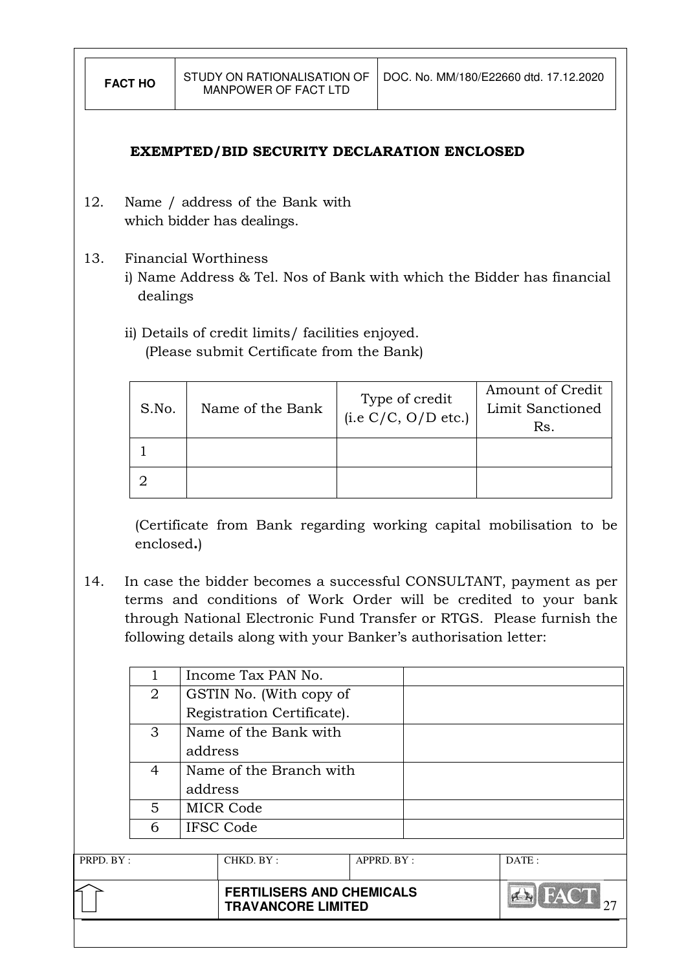#### EXEMPTED/BID SECURITY DECLARATION ENCLOSED

- 12. Name / address of the Bank with which bidder has dealings.
- 13. Financial Worthiness
	- i) Name Address & Tel. Nos of Bank with which the Bidder has financial dealings
	- ii) Details of credit limits/ facilities enjoyed. (Please submit Certificate from the Bank)

| S.No. | Name of the Bank | Type of credit<br>(i.e C/C, O/D etc.) | Amount of Credit<br>Limit Sanctioned<br>Rs. |
|-------|------------------|---------------------------------------|---------------------------------------------|
|       |                  |                                       |                                             |
|       |                  |                                       |                                             |

(Certificate from Bank regarding working capital mobilisation to be enclosed.)

14. In case the bidder becomes a successful CONSULTANT, payment as per terms and conditions of Work Order will be credited to your bank through National Electronic Fund Transfer or RTGS. Please furnish the following details along with your Banker's authorisation letter:

|           |                |                       | <b>FERTILISERS AND CHEMICALS</b><br><b>TRAVANCORE LIMITED</b> |       |  |  |  |
|-----------|----------------|-----------------------|---------------------------------------------------------------|-------|--|--|--|
| PRPD. BY: |                | CHKD. BY:             | APPRD. BY:                                                    | DATE: |  |  |  |
|           |                |                       |                                                               |       |  |  |  |
|           | 6              | <b>IFSC Code</b>      |                                                               |       |  |  |  |
|           | 5              | <b>MICR Code</b>      |                                                               |       |  |  |  |
|           |                | address               |                                                               |       |  |  |  |
|           | 4              |                       | Name of the Branch with                                       |       |  |  |  |
|           |                | address               |                                                               |       |  |  |  |
|           | 3              | Name of the Bank with |                                                               |       |  |  |  |
|           |                |                       | Registration Certificate).                                    |       |  |  |  |
|           | $\overline{2}$ |                       | GSTIN No. (With copy of                                       |       |  |  |  |
|           |                |                       |                                                               |       |  |  |  |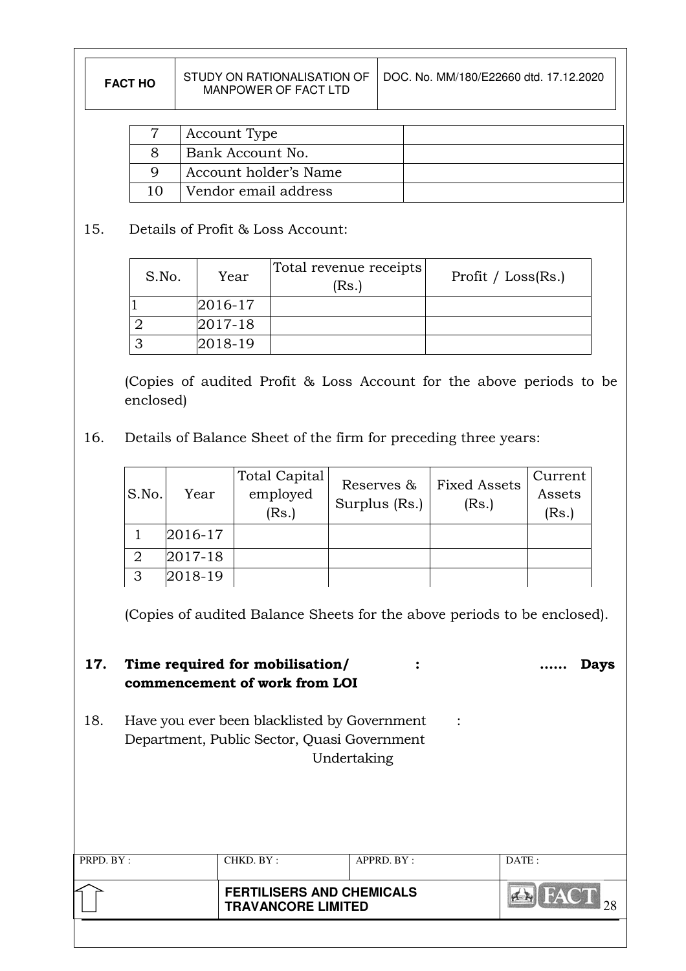| l DOC. No. MM/180/E22660 dtd. 17.12.2020<br>STUDY ON RATIONALISATION OF<br><b>FACT HO</b><br>MANPOWER OF FACT LTD |  |
|-------------------------------------------------------------------------------------------------------------------|--|
|-------------------------------------------------------------------------------------------------------------------|--|

| Account Type          |  |
|-----------------------|--|
| Bank Account No.      |  |
| Account holder's Name |  |
| Vendor email address  |  |

# 15. Details of Profit & Loss Account:

| S.No. | Year       | Total revenue receipts<br>(Rs.) | Profit / $Loss(Rs.)$ |
|-------|------------|---------------------------------|----------------------|
|       | 2016-17    |                                 |                      |
|       | $ 2017-18$ |                                 |                      |
|       | 2018-19    |                                 |                      |

(Copies of audited Profit & Loss Account for the above periods to be enclosed)

16. Details of Balance Sheet of the firm for preceding three years:

| S.No. | Year    | <b>Total Capital</b><br>employed<br>(Rs.) | Reserves &<br>Surplus (Rs.) | <b>Fixed Assets</b><br>(Rs.) | Current<br>Assets<br>(Rs.) |
|-------|---------|-------------------------------------------|-----------------------------|------------------------------|----------------------------|
|       | 2016-17 |                                           |                             |                              |                            |
|       | 2017-18 |                                           |                             |                              |                            |
| 3     | 2018-19 |                                           |                             |                              |                            |

(Copies of audited Balance Sheets for the above periods to be enclosed).

17. Time required for mobilisation/  $\cdots$   $\cdots$  Days commencement of work from LOI

18. Have you ever been blacklisted by Government : Department, Public Sector, Quasi Government Undertaking

| PRPD. BY: | CHKD. BY : | APPRD. BY:                                                    | DATE: |  |
|-----------|------------|---------------------------------------------------------------|-------|--|
|           |            | <b>FERTILISERS AND CHEMICALS</b><br><b>TRAVANCORE LIMITED</b> |       |  |
|           |            |                                                               |       |  |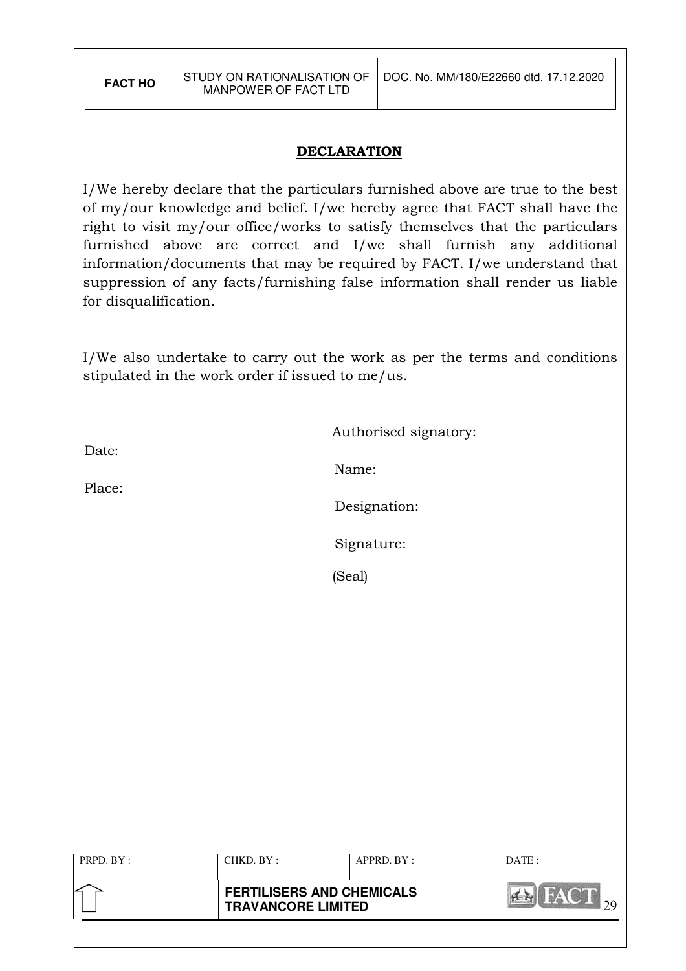#### **DECLARATION**

I/We hereby declare that the particulars furnished above are true to the best of my/our knowledge and belief. I/we hereby agree that FACT shall have the right to visit my/our office/works to satisfy themselves that the particulars furnished above are correct and I/we shall furnish any additional information/documents that may be required by FACT. I/we understand that suppression of any facts/furnishing false information shall render us liable for disqualification.

I/We also undertake to carry out the work as per the terms and conditions stipulated in the work order if issued to me/us.

Authorised signatory:

Date:

Place:

Name:

Designation:

Signature:

(Seal)

| PRPD. BY : | CHKD. BY :                                                    | APPRD. BY : | DATE:                         |
|------------|---------------------------------------------------------------|-------------|-------------------------------|
|            | <b>FERTILISERS AND CHEMICALS</b><br><b>TRAVANCORE LIMITED</b> |             | HAY GALLERY<br>$\sum_{i=1}^n$ |
|            |                                                               |             |                               |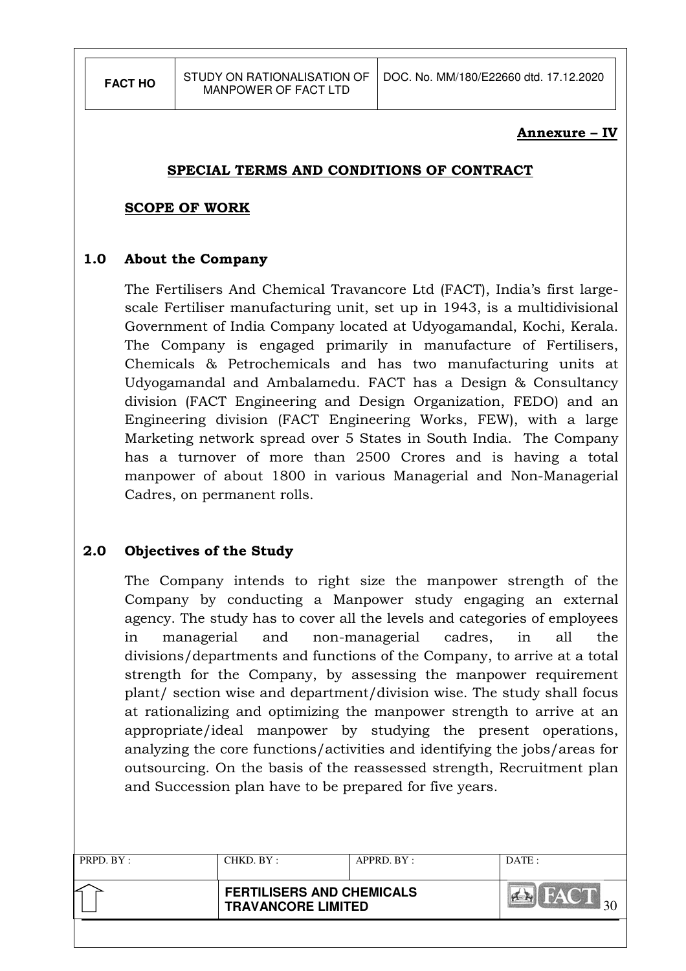#### Annexure – IV

#### SPECIAL TERMS AND CONDITIONS OF CONTRACT

#### SCOPE OF WORK

#### 1.0 About the Company

The Fertilisers And Chemical Travancore Ltd (FACT), India's first largescale Fertiliser manufacturing unit, set up in 1943, is a multidivisional Government of India Company located at Udyogamandal, Kochi, Kerala. The Company is engaged primarily in manufacture of Fertilisers, Chemicals & Petrochemicals and has two manufacturing units at Udyogamandal and Ambalamedu. FACT has a Design & Consultancy division (FACT Engineering and Design Organization, FEDO) and an Engineering division (FACT Engineering Works, FEW), with a large Marketing network spread over 5 States in South India. The Company has a turnover of more than 2500 Crores and is having a total manpower of about 1800 in various Managerial and Non-Managerial Cadres, on permanent rolls.

# 2.0 Objectives of the Study

The Company intends to right size the manpower strength of the Company by conducting a Manpower study engaging an external agency. The study has to cover all the levels and categories of employees in managerial and non-managerial cadres, in all the divisions/departments and functions of the Company, to arrive at a total strength for the Company, by assessing the manpower requirement plant/ section wise and department/division wise. The study shall focus at rationalizing and optimizing the manpower strength to arrive at an appropriate/ideal manpower by studying the present operations, analyzing the core functions/activities and identifying the jobs/areas for outsourcing. On the basis of the reassessed strength, Recruitment plan and Succession plan have to be prepared for five years.

| PRPD. BY: | CHKD. BY : | APPRD. BY:                                                    | DATE: |  |
|-----------|------------|---------------------------------------------------------------|-------|--|
|           |            | <b>FERTILISERS AND CHEMICALS</b><br><b>TRAVANCORE LIMITED</b> |       |  |
|           |            |                                                               |       |  |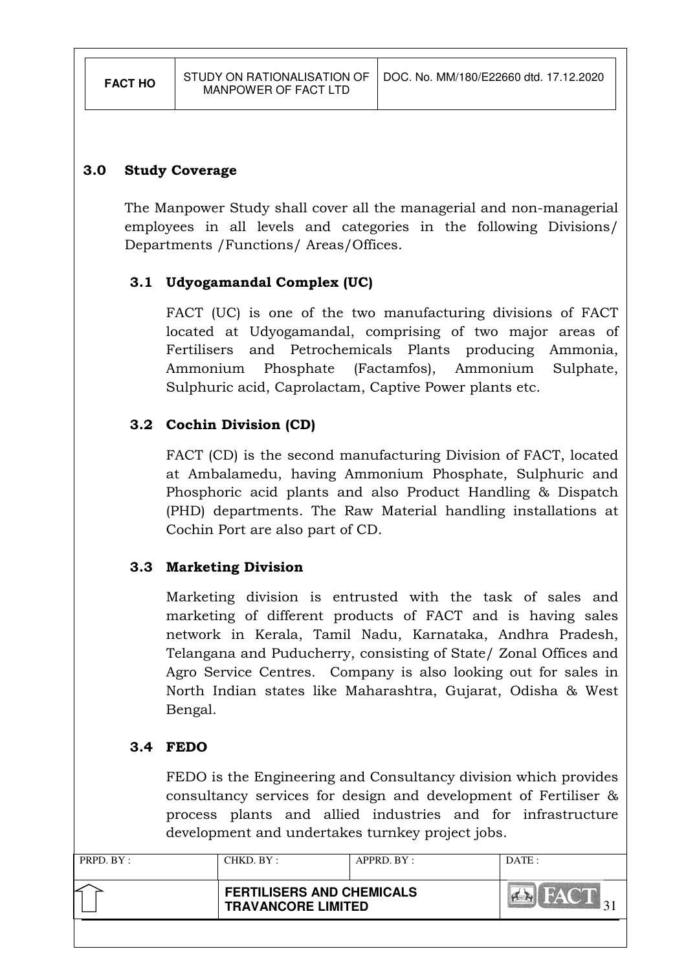#### 3.0 Study Coverage

 The Manpower Study shall cover all the managerial and non-managerial employees in all levels and categories in the following Divisions/ Departments /Functions/ Areas/Offices.

#### 3.1 Udyogamandal Complex (UC)

FACT (UC) is one of the two manufacturing divisions of FACT located at Udyogamandal, comprising of two major areas of Fertilisers and Petrochemicals Plants producing Ammonia, Ammonium Phosphate (Factamfos), Ammonium Sulphate, Sulphuric acid, Caprolactam, Captive Power plants etc.

#### 3.2 Cochin Division (CD)

FACT (CD) is the second manufacturing Division of FACT, located at Ambalamedu, having Ammonium Phosphate, Sulphuric and Phosphoric acid plants and also Product Handling & Dispatch (PHD) departments. The Raw Material handling installations at Cochin Port are also part of CD.

# 3.3 Marketing Division

Marketing division is entrusted with the task of sales and marketing of different products of FACT and is having sales network in Kerala, Tamil Nadu, Karnataka, Andhra Pradesh, Telangana and Puducherry, consisting of State/ Zonal Offices and Agro Service Centres. Company is also looking out for sales in North Indian states like Maharashtra, Gujarat, Odisha & West Bengal.

#### 3.4 FEDO

FEDO is the Engineering and Consultancy division which provides consultancy services for design and development of Fertiliser & process plants and allied industries and for infrastructure development and undertakes turnkey project jobs.

| PRPD. BY: | CHKD. BY :                                                    | APPRD. BY: | DATE: |
|-----------|---------------------------------------------------------------|------------|-------|
|           | <b>FERTILISERS AND CHEMICALS</b><br><b>TRAVANCORE LIMITED</b> |            |       |
|           |                                                               |            |       |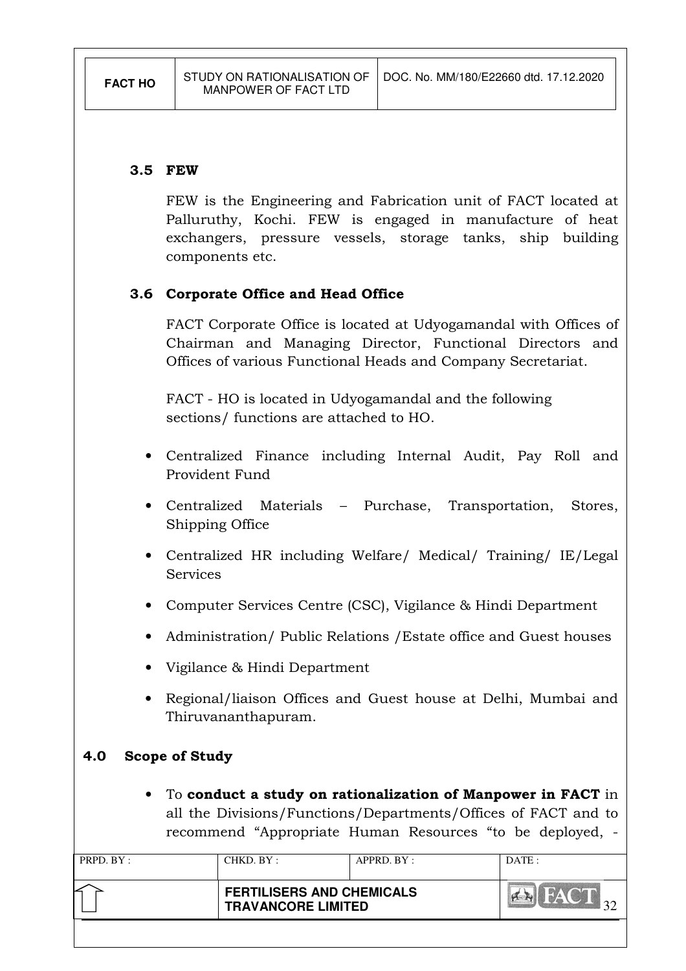### 3.5 FEW

FEW is the Engineering and Fabrication unit of FACT located at Palluruthy, Kochi. FEW is engaged in manufacture of heat exchangers, pressure vessels, storage tanks, ship building components etc.

# 3.6 Corporate Office and Head Office

FACT Corporate Office is located at Udyogamandal with Offices of Chairman and Managing Director, Functional Directors and Offices of various Functional Heads and Company Secretariat.

FACT - HO is located in Udyogamandal and the following sections/ functions are attached to HO.

- Centralized Finance including Internal Audit, Pay Roll and Provident Fund
- Centralized Materials Purchase, Transportation, Stores, Shipping Office
- Centralized HR including Welfare/ Medical/ Training/ IE/Legal **Services**
- Computer Services Centre (CSC), Vigilance & Hindi Department
- Administration/ Public Relations /Estate office and Guest houses
- Vigilance & Hindi Department
- Regional/liaison Offices and Guest house at Delhi, Mumbai and Thiruvananthapuram.

# 4.0 Scope of Study

• To conduct a study on rationalization of Manpower in FACT in all the Divisions/Functions/Departments/Offices of FACT and to recommend "Appropriate Human Resources "to be deployed, -

| PRPD. BY: | CHKD. BY:                                                     | APPRD. BY: | DATA |
|-----------|---------------------------------------------------------------|------------|------|
|           | <b>FERTILISERS AND CHEMICALS</b><br><b>TRAVANCORE LIMITED</b> |            |      |
|           |                                                               |            |      |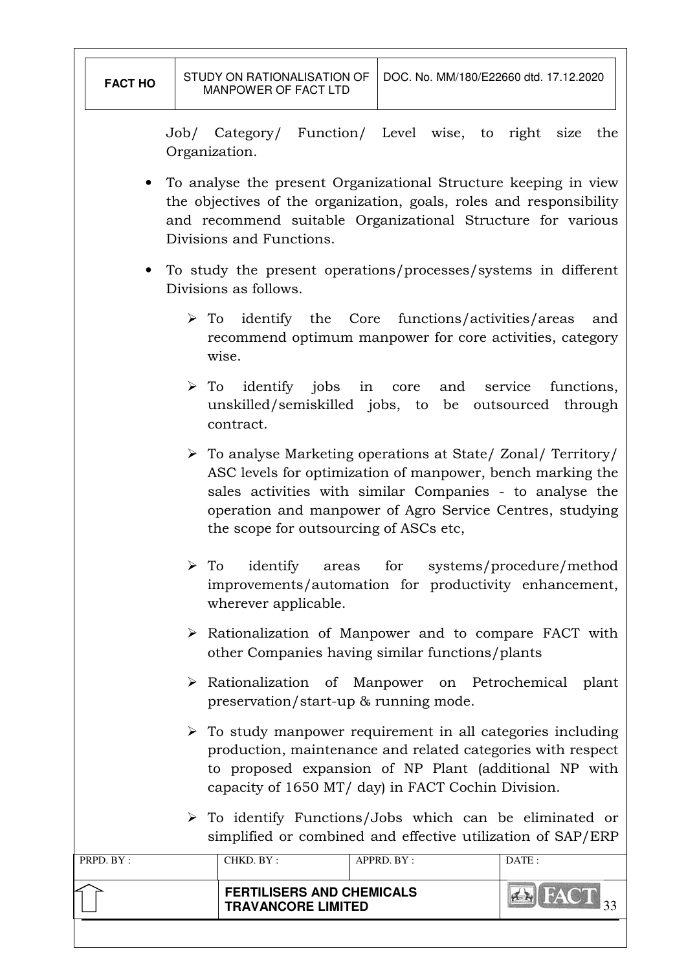Job/ Category/ Function/ Level wise, to right size the Organization.

- To analyse the present Organizational Structure keeping in view the objectives of the organization, goals, roles and responsibility and recommend suitable Organizational Structure for various Divisions and Functions.
- To study the present operations/processes/systems in different Divisions as follows.
	- $\triangleright$  To identify the Core functions/activities/areas and recommend optimum manpower for core activities, category wise.
	- $\triangleright$  To identify jobs in core and service functions, unskilled/semiskilled jobs, to be outsourced through contract.
	- To analyse Marketing operations at State/ Zonal/ Territory/ ASC levels for optimization of manpower, bench marking the sales activities with similar Companies - to analyse the operation and manpower of Agro Service Centres, studying the scope for outsourcing of ASCs etc,
	- > To identify areas for systems/procedure/method improvements/automation for productivity enhancement, wherever applicable.
	- $\triangleright$  Rationalization of Manpower and to compare FACT with other Companies having similar functions/plants
	- Rationalization of Manpower on Petrochemical plant preservation/start-up & running mode.
	- To study manpower requirement in all categories including production, maintenance and related categories with respect to proposed expansion of NP Plant (additional NP with capacity of 1650 MT/ day) in FACT Cochin Division.
	- To identify Functions/Jobs which can be eliminated or simplified or combined and effective utilization of SAP/ERP

| PRPD. BY : | CHKD. BY :                                                    | APPRD. BY: | DATA |
|------------|---------------------------------------------------------------|------------|------|
|            | <b>FERTILISERS AND CHEMICALS</b><br><b>TRAVANCORE LIMITED</b> |            |      |
|            |                                                               |            |      |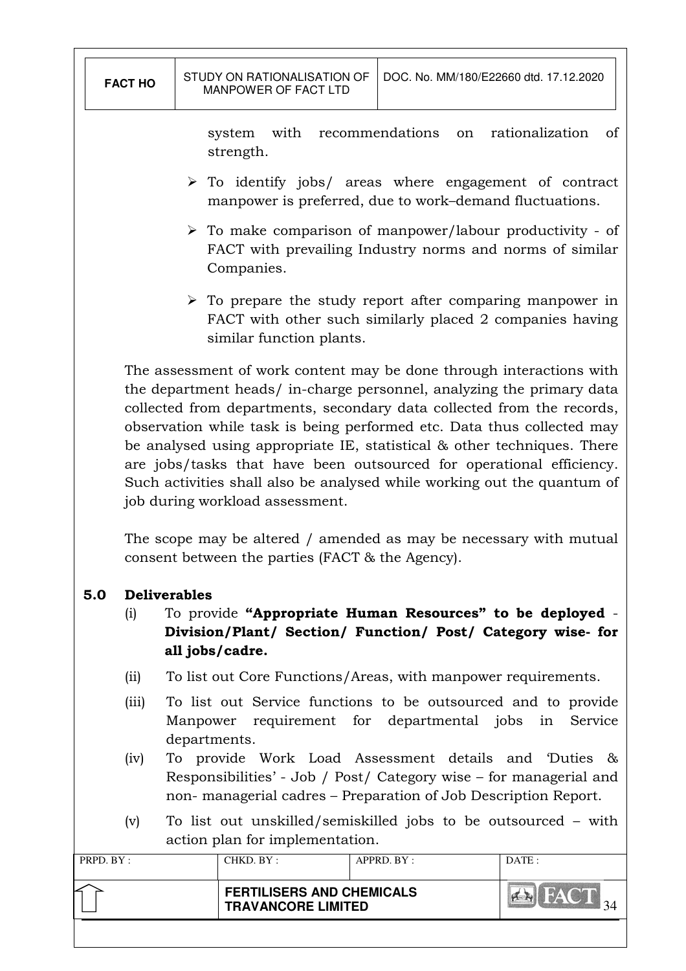|           | <b>FACT HO</b>                                                                                                                                                                                       |  | STUDY ON RATIONALISATION OF<br>MANPOWER OF FACT LTD           |  | DOC. No. MM/180/E22660 dtd. 17.12.2020                        |                                                                                                                                                                                                                                                                                                                                                                                                                                                                                                                                                                                                       |
|-----------|------------------------------------------------------------------------------------------------------------------------------------------------------------------------------------------------------|--|---------------------------------------------------------------|--|---------------------------------------------------------------|-------------------------------------------------------------------------------------------------------------------------------------------------------------------------------------------------------------------------------------------------------------------------------------------------------------------------------------------------------------------------------------------------------------------------------------------------------------------------------------------------------------------------------------------------------------------------------------------------------|
|           | recommendations<br>rationalization<br>with<br><sub>of</sub><br>system<br>on<br>strength.                                                                                                             |  |                                                               |  |                                                               |                                                                                                                                                                                                                                                                                                                                                                                                                                                                                                                                                                                                       |
|           |                                                                                                                                                                                                      |  |                                                               |  | manpower is preferred, due to work-demand fluctuations.       | $\triangleright$ To identify jobs/ areas where engagement of contract                                                                                                                                                                                                                                                                                                                                                                                                                                                                                                                                 |
|           |                                                                                                                                                                                                      |  | Companies.                                                    |  |                                                               | $\triangleright$ To make comparison of manpower/labour productivity - of<br>FACT with prevailing Industry norms and norms of similar                                                                                                                                                                                                                                                                                                                                                                                                                                                                  |
|           |                                                                                                                                                                                                      |  | similar function plants.                                      |  |                                                               | $\triangleright$ To prepare the study report after comparing manpower in<br>FACT with other such similarly placed 2 companies having                                                                                                                                                                                                                                                                                                                                                                                                                                                                  |
|           |                                                                                                                                                                                                      |  | job during workload assessment.                               |  |                                                               | The assessment of work content may be done through interactions with<br>the department heads/ in-charge personnel, analyzing the primary data<br>collected from departments, secondary data collected from the records,<br>observation while task is being performed etc. Data thus collected may<br>be analysed using appropriate IE, statistical & other techniques. There<br>are jobs/tasks that have been outsourced for operational efficiency.<br>Such activities shall also be analysed while working out the quantum of<br>The scope may be altered / amended as may be necessary with mutual |
|           |                                                                                                                                                                                                      |  | consent between the parties (FACT & the Agency).              |  |                                                               |                                                                                                                                                                                                                                                                                                                                                                                                                                                                                                                                                                                                       |
| 5.0       | <b>Deliverables</b><br>(i)                                                                                                                                                                           |  | all jobs/cadre.                                               |  |                                                               | To provide "Appropriate Human Resources" to be deployed -<br>Division/Plant/ Section/ Function/ Post/ Category wise- for                                                                                                                                                                                                                                                                                                                                                                                                                                                                              |
|           | (ii)                                                                                                                                                                                                 |  |                                                               |  | To list out Core Functions/Areas, with manpower requirements. |                                                                                                                                                                                                                                                                                                                                                                                                                                                                                                                                                                                                       |
|           | To list out Service functions to be outsourced and to provide<br>(iii)<br>Manpower requirement for departmental jobs<br>in<br>Service<br>departments.                                                |  |                                                               |  |                                                               |                                                                                                                                                                                                                                                                                                                                                                                                                                                                                                                                                                                                       |
|           | To provide Work Load Assessment details and Duties &<br>(iv)<br>Responsibilities' - Job / Post/ Category wise – for managerial and<br>non-managerial cadres – Preparation of Job Description Report. |  |                                                               |  |                                                               |                                                                                                                                                                                                                                                                                                                                                                                                                                                                                                                                                                                                       |
|           | (v)                                                                                                                                                                                                  |  |                                                               |  |                                                               | To list out unskilled/semiskilled jobs to be outsourced - with                                                                                                                                                                                                                                                                                                                                                                                                                                                                                                                                        |
|           |                                                                                                                                                                                                      |  | action plan for implementation.<br>CHKD. BY:                  |  |                                                               |                                                                                                                                                                                                                                                                                                                                                                                                                                                                                                                                                                                                       |
| PRPD. BY: |                                                                                                                                                                                                      |  |                                                               |  | APPRD. BY:                                                    | DATE:                                                                                                                                                                                                                                                                                                                                                                                                                                                                                                                                                                                                 |
|           |                                                                                                                                                                                                      |  | <b>FERTILISERS AND CHEMICALS</b><br><b>TRAVANCORE LIMITED</b> |  |                                                               | <b>ANIMA</b>                                                                                                                                                                                                                                                                                                                                                                                                                                                                                                                                                                                          |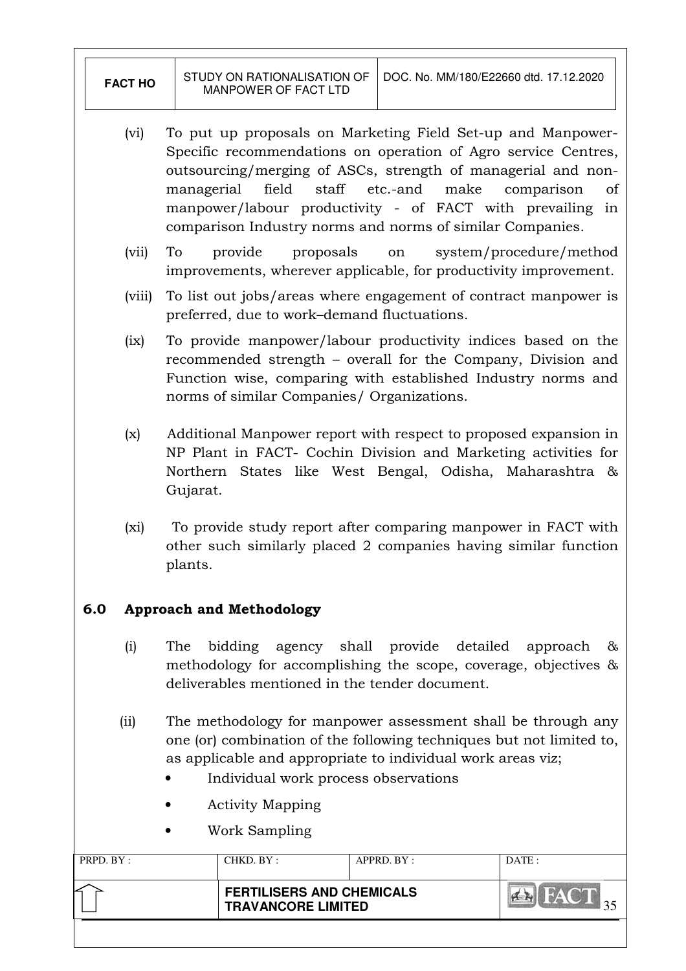| <b>FACT HO</b> | STUDY ON RATIONALISATION OF<br>MANPOWER OF FACT LTD | l DOC. No. MM/180/E22660 dtd. 17.12.2020 |
|----------------|-----------------------------------------------------|------------------------------------------|
|                |                                                     |                                          |

- (vi) To put up proposals on Marketing Field Set-up and Manpower-Specific recommendations on operation of Agro service Centres, outsourcing/merging of ASCs, strength of managerial and nonmanagerial field staff etc.-and make comparison of manpower/labour productivity - of FACT with prevailing in comparison Industry norms and norms of similar Companies.
- (vii) To provide proposals on system/procedure/method improvements, wherever applicable, for productivity improvement.
- (viii) To list out jobs/areas where engagement of contract manpower is preferred, due to work–demand fluctuations.
- (ix) To provide manpower/labour productivity indices based on the recommended strength – overall for the Company, Division and Function wise, comparing with established Industry norms and norms of similar Companies/ Organizations.
- (x) Additional Manpower report with respect to proposed expansion in NP Plant in FACT- Cochin Division and Marketing activities for Northern States like West Bengal, Odisha, Maharashtra & Gujarat.
- (xi) To provide study report after comparing manpower in FACT with other such similarly placed 2 companies having similar function plants.

# 6.0 Approach and Methodology

- (i) The bidding agency shall provide detailed approach & methodology for accomplishing the scope, coverage, objectives & deliverables mentioned in the tender document.
- (ii) The methodology for manpower assessment shall be through any one (or) combination of the following techniques but not limited to, as applicable and appropriate to individual work areas viz;
	- Individual work process observations
	- Activity Mapping
	- Work Sampling

| PRPD. BY: | CHKD. BY :                                                    | APPRD. BY: | DATA: |
|-----------|---------------------------------------------------------------|------------|-------|
|           | <b>FERTILISERS AND CHEMICALS</b><br><b>TRAVANCORE LIMITED</b> |            |       |
|           |                                                               |            |       |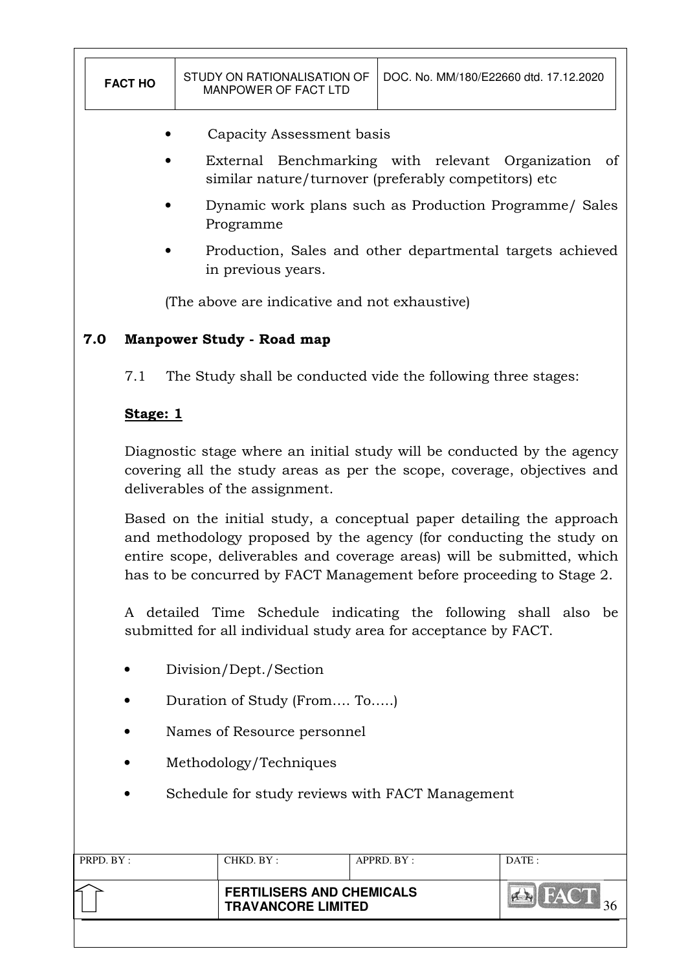| <b>FACT HO</b>                                  |                                                                                                                                                                                                                                                                                                 |  | STUDY ON RATIONALISATION OF<br>MANPOWER OF FACT LTD                             |  | DOC. No. MM/180/E22660 dtd. 17.12.2020 |       |
|-------------------------------------------------|-------------------------------------------------------------------------------------------------------------------------------------------------------------------------------------------------------------------------------------------------------------------------------------------------|--|---------------------------------------------------------------------------------|--|----------------------------------------|-------|
|                                                 | Capacity Assessment basis                                                                                                                                                                                                                                                                       |  |                                                                                 |  |                                        |       |
|                                                 | External Benchmarking with relevant Organization<br>of<br>similar nature/turnover (preferably competitors) etc                                                                                                                                                                                  |  |                                                                                 |  |                                        |       |
|                                                 |                                                                                                                                                                                                                                                                                                 |  | Dynamic work plans such as Production Programme/ Sales<br>Programme             |  |                                        |       |
|                                                 |                                                                                                                                                                                                                                                                                                 |  | Production, Sales and other departmental targets achieved<br>in previous years. |  |                                        |       |
|                                                 |                                                                                                                                                                                                                                                                                                 |  | (The above are indicative and not exhaustive)                                   |  |                                        |       |
| 7.0                                             |                                                                                                                                                                                                                                                                                                 |  | <b>Manpower Study - Road map</b>                                                |  |                                        |       |
|                                                 | 7.1                                                                                                                                                                                                                                                                                             |  | The Study shall be conducted vide the following three stages:                   |  |                                        |       |
|                                                 | Stage: 1                                                                                                                                                                                                                                                                                        |  |                                                                                 |  |                                        |       |
|                                                 | Diagnostic stage where an initial study will be conducted by the agency<br>covering all the study areas as per the scope, coverage, objectives and<br>deliverables of the assignment.                                                                                                           |  |                                                                                 |  |                                        |       |
|                                                 | Based on the initial study, a conceptual paper detailing the approach<br>and methodology proposed by the agency (for conducting the study on<br>entire scope, deliverables and coverage areas) will be submitted, which<br>has to be concurred by FACT Management before proceeding to Stage 2. |  |                                                                                 |  |                                        |       |
|                                                 | A detailed Time Schedule indicating the following shall also be<br>submitted for all individual study area for acceptance by FACT.                                                                                                                                                              |  |                                                                                 |  |                                        |       |
|                                                 |                                                                                                                                                                                                                                                                                                 |  | Division/Dept./Section                                                          |  |                                        |       |
|                                                 | Duration of Study (From To)                                                                                                                                                                                                                                                                     |  |                                                                                 |  |                                        |       |
|                                                 | Names of Resource personnel                                                                                                                                                                                                                                                                     |  |                                                                                 |  |                                        |       |
|                                                 | Methodology/Techniques                                                                                                                                                                                                                                                                          |  |                                                                                 |  |                                        |       |
| Schedule for study reviews with FACT Management |                                                                                                                                                                                                                                                                                                 |  |                                                                                 |  |                                        |       |
|                                                 |                                                                                                                                                                                                                                                                                                 |  |                                                                                 |  |                                        |       |
| PRPD. BY:                                       |                                                                                                                                                                                                                                                                                                 |  | CHKD. BY:                                                                       |  | APPRD. BY:                             | DATE: |
|                                                 |                                                                                                                                                                                                                                                                                                 |  | <b>FERTILISERS AND CHEMICALS</b><br><b>TRAVANCORE LIMITED</b>                   |  |                                        |       |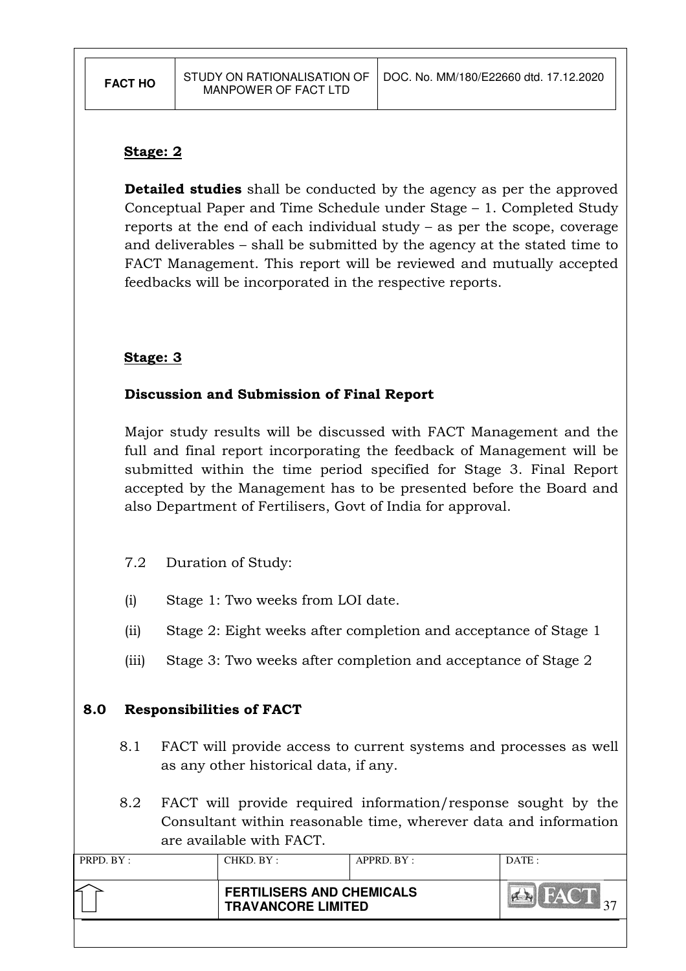#### Stage: 2

**Detailed studies** shall be conducted by the agency as per the approved Conceptual Paper and Time Schedule under Stage – 1. Completed Study reports at the end of each individual study – as per the scope, coverage and deliverables – shall be submitted by the agency at the stated time to FACT Management. This report will be reviewed and mutually accepted feedbacks will be incorporated in the respective reports.

#### Stage: 3

#### Discussion and Submission of Final Report

Major study results will be discussed with FACT Management and the full and final report incorporating the feedback of Management will be submitted within the time period specified for Stage 3. Final Report accepted by the Management has to be presented before the Board and also Department of Fertilisers, Govt of India for approval.

#### 7.2 Duration of Study:

- (i) Stage 1: Two weeks from LOI date.
- (ii) Stage 2: Eight weeks after completion and acceptance of Stage 1
- (iii) Stage 3: Two weeks after completion and acceptance of Stage 2

#### 8.0 Responsibilities of FACT

- 8.1 FACT will provide access to current systems and processes as well as any other historical data, if any.
- 8.2 FACT will provide required information/response sought by the Consultant within reasonable time, wherever data and information are available with FACT.

| PRPD. BY: | CHKD. BY :                                                    | $APPRD$ . $BY$ : | DATA |
|-----------|---------------------------------------------------------------|------------------|------|
|           | <b>FERTILISERS AND CHEMICALS</b><br><b>TRAVANCORE LIMITED</b> |                  |      |
|           |                                                               |                  |      |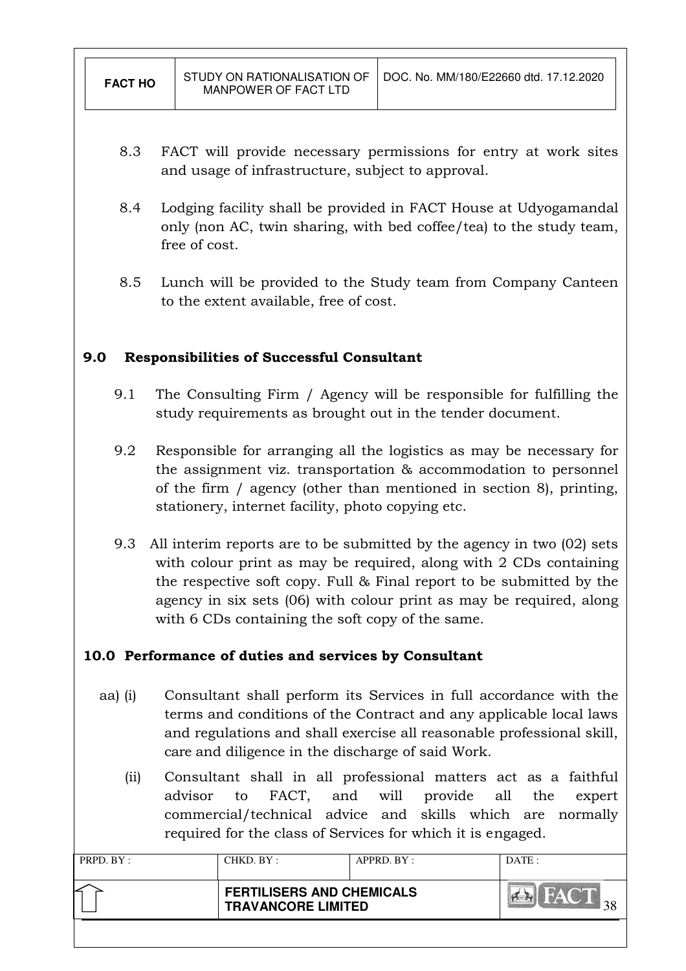- 8.3 FACT will provide necessary permissions for entry at work sites and usage of infrastructure, subject to approval.
- 8.4 Lodging facility shall be provided in FACT House at Udyogamandal only (non AC, twin sharing, with bed coffee/tea) to the study team, free of cost.
- 8.5 Lunch will be provided to the Study team from Company Canteen to the extent available, free of cost.

# 9.0 Responsibilities of Successful Consultant

- 9.1 The Consulting Firm / Agency will be responsible for fulfilling the study requirements as brought out in the tender document.
- 9.2 Responsible for arranging all the logistics as may be necessary for the assignment viz. transportation & accommodation to personnel of the firm / agency (other than mentioned in section 8), printing, stationery, internet facility, photo copying etc.
- 9.3 All interim reports are to be submitted by the agency in two (02) sets with colour print as may be required, along with 2 CDs containing the respective soft copy. Full & Final report to be submitted by the agency in six sets (06) with colour print as may be required, along with 6 CDs containing the soft copy of the same.

# 10.0 Performance of duties and services by Consultant

- aa) (i) Consultant shall perform its Services in full accordance with the terms and conditions of the Contract and any applicable local laws and regulations and shall exercise all reasonable professional skill, care and diligence in the discharge of said Work.
	- (ii) Consultant shall in all professional matters act as a faithful advisor to FACT, and will provide all the expert commercial/technical advice and skills which are normally required for the class of Services for which it is engaged.

| PRPD. BY : | CHKD. BY : | APPRD. BY:                                                    | DATE: |
|------------|------------|---------------------------------------------------------------|-------|
|            |            | <b>FERTILISERS AND CHEMICALS</b><br><b>TRAVANCORE LIMITED</b> |       |
|            |            |                                                               |       |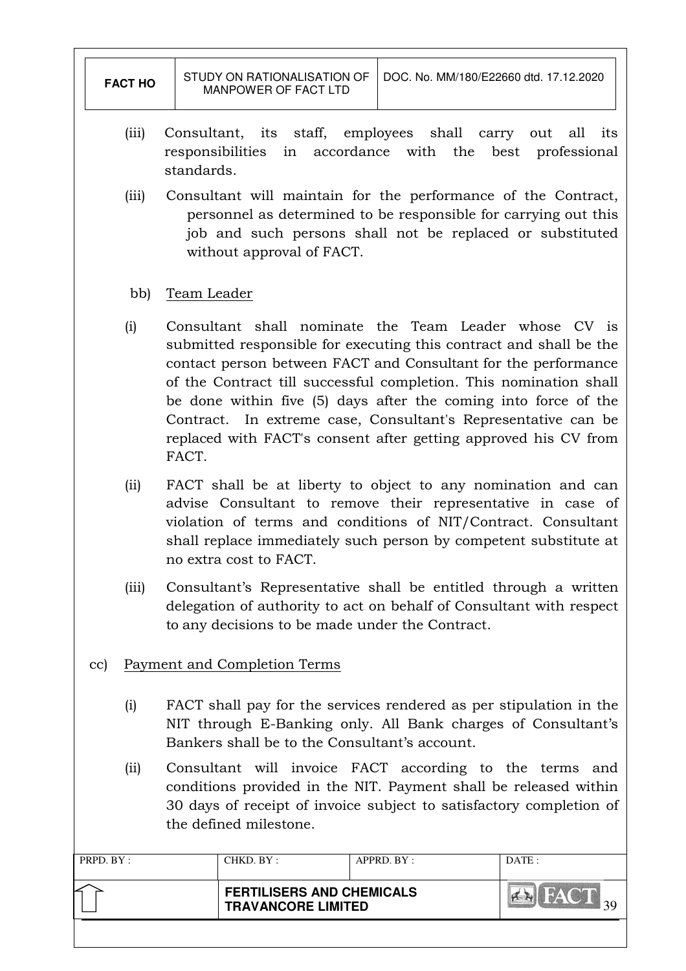| <b>FACT HO</b>                                                                                                                                                                                                                        |                                                                                                                                                                                                                                                                                                                                                                                                                                                                                    | STUDY ON RATIONALISATION OF<br>DOC. No. MM/180/E22660 dtd. 17.12.2020<br>MANPOWER OF FACT LTD                                                                                                                              |            |       |  |  |
|---------------------------------------------------------------------------------------------------------------------------------------------------------------------------------------------------------------------------------------|------------------------------------------------------------------------------------------------------------------------------------------------------------------------------------------------------------------------------------------------------------------------------------------------------------------------------------------------------------------------------------------------------------------------------------------------------------------------------------|----------------------------------------------------------------------------------------------------------------------------------------------------------------------------------------------------------------------------|------------|-------|--|--|
| (iii)                                                                                                                                                                                                                                 | standards.                                                                                                                                                                                                                                                                                                                                                                                                                                                                         | Consultant, its staff, employees shall carry out all<br>its<br>accordance with<br>the<br>responsibilities<br>in<br>best<br>professional                                                                                    |            |       |  |  |
| (iii)                                                                                                                                                                                                                                 |                                                                                                                                                                                                                                                                                                                                                                                                                                                                                    | Consultant will maintain for the performance of the Contract,<br>personnel as determined to be responsible for carrying out this<br>job and such persons shall not be replaced or substituted<br>without approval of FACT. |            |       |  |  |
| bb)                                                                                                                                                                                                                                   | Team Leader                                                                                                                                                                                                                                                                                                                                                                                                                                                                        |                                                                                                                                                                                                                            |            |       |  |  |
| (i)                                                                                                                                                                                                                                   | Consultant shall nominate the Team Leader whose CV is<br>submitted responsible for executing this contract and shall be the<br>contact person between FACT and Consultant for the performance<br>of the Contract till successful completion. This nomination shall<br>be done within five (5) days after the coming into force of the<br>Contract. In extreme case, Consultant's Representative can be<br>replaced with FACT's consent after getting approved his CV from<br>FACT. |                                                                                                                                                                                                                            |            |       |  |  |
| (iii)                                                                                                                                                                                                                                 | FACT shall be at liberty to object to any nomination and can<br>advise Consultant to remove their representative in case of<br>violation of terms and conditions of NIT/Contract. Consultant<br>shall replace immediately such person by competent substitute at<br>no extra cost to FACT.                                                                                                                                                                                         |                                                                                                                                                                                                                            |            |       |  |  |
| (iii)                                                                                                                                                                                                                                 | Consultant's Representative shall be entitled through a written<br>delegation of authority to act on behalf of Consultant with respect<br>to any decisions to be made under the Contract.                                                                                                                                                                                                                                                                                          |                                                                                                                                                                                                                            |            |       |  |  |
| cc)                                                                                                                                                                                                                                   |                                                                                                                                                                                                                                                                                                                                                                                                                                                                                    | <b>Payment and Completion Terms</b>                                                                                                                                                                                        |            |       |  |  |
| (i)                                                                                                                                                                                                                                   | FACT shall pay for the services rendered as per stipulation in the<br>NIT through E-Banking only. All Bank charges of Consultant's<br>Bankers shall be to the Consultant's account.                                                                                                                                                                                                                                                                                                |                                                                                                                                                                                                                            |            |       |  |  |
| Consultant will invoice FACT according to the terms and<br>(iii)<br>conditions provided in the NIT. Payment shall be released within<br>30 days of receipt of invoice subject to satisfactory completion of<br>the defined milestone. |                                                                                                                                                                                                                                                                                                                                                                                                                                                                                    |                                                                                                                                                                                                                            |            |       |  |  |
| PRPD. BY:                                                                                                                                                                                                                             |                                                                                                                                                                                                                                                                                                                                                                                                                                                                                    | CHKD. BY:                                                                                                                                                                                                                  | APPRD. BY: | DATE: |  |  |
|                                                                                                                                                                                                                                       |                                                                                                                                                                                                                                                                                                                                                                                                                                                                                    | <b>FERTILISERS AND CHEMICALS</b><br><b>TRAVANCORE LIMITED</b>                                                                                                                                                              |            |       |  |  |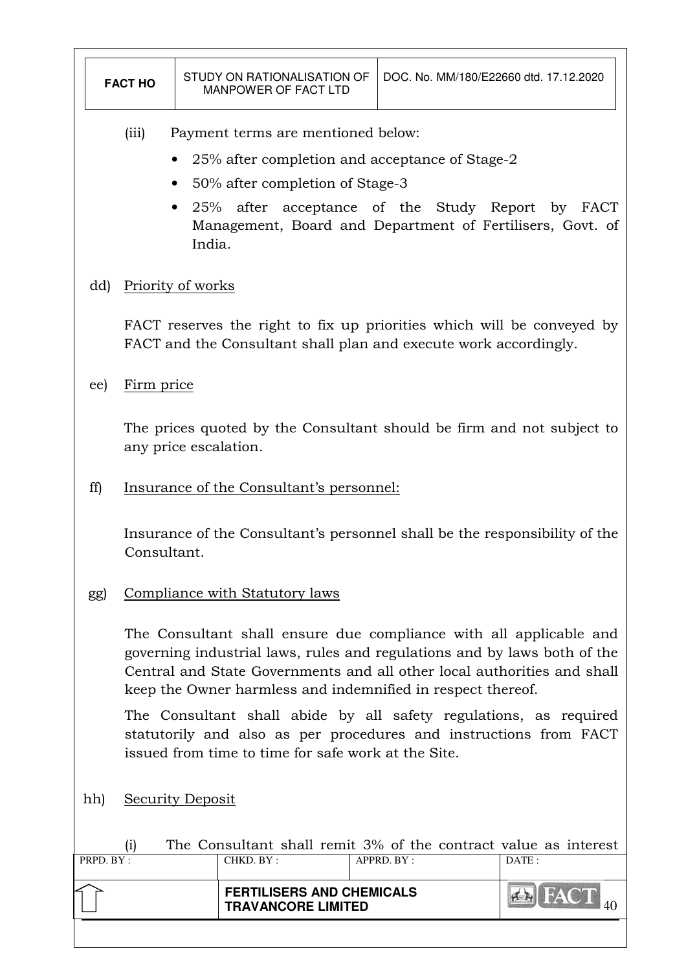|           | STUDY ON RATIONALISATION OF<br>DOC. No. MM/180/E22660 dtd. 17.12.2020<br><b>FACT HO</b><br><b>MANPOWER OF FACT LTD</b>                                                                                                                                                                   |  |                                                                                                                                            |            |       |  |
|-----------|------------------------------------------------------------------------------------------------------------------------------------------------------------------------------------------------------------------------------------------------------------------------------------------|--|--------------------------------------------------------------------------------------------------------------------------------------------|------------|-------|--|
|           | Payment terms are mentioned below:<br>(iii)<br>25% after completion and acceptance of Stage-2<br>50% after completion of Stage-3<br>25% after acceptance of the Study Report by FACT<br>Management, Board and Department of Fertilisers, Govt. of<br>India.                              |  |                                                                                                                                            |            |       |  |
| dd)       | Priority of works                                                                                                                                                                                                                                                                        |  |                                                                                                                                            |            |       |  |
|           |                                                                                                                                                                                                                                                                                          |  | FACT reserves the right to fix up priorities which will be conveyed by<br>FACT and the Consultant shall plan and execute work accordingly. |            |       |  |
| ee)       | Firm price                                                                                                                                                                                                                                                                               |  |                                                                                                                                            |            |       |  |
|           | any price escalation.                                                                                                                                                                                                                                                                    |  | The prices quoted by the Consultant should be firm and not subject to                                                                      |            |       |  |
| ff)       | Insurance of the Consultant's personnel:                                                                                                                                                                                                                                                 |  |                                                                                                                                            |            |       |  |
|           | Consultant.                                                                                                                                                                                                                                                                              |  | Insurance of the Consultant's personnel shall be the responsibility of the                                                                 |            |       |  |
| gg)       |                                                                                                                                                                                                                                                                                          |  | Compliance with Statutory laws                                                                                                             |            |       |  |
|           | The Consultant shall ensure due compliance with all applicable and<br>governing industrial laws, rules and regulations and by laws both of the<br>Central and State Governments and all other local authorities and shall<br>keep the Owner harmless and indemnified in respect thereof. |  |                                                                                                                                            |            |       |  |
|           | The Consultant shall abide by all safety regulations, as required<br>statutorily and also as per procedures and instructions from FACT<br>issued from time to time for safe work at the Site.                                                                                            |  |                                                                                                                                            |            |       |  |
| hh)       | <b>Security Deposit</b>                                                                                                                                                                                                                                                                  |  |                                                                                                                                            |            |       |  |
| PRPD. BY: | (i)                                                                                                                                                                                                                                                                                      |  | The Consultant shall remit 3% of the contract value as interest<br>CHKD. BY:                                                               | APPRD. BY: | DATE: |  |
|           |                                                                                                                                                                                                                                                                                          |  | <b>FERTILISERS AND CHEMICALS</b><br><b>TRAVANCORE LIMITED</b>                                                                              |            |       |  |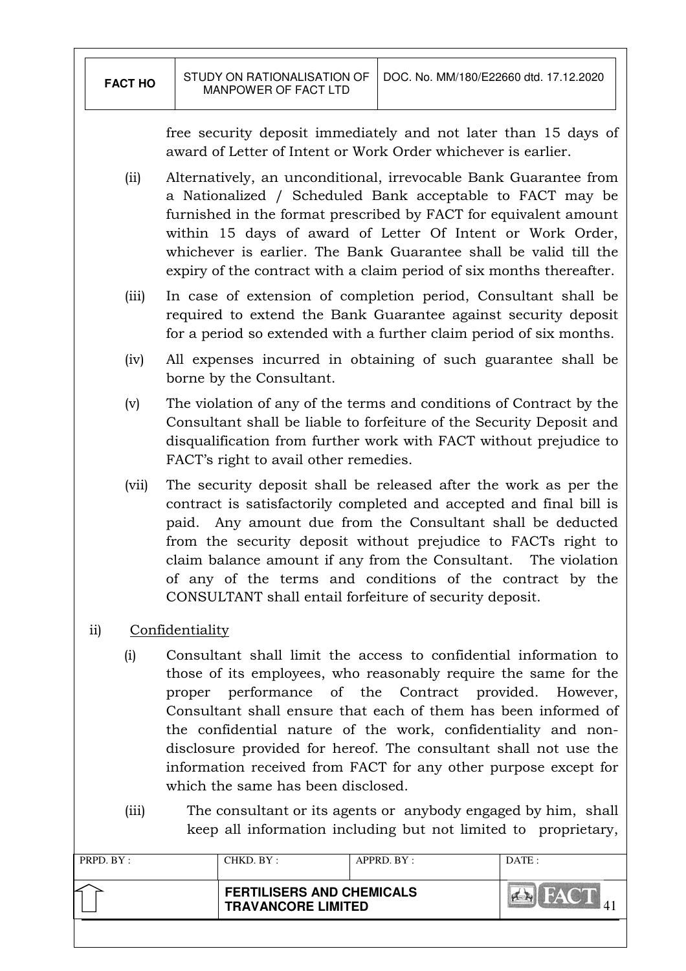free security deposit immediately and not later than 15 days of award of Letter of Intent or Work Order whichever is earlier.

- (ii) Alternatively, an unconditional, irrevocable Bank Guarantee from a Nationalized / Scheduled Bank acceptable to FACT may be furnished in the format prescribed by FACT for equivalent amount within 15 days of award of Letter Of Intent or Work Order, whichever is earlier. The Bank Guarantee shall be valid till the expiry of the contract with a claim period of six months thereafter.
- (iii) In case of extension of completion period, Consultant shall be required to extend the Bank Guarantee against security deposit for a period so extended with a further claim period of six months.
- (iv) All expenses incurred in obtaining of such guarantee shall be borne by the Consultant.
- (v) The violation of any of the terms and conditions of Contract by the Consultant shall be liable to forfeiture of the Security Deposit and disqualification from further work with FACT without prejudice to FACT's right to avail other remedies.
- (vii) The security deposit shall be released after the work as per the contract is satisfactorily completed and accepted and final bill is paid. Any amount due from the Consultant shall be deducted from the security deposit without prejudice to FACTs right to claim balance amount if any from the Consultant. The violation of any of the terms and conditions of the contract by the CONSULTANT shall entail forfeiture of security deposit.
- ii) Confidentiality
	- (i) Consultant shall limit the access to confidential information to those of its employees, who reasonably require the same for the proper performance of the Contract provided. However, Consultant shall ensure that each of them has been informed of the confidential nature of the work, confidentiality and nondisclosure provided for hereof. The consultant shall not use the information received from FACT for any other purpose except for which the same has been disclosed.
	- (iii) The consultant or its agents or anybody engaged by him, shall keep all information including but not limited to proprietary,

| PRPD. BY: | CHKD. BY :                                                    | APPRD. BY: | DATA |
|-----------|---------------------------------------------------------------|------------|------|
|           | <b>FERTILISERS AND CHEMICALS</b><br><b>TRAVANCORE LIMITED</b> |            |      |
|           |                                                               |            |      |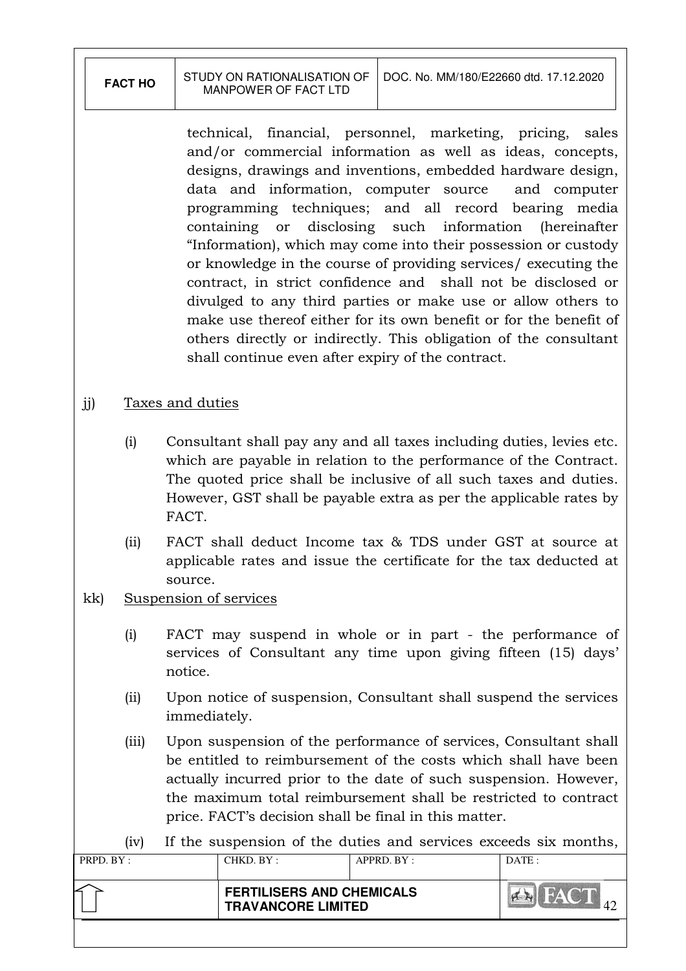| <b>FACT HO</b> | MANPOWER OF FACT LTD | STUDY ON RATIONALISATION OF 1 DOC. No. MM/180/E22660 dtd. 17.12.2020 |
|----------------|----------------------|----------------------------------------------------------------------|
|                |                      |                                                                      |

technical, financial, personnel, marketing, pricing, sales and/or commercial information as well as ideas, concepts, designs, drawings and inventions, embedded hardware design, data and information, computer source and computer programming techniques; and all record bearing media containing or disclosing such information (hereinafter "Information), which may come into their possession or custody or knowledge in the course of providing services/ executing the contract, in strict confidence and shall not be disclosed or divulged to any third parties or make use or allow others to make use thereof either for its own benefit or for the benefit of others directly or indirectly. This obligation of the consultant shall continue even after expiry of the contract.

# jj) Taxes and duties

- (i) Consultant shall pay any and all taxes including duties, levies etc. which are payable in relation to the performance of the Contract. The quoted price shall be inclusive of all such taxes and duties. However, GST shall be payable extra as per the applicable rates by FACT.
- (ii) FACT shall deduct Income tax & TDS under GST at source at applicable rates and issue the certificate for the tax deducted at source.

# kk) Suspension of services

- (i) FACT may suspend in whole or in part the performance of services of Consultant any time upon giving fifteen (15) days' notice.
- (ii) Upon notice of suspension, Consultant shall suspend the services immediately.
- (iii) Upon suspension of the performance of services, Consultant shall be entitled to reimbursement of the costs which shall have been actually incurred prior to the date of such suspension. However, the maximum total reimbursement shall be restricted to contract price. FACT's decision shall be final in this matter.

(iv) If the suspension of the duties and services exceeds six months,

| PRPD. BY: | CHKD. BY:                 | APPRD. BY:                       | DATE: |
|-----------|---------------------------|----------------------------------|-------|
|           | <b>TRAVANCORE LIMITED</b> | <b>FERTILISERS AND CHEMICALS</b> |       |
|           |                           |                                  |       |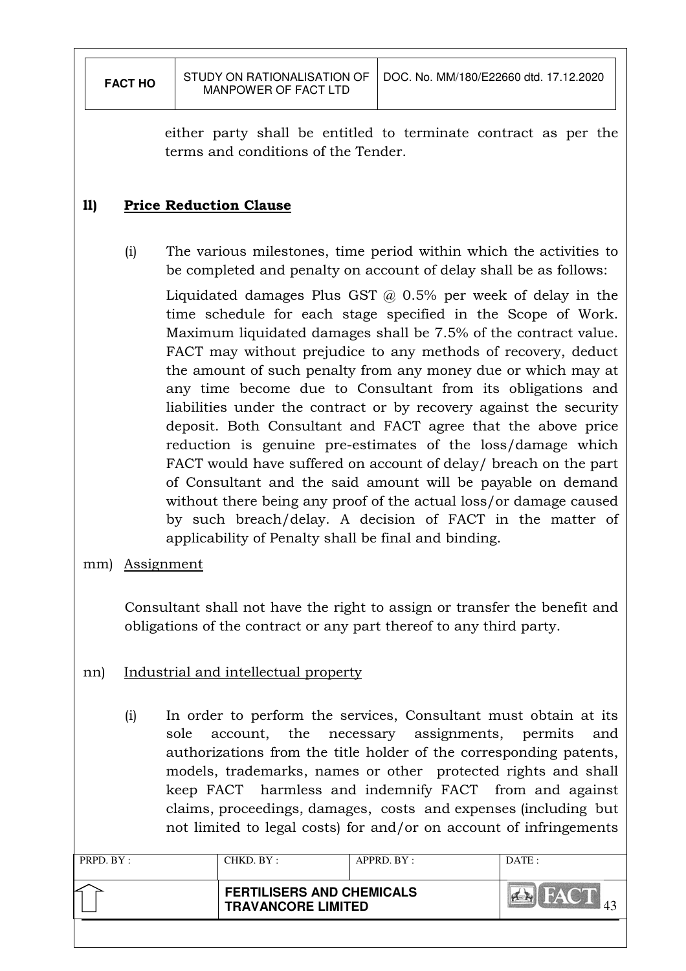either party shall be entitled to terminate contract as per the terms and conditions of the Tender.

# ll) Price Reduction Clause

(i) The various milestones, time period within which the activities to be completed and penalty on account of delay shall be as follows:

Liquidated damages Plus GST @ 0.5% per week of delay in the time schedule for each stage specified in the Scope of Work. Maximum liquidated damages shall be 7.5% of the contract value. FACT may without prejudice to any methods of recovery, deduct the amount of such penalty from any money due or which may at any time become due to Consultant from its obligations and liabilities under the contract or by recovery against the security deposit. Both Consultant and FACT agree that the above price reduction is genuine pre-estimates of the loss/damage which FACT would have suffered on account of delay/ breach on the part of Consultant and the said amount will be payable on demand without there being any proof of the actual loss/or damage caused by such breach/delay. A decision of FACT in the matter of applicability of Penalty shall be final and binding.

mm) Assignment

Consultant shall not have the right to assign or transfer the benefit and obligations of the contract or any part thereof to any third party.

- nn) Industrial and intellectual property
	- (i) In order to perform the services, Consultant must obtain at its sole account, the necessary assignments, permits and authorizations from the title holder of the corresponding patents, models, trademarks, names or other protected rights and shall keep FACT harmless and indemnify FACT from and against claims, proceedings, damages, costs and expenses (including but not limited to legal costs) for and/or on account of infringements

| PRPD. BY: | CHKD. BY:                 | $APPRD$ . $BY$ :                 | DATE: |
|-----------|---------------------------|----------------------------------|-------|
|           | <b>TRAVANCORE LIMITED</b> | <b>FERTILISERS AND CHEMICALS</b> |       |
|           |                           |                                  |       |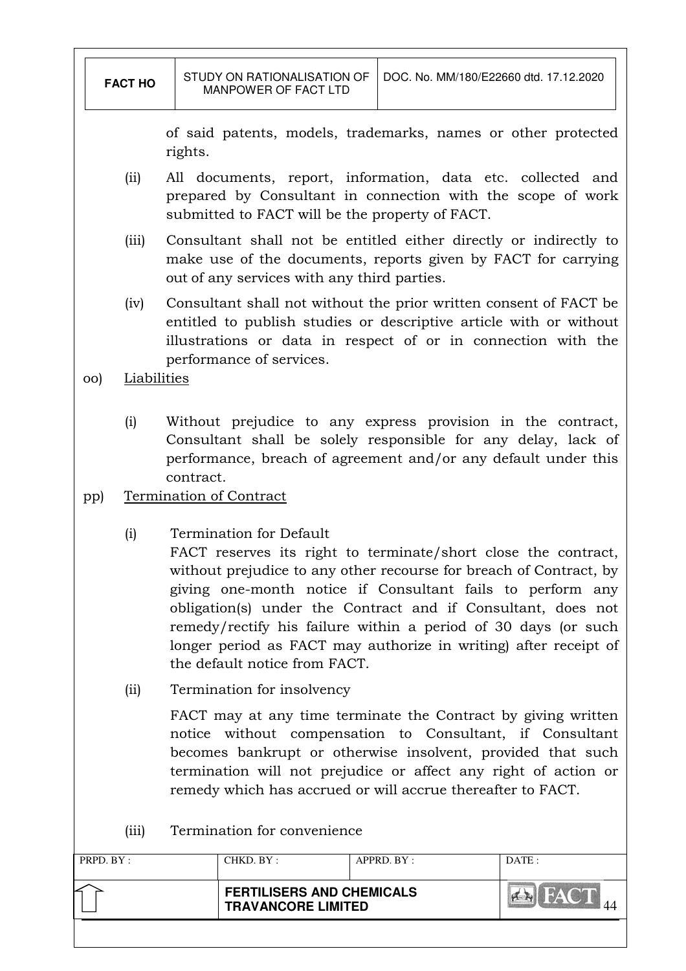|           | <b>FACT HO</b> |           | STUDY ON RATIONALISATION OF<br>MANPOWER OF FACT LTD                                                                                                                                                                                                                                                                                                                                                                                                                  | DOC. No. MM/180/E22660 dtd. 17.12.2020 |       |
|-----------|----------------|-----------|----------------------------------------------------------------------------------------------------------------------------------------------------------------------------------------------------------------------------------------------------------------------------------------------------------------------------------------------------------------------------------------------------------------------------------------------------------------------|----------------------------------------|-------|
|           |                | rights.   | of said patents, models, trademarks, names or other protected                                                                                                                                                                                                                                                                                                                                                                                                        |                                        |       |
|           | (i)            |           | All documents, report, information, data etc. collected and<br>prepared by Consultant in connection with the scope of work<br>submitted to FACT will be the property of FACT.                                                                                                                                                                                                                                                                                        |                                        |       |
|           | (iii)          |           | Consultant shall not be entitled either directly or indirectly to<br>make use of the documents, reports given by FACT for carrying<br>out of any services with any third parties.                                                                                                                                                                                                                                                                                    |                                        |       |
|           | (iv)           |           | Consultant shall not without the prior written consent of FACT be<br>entitled to publish studies or descriptive article with or without<br>illustrations or data in respect of or in connection with the                                                                                                                                                                                                                                                             |                                        |       |
| OO)       | Liabilities    |           | performance of services.                                                                                                                                                                                                                                                                                                                                                                                                                                             |                                        |       |
|           | (i)            | contract. | Without prejudice to any express provision in the contract,<br>Consultant shall be solely responsible for any delay, lack of<br>performance, breach of agreement and/or any default under this                                                                                                                                                                                                                                                                       |                                        |       |
| pp)       |                |           | Termination of Contract                                                                                                                                                                                                                                                                                                                                                                                                                                              |                                        |       |
|           | (i)            |           | Termination for Default<br>FACT reserves its right to terminate/short close the contract,<br>without prejudice to any other recourse for breach of Contract, by<br>giving one-month notice if Consultant fails to perform any<br>obligation(s) under the Contract and if Consultant, does not<br>remedy/rectify his failure within a period of 30 days (or such<br>longer period as FACT may authorize in writing) after receipt of<br>the default notice from FACT. |                                        |       |
|           | (iii)          |           | Termination for insolvency                                                                                                                                                                                                                                                                                                                                                                                                                                           |                                        |       |
|           |                |           | FACT may at any time terminate the Contract by giving written<br>notice without compensation to Consultant, if Consultant<br>becomes bankrupt or otherwise insolvent, provided that such<br>termination will not prejudice or affect any right of action or<br>remedy which has accrued or will accrue thereafter to FACT.                                                                                                                                           |                                        |       |
|           | (iii)          |           | Termination for convenience                                                                                                                                                                                                                                                                                                                                                                                                                                          |                                        |       |
| PRPD. BY: |                |           | CHKD. BY:                                                                                                                                                                                                                                                                                                                                                                                                                                                            | APPRD. BY:                             | DATE: |
|           |                |           | <b>FERTILISERS AND CHEMICALS</b><br><b>TRAVANCORE LIMITED</b>                                                                                                                                                                                                                                                                                                                                                                                                        |                                        |       |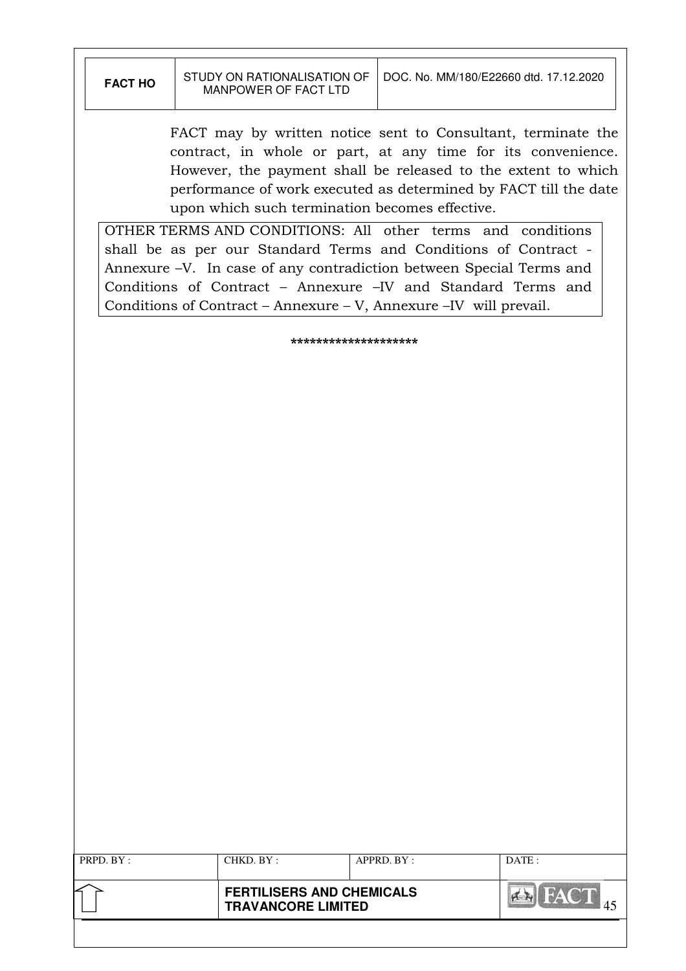| <b>FACT HO</b> | STUDY ON RATIONALISATION OF<br><b>MANPOWER OF FACT LTD</b>                                                                                                                                                                                                                                                                                                                        |                                  | DOC. No. MM/180/E22660 dtd. 17.12.2020 |               |
|----------------|-----------------------------------------------------------------------------------------------------------------------------------------------------------------------------------------------------------------------------------------------------------------------------------------------------------------------------------------------------------------------------------|----------------------------------|----------------------------------------|---------------|
|                | FACT may by written notice sent to Consultant, terminate the<br>contract, in whole or part, at any time for its convenience.<br>However, the payment shall be released to the extent to which<br>performance of work executed as determined by FACT till the date<br>upon which such termination becomes effective.<br>OTHER TERMS AND CONDITIONS: All other terms and conditions |                                  |                                        |               |
|                | shall be as per our Standard Terms and Conditions of Contract -<br>Annexure -V. In case of any contradiction between Special Terms and<br>Conditions of Contract – Annexure –IV and Standard Terms and<br>Conditions of Contract – Annexure – V, Annexure – IV will prevail.                                                                                                      |                                  |                                        |               |
|                |                                                                                                                                                                                                                                                                                                                                                                                   | ********************             |                                        |               |
|                |                                                                                                                                                                                                                                                                                                                                                                                   |                                  |                                        |               |
|                |                                                                                                                                                                                                                                                                                                                                                                                   |                                  |                                        |               |
|                |                                                                                                                                                                                                                                                                                                                                                                                   |                                  |                                        |               |
|                |                                                                                                                                                                                                                                                                                                                                                                                   |                                  |                                        |               |
|                |                                                                                                                                                                                                                                                                                                                                                                                   |                                  |                                        |               |
|                |                                                                                                                                                                                                                                                                                                                                                                                   |                                  |                                        |               |
|                |                                                                                                                                                                                                                                                                                                                                                                                   |                                  |                                        |               |
|                |                                                                                                                                                                                                                                                                                                                                                                                   |                                  |                                        |               |
|                |                                                                                                                                                                                                                                                                                                                                                                                   |                                  |                                        |               |
|                |                                                                                                                                                                                                                                                                                                                                                                                   |                                  |                                        |               |
|                |                                                                                                                                                                                                                                                                                                                                                                                   |                                  |                                        |               |
|                |                                                                                                                                                                                                                                                                                                                                                                                   |                                  |                                        |               |
|                |                                                                                                                                                                                                                                                                                                                                                                                   |                                  |                                        |               |
|                |                                                                                                                                                                                                                                                                                                                                                                                   |                                  |                                        |               |
|                |                                                                                                                                                                                                                                                                                                                                                                                   |                                  |                                        |               |
|                |                                                                                                                                                                                                                                                                                                                                                                                   |                                  |                                        |               |
|                |                                                                                                                                                                                                                                                                                                                                                                                   |                                  |                                        |               |
|                |                                                                                                                                                                                                                                                                                                                                                                                   |                                  |                                        |               |
|                |                                                                                                                                                                                                                                                                                                                                                                                   |                                  |                                        |               |
| PRPD. BY:      | CHKD. BY:                                                                                                                                                                                                                                                                                                                                                                         |                                  | APPRD. BY:                             | DATE:         |
|                | <b>TRAVANCORE LIMITED</b>                                                                                                                                                                                                                                                                                                                                                         | <b>FERTILISERS AND CHEMICALS</b> |                                        | <b>A</b> FACT |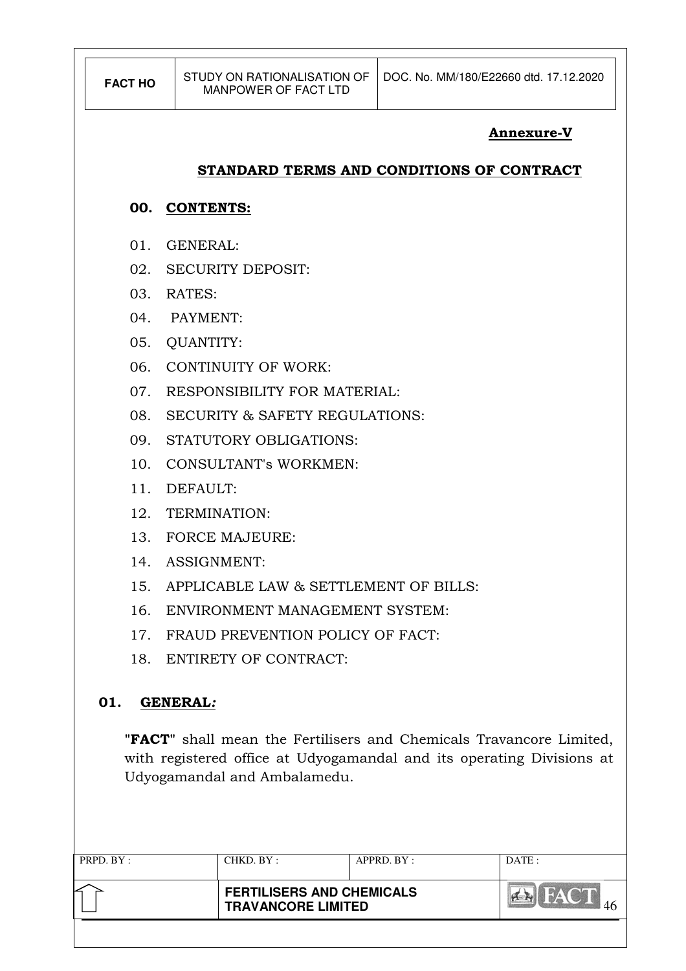| <b>FACT HO</b>  | STUDY ON RATIONALISATION OF<br><b>MANPOWER OF FACT LTD</b> | DOC. No. MM/180/E22660 dtd. 17.12.2020 |  |  |  |  |
|-----------------|------------------------------------------------------------|----------------------------------------|--|--|--|--|
|                 | <b>Annexure-V</b>                                          |                                        |  |  |  |  |
|                 | STANDARD TERMS AND CONDITIONS OF CONTRACT                  |                                        |  |  |  |  |
|                 | 00. CONTENTS:                                              |                                        |  |  |  |  |
| 01.             | <b>GENERAL:</b>                                            |                                        |  |  |  |  |
| 02.             | <b>SECURITY DEPOSIT:</b>                                   |                                        |  |  |  |  |
| 03.             | RATES:                                                     |                                        |  |  |  |  |
|                 | 04. PAYMENT:                                               |                                        |  |  |  |  |
| 05.             | <b>QUANTITY:</b>                                           |                                        |  |  |  |  |
| 06.             | <b>CONTINUITY OF WORK:</b>                                 |                                        |  |  |  |  |
| 07.             | <b>RESPONSIBILITY FOR MATERIAL:</b>                        |                                        |  |  |  |  |
| 08.             | <b>SECURITY &amp; SAFETY REGULATIONS:</b>                  |                                        |  |  |  |  |
| 09.             | STATUTORY OBLIGATIONS:                                     |                                        |  |  |  |  |
| 10.             | <b>CONSULTANT's WORKMEN:</b>                               |                                        |  |  |  |  |
| 11.             | DEFAULT:                                                   |                                        |  |  |  |  |
| 12.             | TERMINATION:                                               |                                        |  |  |  |  |
| 13.             | <b>FORCE MAJEURE:</b>                                      |                                        |  |  |  |  |
| 14 <sup>1</sup> | <b>ASSIGNMENT:</b>                                         |                                        |  |  |  |  |
| 15.             | APPLICABLE LAW & SETTLEMENT OF BILLS:                      |                                        |  |  |  |  |
| 16.             | ENVIRONMENT MANAGEMENT SYSTEM:                             |                                        |  |  |  |  |

- 17. FRAUD PREVENTION POLICY OF FACT:
- 18. ENTIRETY OF CONTRACT:

# 01. GENERAL:

"FACT" shall mean the Fertilisers and Chemicals Travancore Limited, with registered office at Udyogamandal and its operating Divisions at Udyogamandal and Ambalamedu.

| PRPD. BY: | CHKD. BY :                                                    | APPRD. BY: | DATE: |
|-----------|---------------------------------------------------------------|------------|-------|
|           | <b>FERTILISERS AND CHEMICALS</b><br><b>TRAVANCORE LIMITED</b> |            |       |
|           |                                                               |            |       |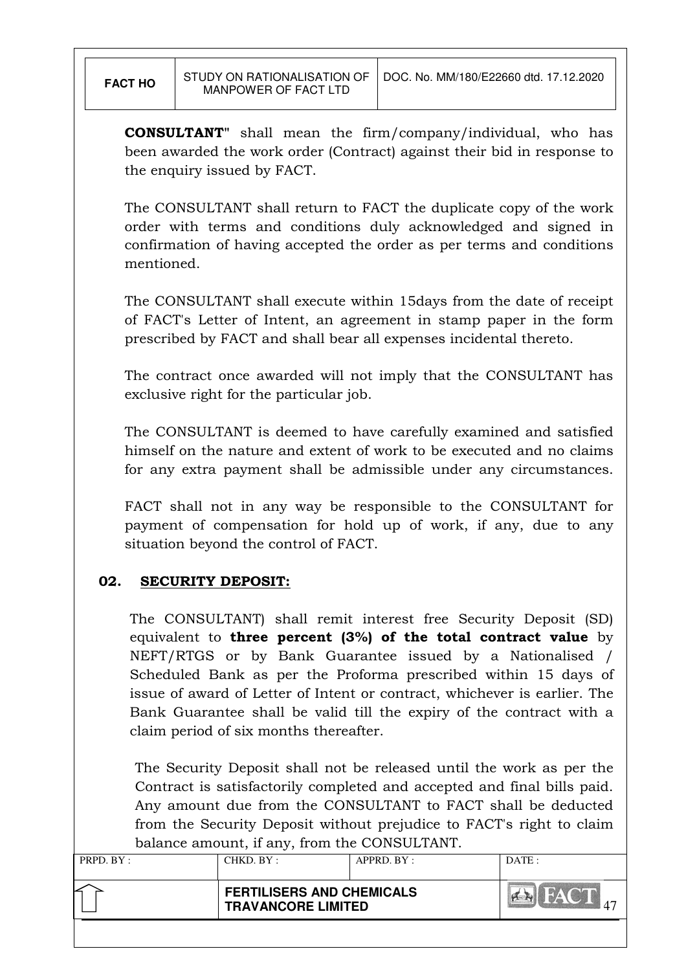CONSULTANT" shall mean the firm/company/individual, who has been awarded the work order (Contract) against their bid in response to the enquiry issued by FACT.

The CONSULTANT shall return to FACT the duplicate copy of the work order with terms and conditions duly acknowledged and signed in confirmation of having accepted the order as per terms and conditions mentioned.

 The CONSULTANT shall execute within 15days from the date of receipt of FACT's Letter of Intent, an agreement in stamp paper in the form prescribed by FACT and shall bear all expenses incidental thereto.

 The contract once awarded will not imply that the CONSULTANT has exclusive right for the particular job.

 The CONSULTANT is deemed to have carefully examined and satisfied himself on the nature and extent of work to be executed and no claims for any extra payment shall be admissible under any circumstances.

 FACT shall not in any way be responsible to the CONSULTANT for payment of compensation for hold up of work, if any, due to any situation beyond the control of FACT.

# 02. SECURITY DEPOSIT:

The CONSULTANT) shall remit interest free Security Deposit (SD) equivalent to three percent  $(3%)$  of the total contract value by NEFT/RTGS or by Bank Guarantee issued by a Nationalised / Scheduled Bank as per the Proforma prescribed within 15 days of issue of award of Letter of Intent or contract, whichever is earlier. The Bank Guarantee shall be valid till the expiry of the contract with a claim period of six months thereafter.

The Security Deposit shall not be released until the work as per the Contract is satisfactorily completed and accepted and final bills paid. Any amount due from the CONSULTANT to FACT shall be deducted from the Security Deposit without prejudice to FACT's right to claim balance amount, if any, from the CONSULTANT.

| PRPD. BY: | CHKD. BY:                 | $APPRD$ . $BY$ :                 | DATA: |
|-----------|---------------------------|----------------------------------|-------|
|           | <b>TRAVANCORE LIMITED</b> | <b>FERTILISERS AND CHEMICALS</b> |       |
|           |                           |                                  |       |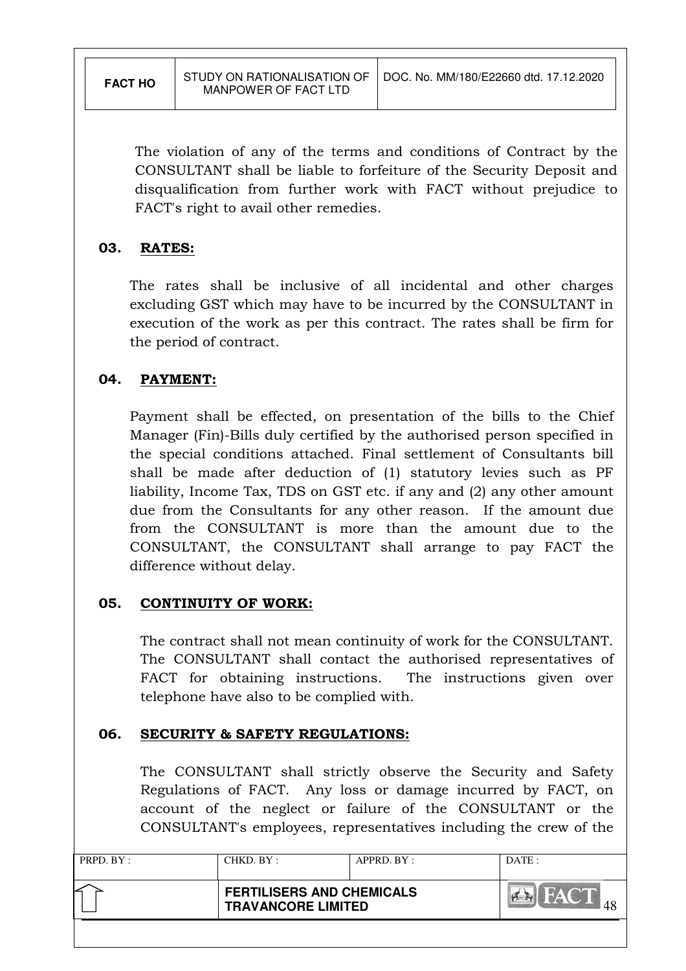The violation of any of the terms and conditions of Contract by the CONSULTANT shall be liable to forfeiture of the Security Deposit and disqualification from further work with FACT without prejudice to FACT's right to avail other remedies.

# 03. RATES:

The rates shall be inclusive of all incidental and other charges excluding GST which may have to be incurred by the CONSULTANT in execution of the work as per this contract. The rates shall be firm for the period of contract.

# 04. PAYMENT:

Payment shall be effected, on presentation of the bills to the Chief Manager (Fin)-Bills duly certified by the authorised person specified in the special conditions attached. Final settlement of Consultants bill shall be made after deduction of (1) statutory levies such as PF liability, Income Tax, TDS on GST etc. if any and (2) any other amount due from the Consultants for any other reason. If the amount due from the CONSULTANT is more than the amount due to the CONSULTANT, the CONSULTANT shall arrange to pay FACT the difference without delay.

# 05. CONTINUITY OF WORK:

The contract shall not mean continuity of work for the CONSULTANT. The CONSULTANT shall contact the authorised representatives of FACT for obtaining instructions. The instructions given over telephone have also to be complied with.

# 06. SECURITY & SAFETY REGULATIONS:

The CONSULTANT shall strictly observe the Security and Safety Regulations of FACT. Any loss or damage incurred by FACT, on account of the neglect or failure of the CONSULTANT or the CONSULTANT's employees, representatives including the crew of the

| PRPD. BY: | CHKD. BY:                                                     | $APPRD$ . $BY$ : | DATE: |
|-----------|---------------------------------------------------------------|------------------|-------|
| ∠         | <b>FERTILISERS AND CHEMICALS</b><br><b>TRAVANCORE LIMITED</b> |                  |       |
|           |                                                               |                  |       |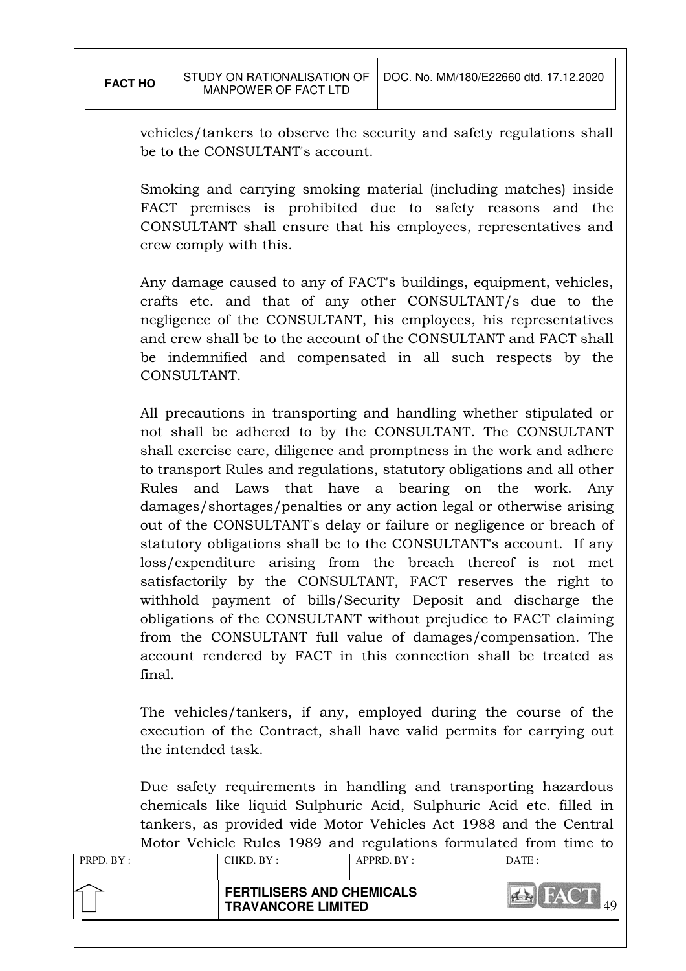vehicles/tankers to observe the security and safety regulations shall be to the CONSULTANT's account.

Smoking and carrying smoking material (including matches) inside FACT premises is prohibited due to safety reasons and the CONSULTANT shall ensure that his employees, representatives and crew comply with this.

Any damage caused to any of FACT's buildings, equipment, vehicles, crafts etc. and that of any other CONSULTANT/s due to the negligence of the CONSULTANT, his employees, his representatives and crew shall be to the account of the CONSULTANT and FACT shall be indemnified and compensated in all such respects by the CONSULTANT.

All precautions in transporting and handling whether stipulated or not shall be adhered to by the CONSULTANT. The CONSULTANT shall exercise care, diligence and promptness in the work and adhere to transport Rules and regulations, statutory obligations and all other Rules and Laws that have a bearing on the work. Any damages/shortages/penalties or any action legal or otherwise arising out of the CONSULTANT's delay or failure or negligence or breach of statutory obligations shall be to the CONSULTANT's account. If any loss/expenditure arising from the breach thereof is not met satisfactorily by the CONSULTANT, FACT reserves the right to withhold payment of bills/Security Deposit and discharge the obligations of the CONSULTANT without prejudice to FACT claiming from the CONSULTANT full value of damages/compensation. The account rendered by FACT in this connection shall be treated as final.

The vehicles/tankers, if any, employed during the course of the execution of the Contract, shall have valid permits for carrying out the intended task.

Due safety requirements in handling and transporting hazardous chemicals like liquid Sulphuric Acid, Sulphuric Acid etc. filled in tankers, as provided vide Motor Vehicles Act 1988 and the Central Motor Vehicle Rules 1989 and regulations formulated from time to

| PRPD. BY: | CHKD. BY:                                                     | ຼ<br>$APPRD$ . $BY$ : | DATE: |
|-----------|---------------------------------------------------------------|-----------------------|-------|
|           | <b>FERTILISERS AND CHEMICALS</b><br><b>TRAVANCORE LIMITED</b> |                       |       |
|           |                                                               |                       |       |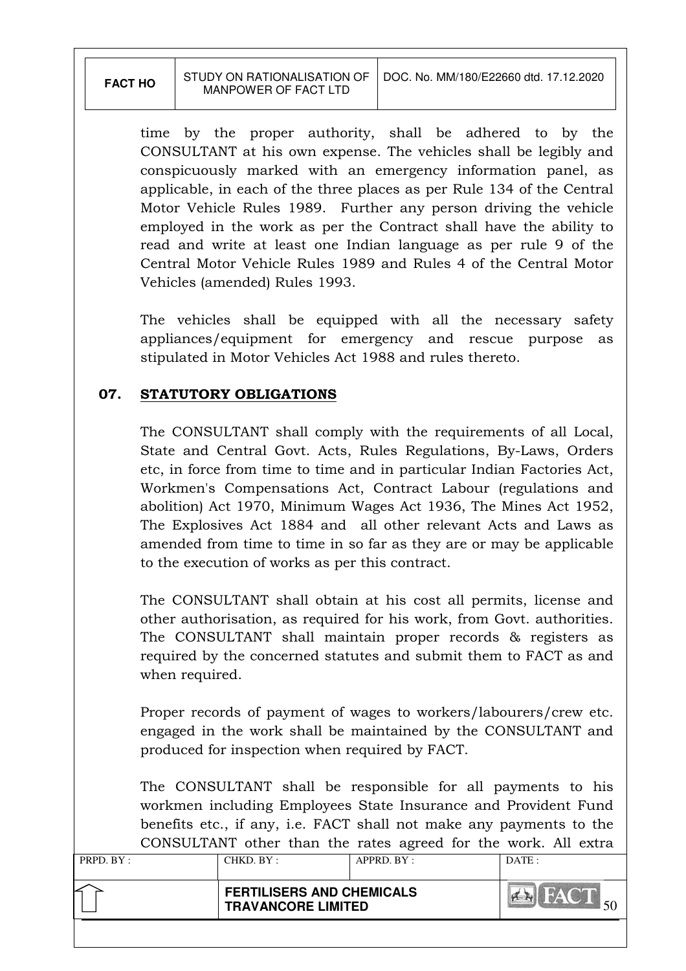time by the proper authority, shall be adhered to by the CONSULTANT at his own expense. The vehicles shall be legibly and conspicuously marked with an emergency information panel, as applicable, in each of the three places as per Rule 134 of the Central Motor Vehicle Rules 1989. Further any person driving the vehicle employed in the work as per the Contract shall have the ability to read and write at least one Indian language as per rule 9 of the Central Motor Vehicle Rules 1989 and Rules 4 of the Central Motor Vehicles (amended) Rules 1993.

The vehicles shall be equipped with all the necessary safety appliances/equipment for emergency and rescue purpose as stipulated in Motor Vehicles Act 1988 and rules thereto.

# 07. STATUTORY OBLIGATIONS

The CONSULTANT shall comply with the requirements of all Local, State and Central Govt. Acts, Rules Regulations, By-Laws, Orders etc, in force from time to time and in particular Indian Factories Act, Workmen's Compensations Act, Contract Labour (regulations and abolition) Act 1970, Minimum Wages Act 1936, The Mines Act 1952, The Explosives Act 1884 and all other relevant Acts and Laws as amended from time to time in so far as they are or may be applicable to the execution of works as per this contract.

The CONSULTANT shall obtain at his cost all permits, license and other authorisation, as required for his work, from Govt. authorities. The CONSULTANT shall maintain proper records & registers as required by the concerned statutes and submit them to FACT as and when required.

Proper records of payment of wages to workers/labourers/crew etc. engaged in the work shall be maintained by the CONSULTANT and produced for inspection when required by FACT.

The CONSULTANT shall be responsible for all payments to his workmen including Employees State Insurance and Provident Fund benefits etc., if any, i.e. FACT shall not make any payments to the CONSULTANT other than the rates agreed for the work. All extra

| PRPD. BY: | CHKD. BY :                                                    | APPRD. BY: | DATE: |
|-----------|---------------------------------------------------------------|------------|-------|
|           | <b>FERTILISERS AND CHEMICALS</b><br><b>TRAVANCORE LIMITED</b> |            |       |
|           |                                                               |            |       |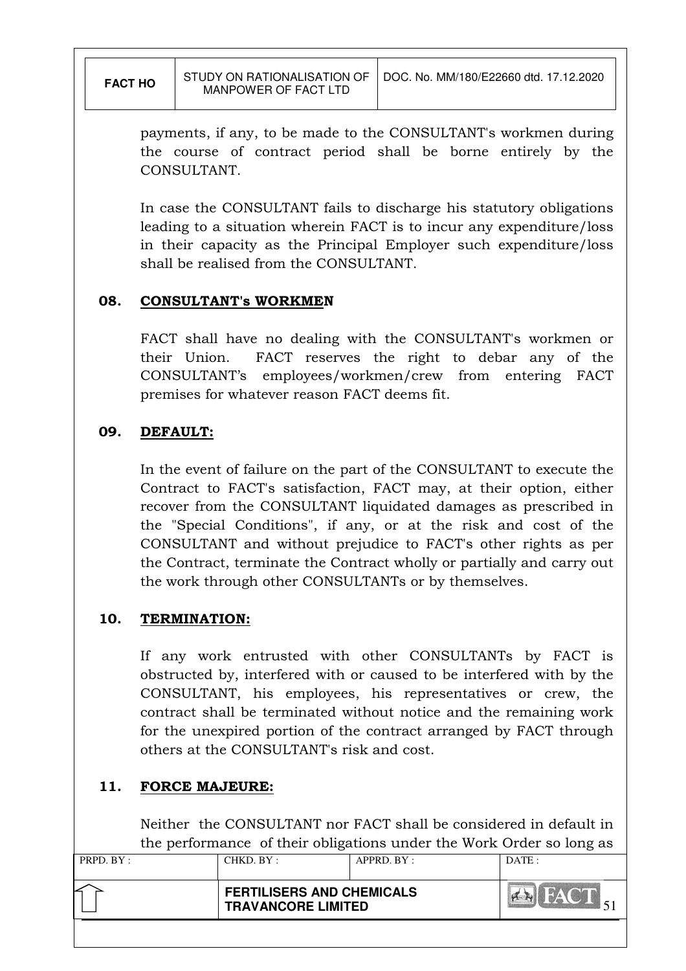payments, if any, to be made to the CONSULTANT's workmen during the course of contract period shall be borne entirely by the CONSULTANT.

In case the CONSULTANT fails to discharge his statutory obligations leading to a situation wherein FACT is to incur any expenditure/loss in their capacity as the Principal Employer such expenditure/loss shall be realised from the CONSULTANT.

#### 08. CONSULTANT's WORKMEN

FACT shall have no dealing with the CONSULTANT's workmen or their Union. FACT reserves the right to debar any of the CONSULTANT's employees/workmen/crew from entering FACT premises for whatever reason FACT deems fit.

#### 09. DEFAULT:

In the event of failure on the part of the CONSULTANT to execute the Contract to FACT's satisfaction, FACT may, at their option, either recover from the CONSULTANT liquidated damages as prescribed in the "Special Conditions", if any, or at the risk and cost of the CONSULTANT and without prejudice to FACT's other rights as per the Contract, terminate the Contract wholly or partially and carry out the work through other CONSULTANTs or by themselves.

# 10. TERMINATION:

If any work entrusted with other CONSULTANTs by FACT is obstructed by, interfered with or caused to be interfered with by the CONSULTANT, his employees, his representatives or crew, the contract shall be terminated without notice and the remaining work for the unexpired portion of the contract arranged by FACT through others at the CONSULTANT's risk and cost.

# 11. FORCE MAJEURE:

 Neither the CONSULTANT nor FACT shall be considered in default in the performance of their obligations under the Work Order so long as

| PRPD. BY : | CHKD. BY :                | APPRD. BY :                      | DATA: |
|------------|---------------------------|----------------------------------|-------|
|            | <b>TRAVANCORE LIMITED</b> | <b>FERTILISERS AND CHEMICALS</b> |       |
|            |                           |                                  |       |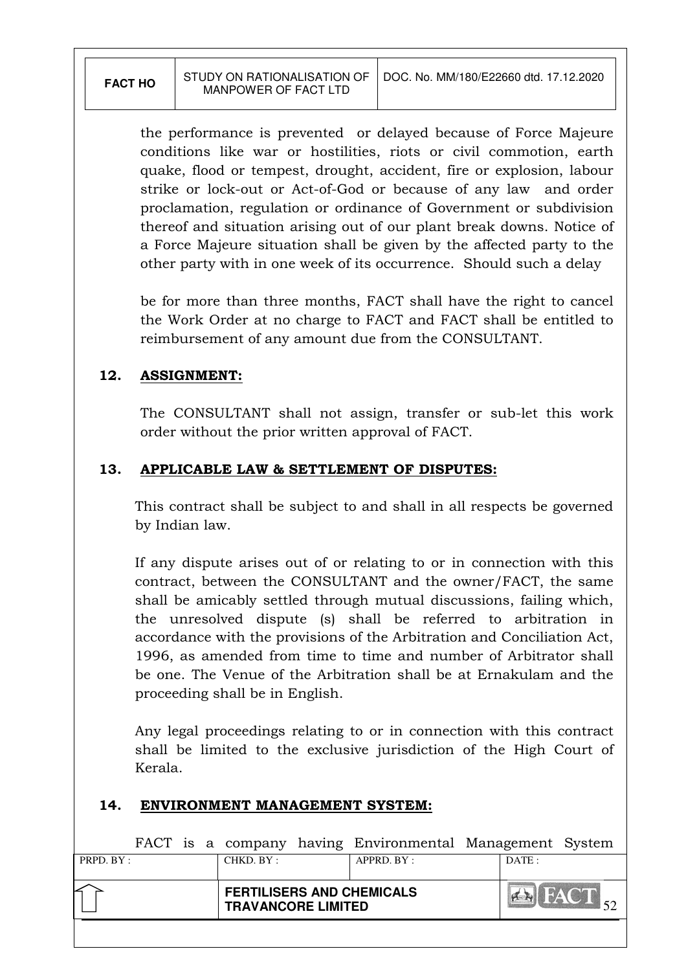the performance is prevented or delayed because of Force Majeure conditions like war or hostilities, riots or civil commotion, earth quake, flood or tempest, drought, accident, fire or explosion, labour strike or lock-out or Act-of-God or because of any law and order proclamation, regulation or ordinance of Government or subdivision thereof and situation arising out of our plant break downs. Notice of a Force Majeure situation shall be given by the affected party to the other party with in one week of its occurrence. Should such a delay

 be for more than three months, FACT shall have the right to cancel the Work Order at no charge to FACT and FACT shall be entitled to reimbursement of any amount due from the CONSULTANT.

# 12. ASSIGNMENT:

The CONSULTANT shall not assign, transfer or sub-let this work order without the prior written approval of FACT.

# 13. APPLICABLE LAW & SETTLEMENT OF DISPUTES:

This contract shall be subject to and shall in all respects be governed by Indian law.

If any dispute arises out of or relating to or in connection with this contract, between the CONSULTANT and the owner/FACT, the same shall be amicably settled through mutual discussions, failing which, the unresolved dispute (s) shall be referred to arbitration in accordance with the provisions of the Arbitration and Conciliation Act, 1996, as amended from time to time and number of Arbitrator shall be one. The Venue of the Arbitration shall be at Ernakulam and the proceeding shall be in English.

Any legal proceedings relating to or in connection with this contract shall be limited to the exclusive jurisdiction of the High Court of Kerala.

#### 14. ENVIRONMENT MANAGEMENT SYSTEM:

| PRPD. BY: | CHKD. BY:                                                     | $APPRD$ $BY:$ |       |                |
|-----------|---------------------------------------------------------------|---------------|-------|----------------|
|           |                                                               |               | DATE: |                |
|           | <b>FERTILISERS AND CHEMICALS</b><br><b>TRAVANCORE LIMITED</b> |               |       | <b>EX</b> FACT |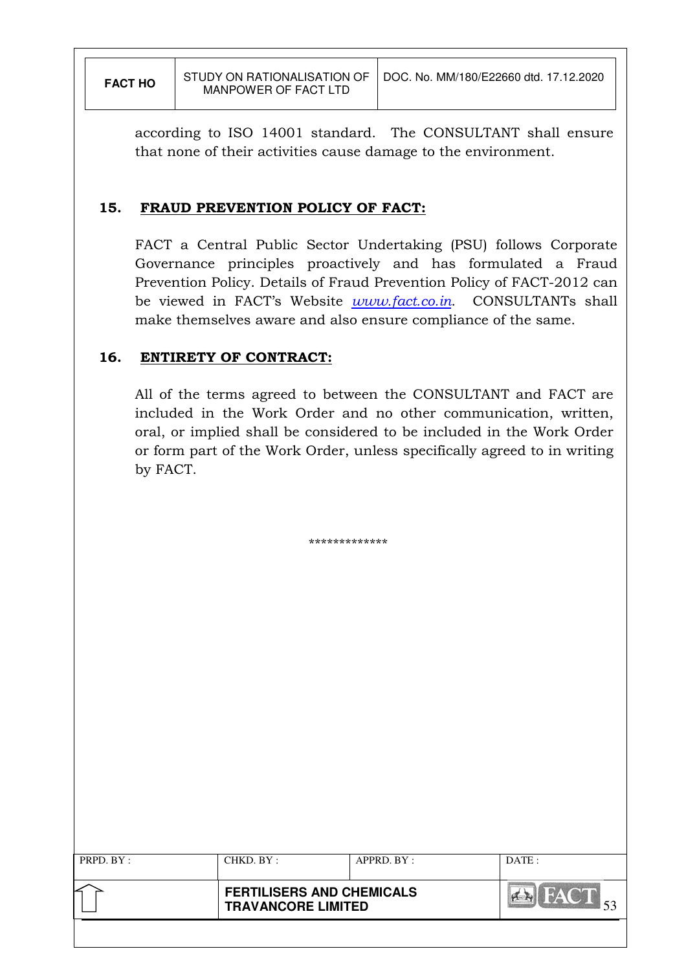according to ISO 14001 standard. The CONSULTANT shall ensure that none of their activities cause damage to the environment.

#### 15. FRAUD PREVENTION POLICY OF FACT:

FACT a Central Public Sector Undertaking (PSU) follows Corporate Governance principles proactively and has formulated a Fraud Prevention Policy. Details of Fraud Prevention Policy of FACT-2012 can be viewed in FACT's Website *www.fact.co.in*. CONSULTANTs shall make themselves aware and also ensure compliance of the same.

# 16. ENTIRETY OF CONTRACT:

All of the terms agreed to between the CONSULTANT and FACT are included in the Work Order and no other communication, written, oral, or implied shall be considered to be included in the Work Order or form part of the Work Order, unless specifically agreed to in writing by FACT.

\*\*\*\*\*\*\*\*\*\*\*\*\*

|           | <b>TRAVANCORE LIMITED</b> | <b>FERTILISERS AND CHEMICALS</b> | <b>BAYOT</b><br>$A = 14$ |
|-----------|---------------------------|----------------------------------|--------------------------|
| PRPD. BY: | CHKD. BY :                | $APPRD$ . $BY$ :                 | DATE:                    |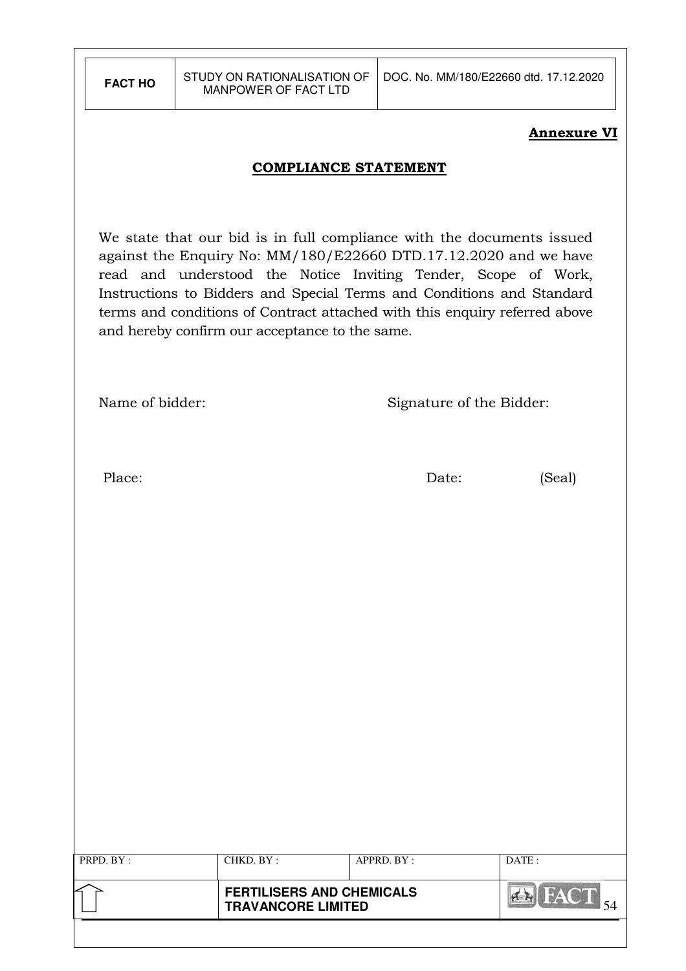#### Annexure VI

#### COMPLIANCE STATEMENT

We state that our bid is in full compliance with the documents issued against the Enquiry No: MM/180/E22660 DTD.17.12.2020 and we have read and understood the Notice Inviting Tender, Scope of Work, Instructions to Bidders and Special Terms and Conditions and Standard terms and conditions of Contract attached with this enquiry referred above and hereby confirm our acceptance to the same.

| Name of bidder: |  |  |  |
|-----------------|--|--|--|
|-----------------|--|--|--|

Signature of the Bidder:

Place: Date: (Seal)

| PRPD. BY: | CHKD. BY:                                                     | APPRD. BY: | DATE: |
|-----------|---------------------------------------------------------------|------------|-------|
|           | <b>FERTILISERS AND CHEMICALS</b><br><b>TRAVANCORE LIMITED</b> |            |       |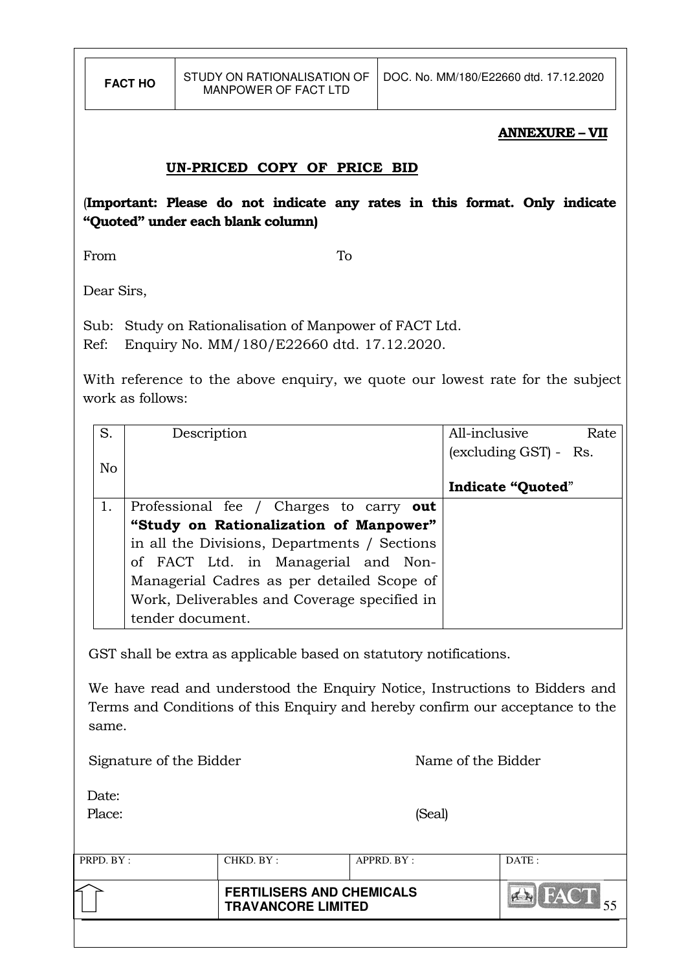#### ANNEXURE – VII

# UN-PRICED COPY OF PRICE BID

(Important: Please do not indicate any rates in this format. Only indicate "Quoted" under each blank column)

From To

Dear Sirs,

Sub: Study on Rationalisation of Manpower of FACT Ltd. Ref: Enquiry No. MM/180/E22660 dtd. 17.12.2020.

With reference to the above enquiry, we quote our lowest rate for the subject work as follows:

| S.             | Description                                  | All-inclusive<br>Rate    |
|----------------|----------------------------------------------|--------------------------|
| N <sub>o</sub> |                                              | (excluding GST) - Rs.    |
|                |                                              | <b>Indicate "Quoted"</b> |
| 1.             | Professional fee / Charges to carry out      |                          |
|                | "Study on Rationalization of Manpower"       |                          |
|                | in all the Divisions, Departments / Sections |                          |
|                | of FACT Ltd. in Managerial and Non-          |                          |
|                | Managerial Cadres as per detailed Scope of   |                          |
|                | Work, Deliverables and Coverage specified in |                          |
|                | tender document.                             |                          |

GST shall be extra as applicable based on statutory notifications.

We have read and understood the Enquiry Notice, Instructions to Bidders and Terms and Conditions of this Enquiry and hereby confirm our acceptance to the same.

Signature of the Bidder Name of the Bidder

Date:

Place: (Seal)

| PRPD. BY: | CHKD. BY:                                                     | APPRD. BY: | DATA |
|-----------|---------------------------------------------------------------|------------|------|
|           | <b>FERTILISERS AND CHEMICALS</b><br><b>TRAVANCORE LIMITED</b> |            |      |
|           |                                                               |            |      |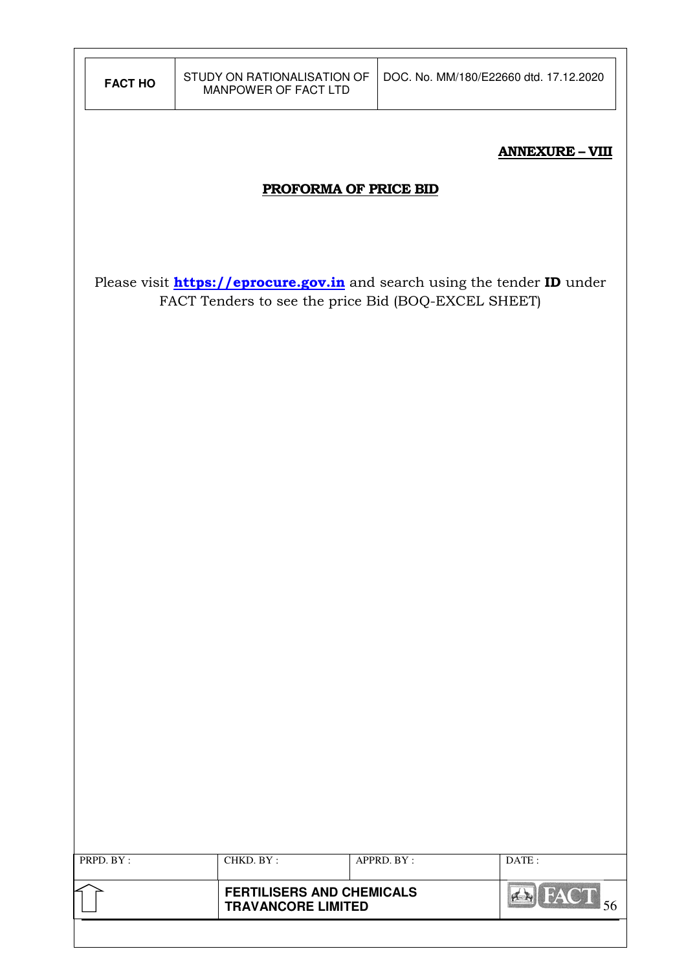|                | STUDY ON RATIONALISATION OF                                   | DOC. No. MM/180/E22660 dtd. 17.12.2020                                           |
|----------------|---------------------------------------------------------------|----------------------------------------------------------------------------------|
| <b>FACT HO</b> | MANPOWER OF FACT LTD                                          |                                                                                  |
|                |                                                               |                                                                                  |
|                |                                                               | <b>ANNEXURE - VIII</b>                                                           |
|                | <b>PROFORMA OF PRICE BID</b>                                  |                                                                                  |
|                |                                                               |                                                                                  |
|                |                                                               |                                                                                  |
|                |                                                               | Please visit <b>https://eprocure.gov.in</b> and search using the tender ID under |
|                | FACT Tenders to see the price Bid (BOQ-EXCEL SHEET)           |                                                                                  |
|                |                                                               |                                                                                  |
|                |                                                               |                                                                                  |
|                |                                                               |                                                                                  |
|                |                                                               |                                                                                  |
|                |                                                               |                                                                                  |
|                |                                                               |                                                                                  |
|                |                                                               |                                                                                  |
|                |                                                               |                                                                                  |
|                |                                                               |                                                                                  |
|                |                                                               |                                                                                  |
|                |                                                               |                                                                                  |
|                |                                                               |                                                                                  |
|                |                                                               |                                                                                  |
|                |                                                               |                                                                                  |
|                |                                                               |                                                                                  |
|                |                                                               |                                                                                  |
|                |                                                               |                                                                                  |
| PRPD. BY:      | CHKD. BY:                                                     | APPRD. BY:<br>DATE:                                                              |
|                |                                                               |                                                                                  |
|                | <b>FERTILISERS AND CHEMICALS</b><br><b>TRAVANCORE LIMITED</b> | <b>EX</b> FACT 56                                                                |
|                |                                                               |                                                                                  |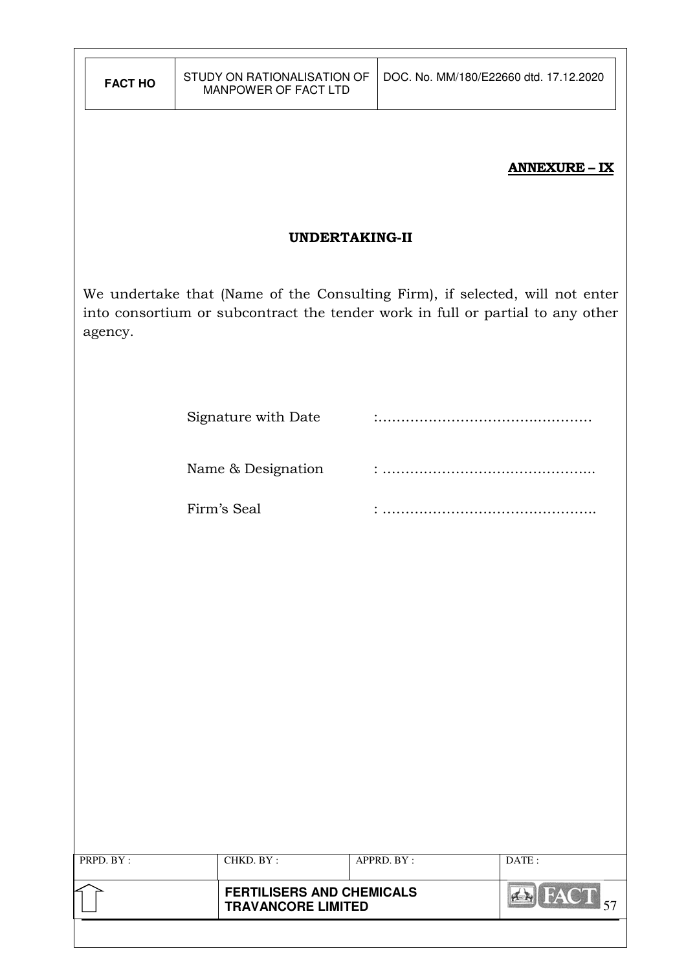| <b>FACT HO</b> | STUDY ON RATIONALISATION OF<br>MANPOWER OF FACT LTD                                                                                                            |            | DOC. No. MM/180/E22660 dtd. 17.12.2020 |
|----------------|----------------------------------------------------------------------------------------------------------------------------------------------------------------|------------|----------------------------------------|
|                |                                                                                                                                                                |            | <b>ANNEXURE - IX</b>                   |
|                | <b>UNDERTAKING-II</b>                                                                                                                                          |            |                                        |
| agency.        | We undertake that (Name of the Consulting Firm), if selected, will not enter<br>into consortium or subcontract the tender work in full or partial to any other |            |                                        |
|                | Signature with Date                                                                                                                                            |            |                                        |
|                | Name & Designation                                                                                                                                             |            |                                        |
|                | Firm's Seal                                                                                                                                                    |            |                                        |
|                |                                                                                                                                                                |            |                                        |
|                |                                                                                                                                                                |            |                                        |
|                |                                                                                                                                                                |            |                                        |
|                |                                                                                                                                                                |            |                                        |
|                |                                                                                                                                                                |            |                                        |
|                |                                                                                                                                                                |            |                                        |
|                |                                                                                                                                                                |            |                                        |
| PRPD. BY:      | CHKD. BY:                                                                                                                                                      | APPRD. BY: | DATE:                                  |
|                | <b>FERTILISERS AND CHEMICALS</b><br><b>TRAVANCORE LIMITED</b>                                                                                                  |            | <b>EX FACT</b> 57                      |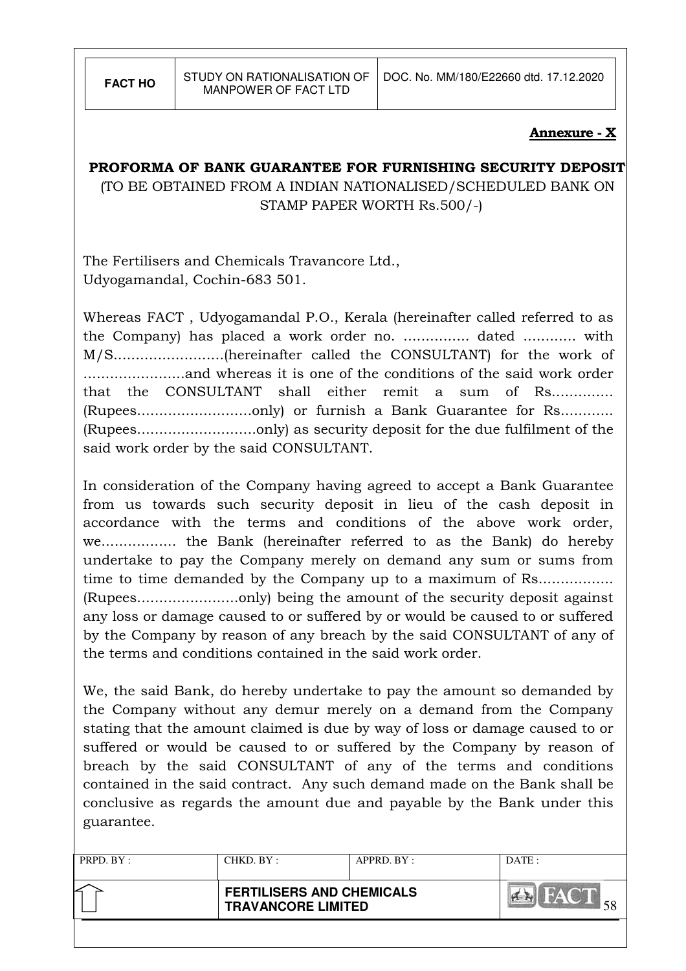#### Annexure - X

### PROFORMA OF BANK GUARANTEE FOR FURNISHING SECURITY DEPOSIT

 (TO BE OBTAINED FROM A INDIAN NATIONALISED/SCHEDULED BANK ON STAMP PAPER WORTH Rs.500/-)

The Fertilisers and Chemicals Travancore Ltd., Udyogamandal, Cochin-683 501.

Whereas FACT , Udyogamandal P.O., Kerala (hereinafter called referred to as the Company) has placed a work order no. ............... dated ............ with M/S.........................(hereinafter called the CONSULTANT) for the work of .......................and whereas it is one of the conditions of the said work order that the CONSULTANT shall either remit a sum of Rs.............. (Rupees..........................only) or furnish a Bank Guarantee for Rs............ (Rupees...........................only) as security deposit for the due fulfilment of the said work order by the said CONSULTANT.

In consideration of the Company having agreed to accept a Bank Guarantee from us towards such security deposit in lieu of the cash deposit in accordance with the terms and conditions of the above work order, we................. the Bank (hereinafter referred to as the Bank) do hereby undertake to pay the Company merely on demand any sum or sums from time to time demanded by the Company up to a maximum of Rs....................... (Rupees.......................only) being the amount of the security deposit against any loss or damage caused to or suffered by or would be caused to or suffered by the Company by reason of any breach by the said CONSULTANT of any of the terms and conditions contained in the said work order.

We, the said Bank, do hereby undertake to pay the amount so demanded by the Company without any demur merely on a demand from the Company stating that the amount claimed is due by way of loss or damage caused to or suffered or would be caused to or suffered by the Company by reason of breach by the said CONSULTANT of any of the terms and conditions contained in the said contract. Any such demand made on the Bank shall be conclusive as regards the amount due and payable by the Bank under this guarantee.

| PRPD. BY: | CHKD. BY:                                                     | APPRD. BY: | DATE: |
|-----------|---------------------------------------------------------------|------------|-------|
|           | <b>FERTILISERS AND CHEMICALS</b><br><b>TRAVANCORE LIMITED</b> |            |       |
|           |                                                               |            |       |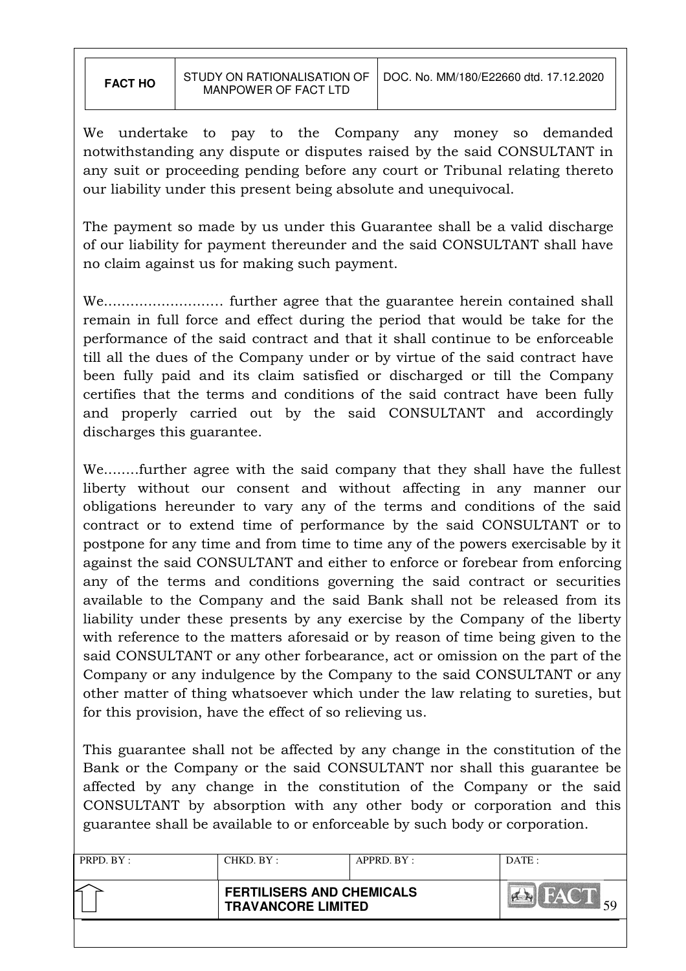We undertake to pay to the Company any money so demanded notwithstanding any dispute or disputes raised by the said CONSULTANT in any suit or proceeding pending before any court or Tribunal relating thereto our liability under this present being absolute and unequivocal.

The payment so made by us under this Guarantee shall be a valid discharge of our liability for payment thereunder and the said CONSULTANT shall have no claim against us for making such payment.

We........................… further agree that the guarantee herein contained shall remain in full force and effect during the period that would be take for the performance of the said contract and that it shall continue to be enforceable till all the dues of the Company under or by virtue of the said contract have been fully paid and its claim satisfied or discharged or till the Company certifies that the terms and conditions of the said contract have been fully and properly carried out by the said CONSULTANT and accordingly discharges this guarantee.

We........further agree with the said company that they shall have the fullest liberty without our consent and without affecting in any manner our obligations hereunder to vary any of the terms and conditions of the said contract or to extend time of performance by the said CONSULTANT or to postpone for any time and from time to time any of the powers exercisable by it against the said CONSULTANT and either to enforce or forebear from enforcing any of the terms and conditions governing the said contract or securities available to the Company and the said Bank shall not be released from its liability under these presents by any exercise by the Company of the liberty with reference to the matters aforesaid or by reason of time being given to the said CONSULTANT or any other forbearance, act or omission on the part of the Company or any indulgence by the Company to the said CONSULTANT or any other matter of thing whatsoever which under the law relating to sureties, but for this provision, have the effect of so relieving us.

This guarantee shall not be affected by any change in the constitution of the Bank or the Company or the said CONSULTANT nor shall this guarantee be affected by any change in the constitution of the Company or the said CONSULTANT by absorption with any other body or corporation and this guarantee shall be available to or enforceable by such body or corporation.

| PRPD. BY: | CHKD. BY:                                                     | $APPRD$ . $BY$ : | DATA: |
|-----------|---------------------------------------------------------------|------------------|-------|
|           | <b>FERTILISERS AND CHEMICALS</b><br><b>TRAVANCORE LIMITED</b> |                  |       |
|           |                                                               |                  |       |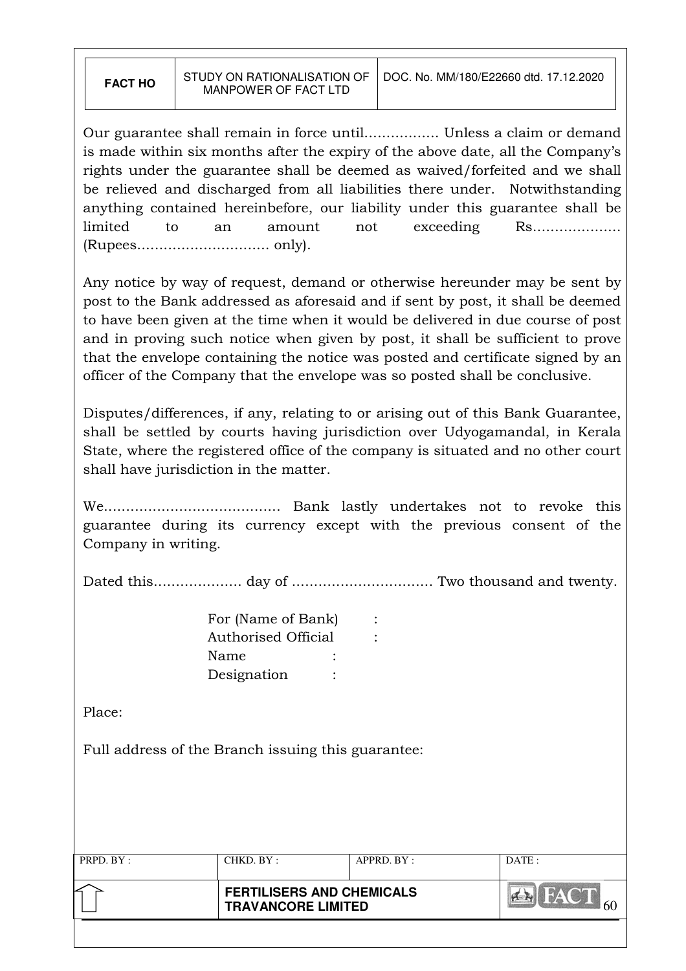Our guarantee shall remain in force until................. Unless a claim or demand is made within six months after the expiry of the above date, all the Company's rights under the guarantee shall be deemed as waived/forfeited and we shall be relieved and discharged from all liabilities there under. Notwithstanding anything contained hereinbefore, our liability under this guarantee shall be limited to an amount not exceeding Rs................... (Rupees.............................. only).

Any notice by way of request, demand or otherwise hereunder may be sent by post to the Bank addressed as aforesaid and if sent by post, it shall be deemed to have been given at the time when it would be delivered in due course of post and in proving such notice when given by post, it shall be sufficient to prove that the envelope containing the notice was posted and certificate signed by an officer of the Company that the envelope was so posted shall be conclusive.

Disputes/differences, if any, relating to or arising out of this Bank Guarantee, shall be settled by courts having jurisdiction over Udyogamandal, in Kerala State, where the registered office of the company is situated and no other court shall have jurisdiction in the matter.

We........................................ Bank lastly undertakes not to revoke this guarantee during its currency except with the previous consent of the Company in writing.

Dated this.................... day of ................................ Two thousand and twenty.

| For (Name of Bank)  |  |
|---------------------|--|
| Authorised Official |  |
| Name                |  |
| Designation         |  |

Place:

Full address of the Branch issuing this guarantee:

| PRPD. BY: | CHKD. BY:                                                     | $APPRD$ . $BY$ : | DATA: |
|-----------|---------------------------------------------------------------|------------------|-------|
|           | <b>FERTILISERS AND CHEMICALS</b><br><b>TRAVANCORE LIMITED</b> |                  | ы     |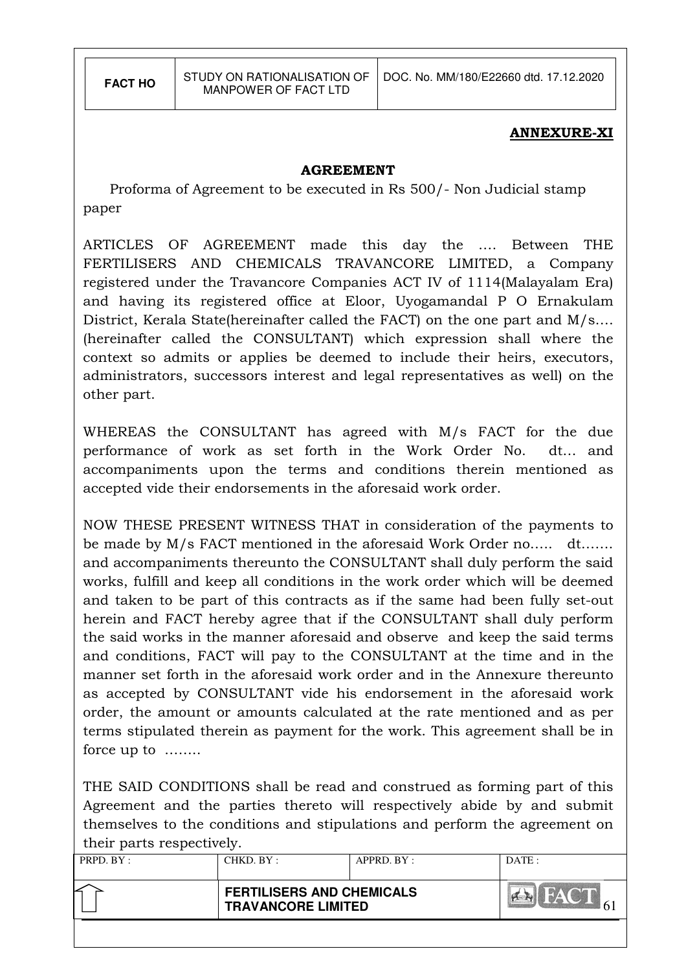#### ANNEXURE-XI

#### AGREEMENT

 Proforma of Agreement to be executed in Rs 500/- Non Judicial stamp paper

ARTICLES OF AGREEMENT made this day the …. Between THE FERTILISERS AND CHEMICALS TRAVANCORE LIMITED, a Company registered under the Travancore Companies ACT IV of 1114(Malayalam Era) and having its registered office at Eloor, Uyogamandal P O Ernakulam District, Kerala State(hereinafter called the FACT) on the one part and M/s…. (hereinafter called the CONSULTANT) which expression shall where the context so admits or applies be deemed to include their heirs, executors, administrators, successors interest and legal representatives as well) on the other part.

WHEREAS the CONSULTANT has agreed with M/s FACT for the due performance of work as set forth in the Work Order No. dt… and accompaniments upon the terms and conditions therein mentioned as accepted vide their endorsements in the aforesaid work order.

NOW THESE PRESENT WITNESS THAT in consideration of the payments to be made by M/s FACT mentioned in the aforesaid Work Order no….. dt……. and accompaniments thereunto the CONSULTANT shall duly perform the said works, fulfill and keep all conditions in the work order which will be deemed and taken to be part of this contracts as if the same had been fully set-out herein and FACT hereby agree that if the CONSULTANT shall duly perform the said works in the manner aforesaid and observe and keep the said terms and conditions, FACT will pay to the CONSULTANT at the time and in the manner set forth in the aforesaid work order and in the Annexure thereunto as accepted by CONSULTANT vide his endorsement in the aforesaid work order, the amount or amounts calculated at the rate mentioned and as per terms stipulated therein as payment for the work. This agreement shall be in force up to ……..

THE SAID CONDITIONS shall be read and construed as forming part of this Agreement and the parties thereto will respectively abide by and submit themselves to the conditions and stipulations and perform the agreement on their parts respectively.

| PRPD. BY: | CHKD. BY:                                                     | APPRD. BY: | DATE: |
|-----------|---------------------------------------------------------------|------------|-------|
|           | <b>FERTILISERS AND CHEMICALS</b><br><b>TRAVANCORE LIMITED</b> |            | HAY H |
|           |                                                               |            |       |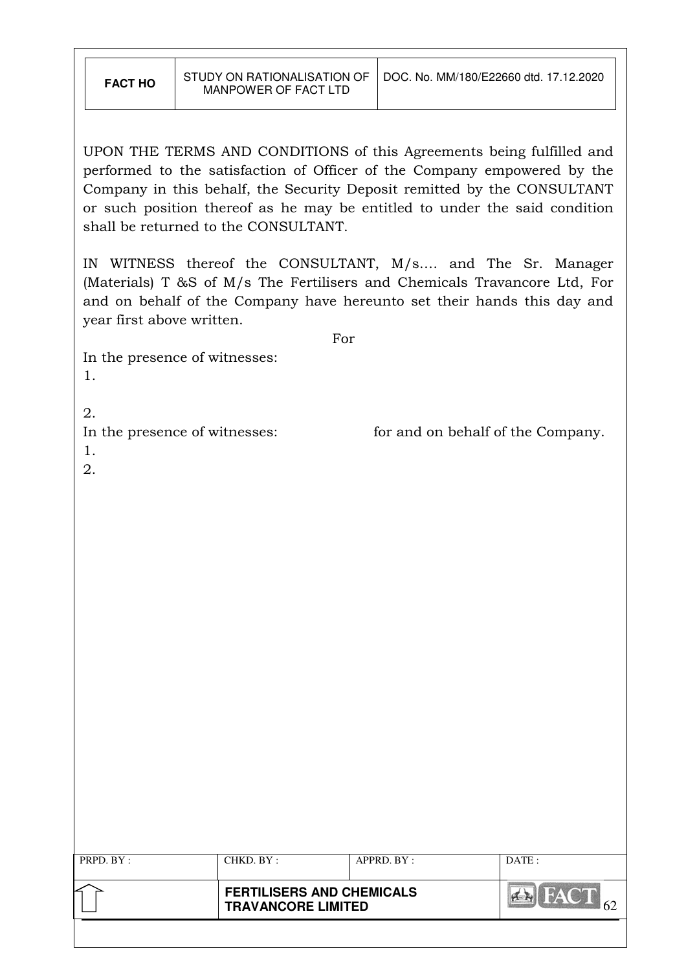| <b>FACT HO</b> | STUDY ON RATIONALISATION |
|----------------|--------------------------|
|                | MANPOWER OF FACT LTD     |

UPON THE TERMS AND CONDITIONS of this Agreements being fulfilled and performed to the satisfaction of Officer of the Company empowered by the Company in this behalf, the Security Deposit remitted by the CONSULTANT or such position thereof as he may be entitled to under the said condition shall be returned to the CONSULTANT.

IN WITNESS thereof the CONSULTANT, M/s…. and The Sr. Manager (Materials) T &S of M/s The Fertilisers and Chemicals Travancore Ltd, For and on behalf of the Company have hereunto set their hands this day and year first above written.

For

In the presence of witnesses: 1.

2.

In the presence of witnesses: for and on behalf of the Company.

|--|

| I<br>× |
|--------|
|        |

| PRPD. BY: | CHKD. BY :<br>APPRD. BY:<br><b>FERTILISERS AND CHEMICALS</b> |  |  |
|-----------|--------------------------------------------------------------|--|--|
|           | <b>TRAVANCORE LIMITED</b>                                    |  |  |